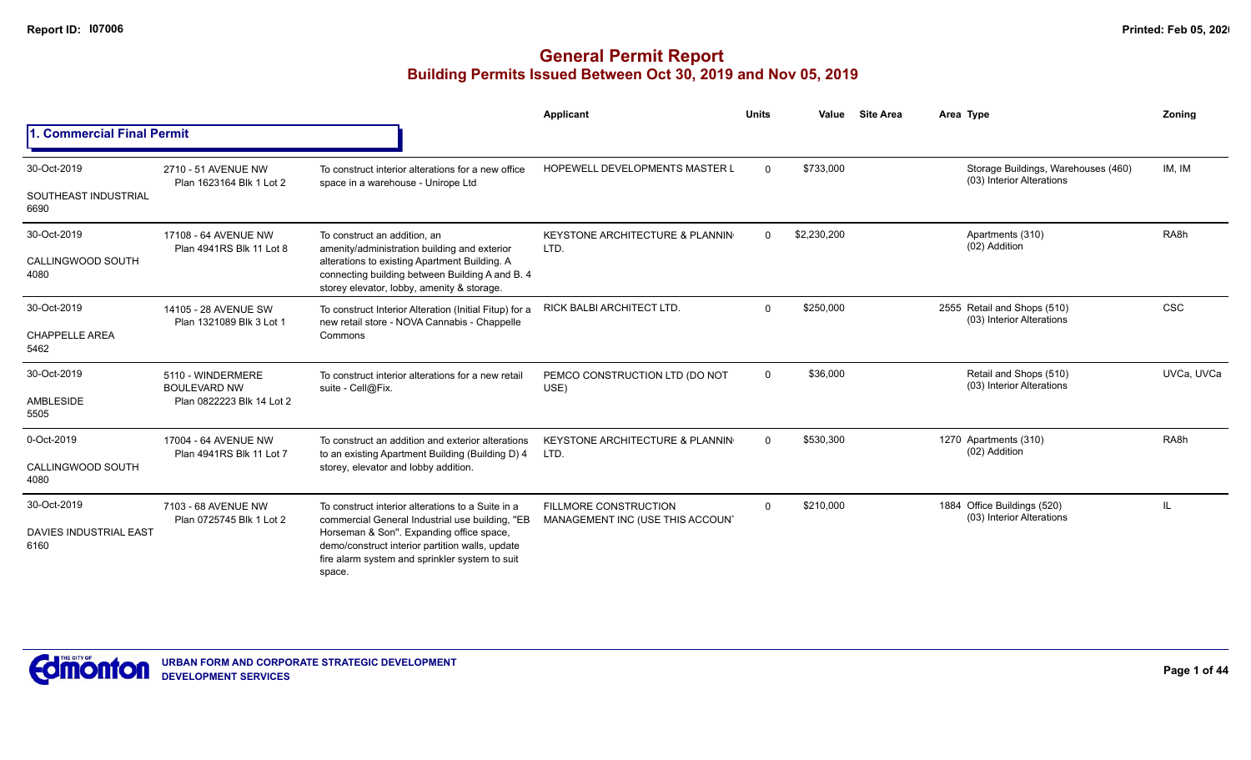|                                               |                                                                       |                                                                                                                                                                                                                                                                 | Applicant                                                 | <b>Units</b> | Value       | <b>Site Area</b> | Area Type                                                        | Zoning            |
|-----------------------------------------------|-----------------------------------------------------------------------|-----------------------------------------------------------------------------------------------------------------------------------------------------------------------------------------------------------------------------------------------------------------|-----------------------------------------------------------|--------------|-------------|------------------|------------------------------------------------------------------|-------------------|
| 1. Commercial Final Permit                    |                                                                       |                                                                                                                                                                                                                                                                 |                                                           |              |             |                  |                                                                  |                   |
| 30-Oct-2019<br>SOUTHEAST INDUSTRIAL<br>6690   | 2710 - 51 AVENUE NW<br>Plan 1623164 Blk 1 Lot 2                       | To construct interior alterations for a new office<br>space in a warehouse - Unirope Ltd                                                                                                                                                                        | <b>HOPEWELL DEVELOPMENTS MASTER L</b>                     | $\Omega$     | \$733,000   |                  | Storage Buildings, Warehouses (460)<br>(03) Interior Alterations | IM, IM            |
| 30-Oct-2019<br>CALLINGWOOD SOUTH<br>4080      | 17108 - 64 AVENUE NW<br>Plan 4941RS Blk 11 Lot 8                      | To construct an addition, an<br>amenity/administration building and exterior<br>alterations to existing Apartment Building. A<br>connecting building between Building A and B. 4<br>storey elevator, lobby, amenity & storage.                                  | <b>KEYSTONE ARCHITECTURE &amp; PLANNIN</b><br>LTD.        | $\Omega$     | \$2,230,200 |                  | Apartments (310)<br>(02) Addition                                | RA <sub>8</sub> h |
| 30-Oct-2019<br><b>CHAPPELLE AREA</b><br>5462  | 14105 - 28 AVENUE SW<br>Plan 1321089 Blk 3 Lot 1                      | To construct Interior Alteration (Initial Fitup) for a<br>new retail store - NOVA Cannabis - Chappelle<br>Commons                                                                                                                                               | <b>RICK BALBI ARCHITECT LTD.</b>                          | $\Omega$     | \$250,000   |                  | 2555 Retail and Shops (510)<br>(03) Interior Alterations         | <b>CSC</b>        |
| 30-Oct-2019<br>AMBLESIDE<br>5505              | 5110 - WINDERMERE<br><b>BOULEVARD NW</b><br>Plan 0822223 Blk 14 Lot 2 | To construct interior alterations for a new retail<br>suite - Cell@Fix.                                                                                                                                                                                         | PEMCO CONSTRUCTION LTD (DO NOT<br>USE)                    | $\mathbf{0}$ | \$36,000    |                  | Retail and Shops (510)<br>(03) Interior Alterations              | UVCa. UVCa        |
| 0-Oct-2019<br>CALLINGWOOD SOUTH<br>4080       | 17004 - 64 AVENUE NW<br>Plan 4941RS Blk 11 Lot 7                      | To construct an addition and exterior alterations<br>to an existing Apartment Building (Building D) 4<br>storey, elevator and lobby addition.                                                                                                                   | KEYSTONE ARCHITECTURE & PLANNIN<br>LTD.                   | $\Omega$     | \$530,300   |                  | 1270 Apartments (310)<br>(02) Addition                           | RA <sub>8</sub> h |
| 30-Oct-2019<br>DAVIES INDUSTRIAL EAST<br>6160 | 7103 - 68 AVENUE NW<br>Plan 0725745 Blk 1 Lot 2                       | To construct interior alterations to a Suite in a<br>commercial General Industrial use building, "EB<br>Horseman & Son". Expanding office space,<br>demo/construct interior partition walls, update<br>fire alarm system and sprinkler system to suit<br>space. | FILLMORE CONSTRUCTION<br>MANAGEMENT INC (USE THIS ACCOUN' | $\Omega$     | \$210,000   |                  | 1884 Office Buildings (520)<br>(03) Interior Alterations         | Ш.                |

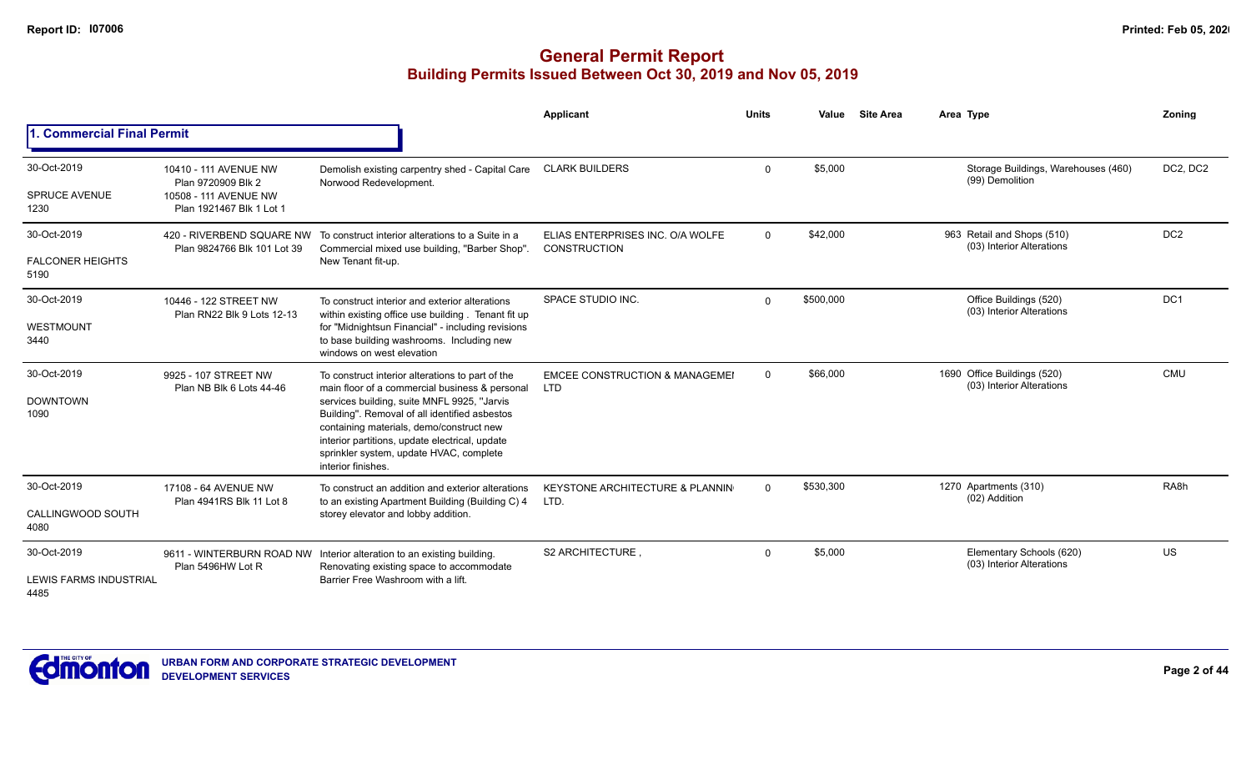|                                                |                                                                                                  |                                                                                                                                                                                                                                                                                                                                                                   | <b>Applicant</b>                                        | <b>Units</b> | Value     | <b>Site Area</b> | Area Type                                                | Zoning            |
|------------------------------------------------|--------------------------------------------------------------------------------------------------|-------------------------------------------------------------------------------------------------------------------------------------------------------------------------------------------------------------------------------------------------------------------------------------------------------------------------------------------------------------------|---------------------------------------------------------|--------------|-----------|------------------|----------------------------------------------------------|-------------------|
| <b>1. Commercial Final Permit</b>              |                                                                                                  |                                                                                                                                                                                                                                                                                                                                                                   |                                                         |              |           |                  |                                                          |                   |
| 30-Oct-2019<br><b>SPRUCE AVENUE</b><br>1230    | 10410 - 111 AVENUE NW<br>Plan 9720909 Blk 2<br>10508 - 111 AVENUE NW<br>Plan 1921467 Blk 1 Lot 1 | Demolish existing carpentry shed - Capital Care<br>Norwood Redevelopment.                                                                                                                                                                                                                                                                                         | <b>CLARK BUILDERS</b>                                   | $\Omega$     | \$5,000   |                  | Storage Buildings, Warehouses (460)<br>(99) Demolition   | DC2, DC2          |
| 30-Oct-2019<br><b>FALCONER HEIGHTS</b><br>5190 | 420 - RIVERBEND SQUARE NW<br>Plan 9824766 Blk 101 Lot 39                                         | To construct interior alterations to a Suite in a<br>Commercial mixed use building, "Barber Shop"<br>New Tenant fit-up.                                                                                                                                                                                                                                           | ELIAS ENTERPRISES INC. O/A WOLFE<br><b>CONSTRUCTION</b> | $\Omega$     | \$42,000  |                  | 963 Retail and Shops (510)<br>(03) Interior Alterations  | DC <sub>2</sub>   |
| 30-Oct-2019<br>WESTMOUNT<br>3440               | 10446 - 122 STREET NW<br>Plan RN22 Blk 9 Lots 12-13                                              | To construct interior and exterior alterations<br>within existing office use building. Tenant fit up<br>for "Midnightsun Financial" - including revisions<br>to base building washrooms. Including new<br>windows on west elevation                                                                                                                               | SPACE STUDIO INC.                                       | $\Omega$     | \$500,000 |                  | Office Buildings (520)<br>(03) Interior Alterations      | DC1               |
| 30-Oct-2019<br><b>DOWNTOWN</b><br>1090         | 9925 - 107 STREET NW<br>Plan NB Blk 6 Lots 44-46                                                 | To construct interior alterations to part of the<br>main floor of a commercial business & personal<br>services building, suite MNFL 9925, "Jarvis<br>Building". Removal of all identified asbestos<br>containing materials, demo/construct new<br>interior partitions, update electrical, update<br>sprinkler system, update HVAC, complete<br>interior finishes. | <b>EMCEE CONSTRUCTION &amp; MANAGEMEI</b><br><b>LTD</b> | $\Omega$     | \$66,000  |                  | 1690 Office Buildings (520)<br>(03) Interior Alterations | <b>CMU</b>        |
| 30-Oct-2019<br>CALLINGWOOD SOUTH<br>4080       | 17108 - 64 AVENUE NW<br>Plan 4941RS Blk 11 Lot 8                                                 | To construct an addition and exterior alterations<br>to an existing Apartment Building (Building C) 4<br>storey elevator and lobby addition.                                                                                                                                                                                                                      | KEYSTONE ARCHITECTURE & PLANNIN<br>LTD.                 | $\Omega$     | \$530,300 |                  | 1270 Apartments (310)<br>(02) Addition                   | RA <sub>8</sub> h |
| 30-Oct-2019<br>LEWIS FARMS INDUSTRIAL<br>4485  | Plan 5496HW Lot R                                                                                | 9611 - WINTERBURN ROAD NW Interior alteration to an existing building.<br>Renovating existing space to accommodate<br>Barrier Free Washroom with a lift.                                                                                                                                                                                                          | <b>S2 ARCHITECTURE</b>                                  | $\Omega$     | \$5,000   |                  | Elementary Schools (620)<br>(03) Interior Alterations    | US                |

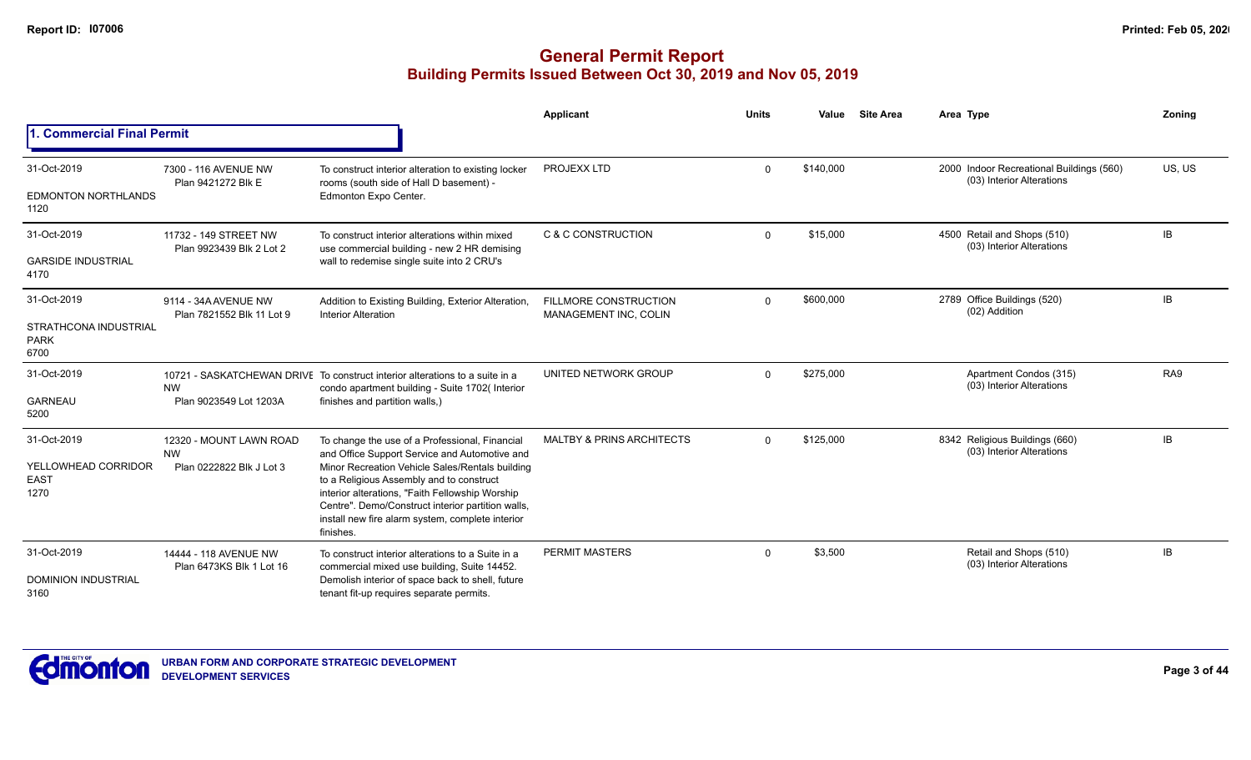|                                                             |                                                                  |                                                                                                                                                                                                                                                                                                                                                                         | <b>Applicant</b>                                      | <b>Units</b> | Value     | <b>Site Area</b> | Area Type                                                             | Zoning          |
|-------------------------------------------------------------|------------------------------------------------------------------|-------------------------------------------------------------------------------------------------------------------------------------------------------------------------------------------------------------------------------------------------------------------------------------------------------------------------------------------------------------------------|-------------------------------------------------------|--------------|-----------|------------------|-----------------------------------------------------------------------|-----------------|
| 1. Commercial Final Permit                                  |                                                                  |                                                                                                                                                                                                                                                                                                                                                                         |                                                       |              |           |                  |                                                                       |                 |
| 31-Oct-2019<br><b>EDMONTON NORTHLANDS</b><br>1120           | 7300 - 116 AVENUE NW<br>Plan 9421272 Blk E                       | To construct interior alteration to existing locker<br>rooms (south side of Hall D basement) -<br>Edmonton Expo Center.                                                                                                                                                                                                                                                 | PROJEXX LTD                                           | $\Omega$     | \$140,000 |                  | 2000 Indoor Recreational Buildings (560)<br>(03) Interior Alterations | US, US          |
| 31-Oct-2019<br><b>GARSIDE INDUSTRIAL</b><br>4170            | 11732 - 149 STREET NW<br>Plan 9923439 Blk 2 Lot 2                | To construct interior alterations within mixed<br>use commercial building - new 2 HR demising<br>wall to redemise single suite into 2 CRU's                                                                                                                                                                                                                             | C & C CONSTRUCTION                                    | $\Omega$     | \$15,000  |                  | 4500 Retail and Shops (510)<br>(03) Interior Alterations              | IB.             |
| 31-Oct-2019<br>STRATHCONA INDUSTRIAL<br><b>PARK</b><br>6700 | 9114 - 34A AVENUE NW<br>Plan 7821552 Blk 11 Lot 9                | Addition to Existing Building, Exterior Alteration,<br><b>Interior Alteration</b>                                                                                                                                                                                                                                                                                       | <b>FILLMORE CONSTRUCTION</b><br>MANAGEMENT INC, COLIN | $\Omega$     | \$600,000 |                  | 2789 Office Buildings (520)<br>(02) Addition                          | <b>IB</b>       |
| 31-Oct-2019<br><b>GARNEAU</b><br>5200                       | <b>NW</b><br>Plan 9023549 Lot 1203A                              | 10721 - SASKATCHEWAN DRIVE To construct interior alterations to a suite in a<br>condo apartment building - Suite 1702(Interior<br>finishes and partition walls,)                                                                                                                                                                                                        | UNITED NETWORK GROUP                                  | $\Omega$     | \$275,000 |                  | Apartment Condos (315)<br>(03) Interior Alterations                   | RA <sub>9</sub> |
| 31-Oct-2019<br>YELLOWHEAD CORRIDOR<br><b>EAST</b><br>1270   | 12320 - MOUNT LAWN ROAD<br><b>NW</b><br>Plan 0222822 Blk J Lot 3 | To change the use of a Professional, Financial<br>and Office Support Service and Automotive and<br>Minor Recreation Vehicle Sales/Rentals building<br>to a Religious Assembly and to construct<br>interior alterations, "Faith Fellowship Worship<br>Centre". Demo/Construct interior partition walls,<br>install new fire alarm system, complete interior<br>finishes. | <b>MALTBY &amp; PRINS ARCHITECTS</b>                  | $\Omega$     | \$125,000 |                  | 8342 Religious Buildings (660)<br>(03) Interior Alterations           | <b>IB</b>       |
| 31-Oct-2019<br><b>DOMINION INDUSTRIAL</b><br>3160           | 14444 - 118 AVENUE NW<br>Plan 6473KS Blk 1 Lot 16                | To construct interior alterations to a Suite in a<br>commercial mixed use building, Suite 14452.<br>Demolish interior of space back to shell, future<br>tenant fit-up requires separate permits.                                                                                                                                                                        | <b>PERMIT MASTERS</b>                                 | $\Omega$     | \$3,500   |                  | Retail and Shops (510)<br>(03) Interior Alterations                   | IB              |

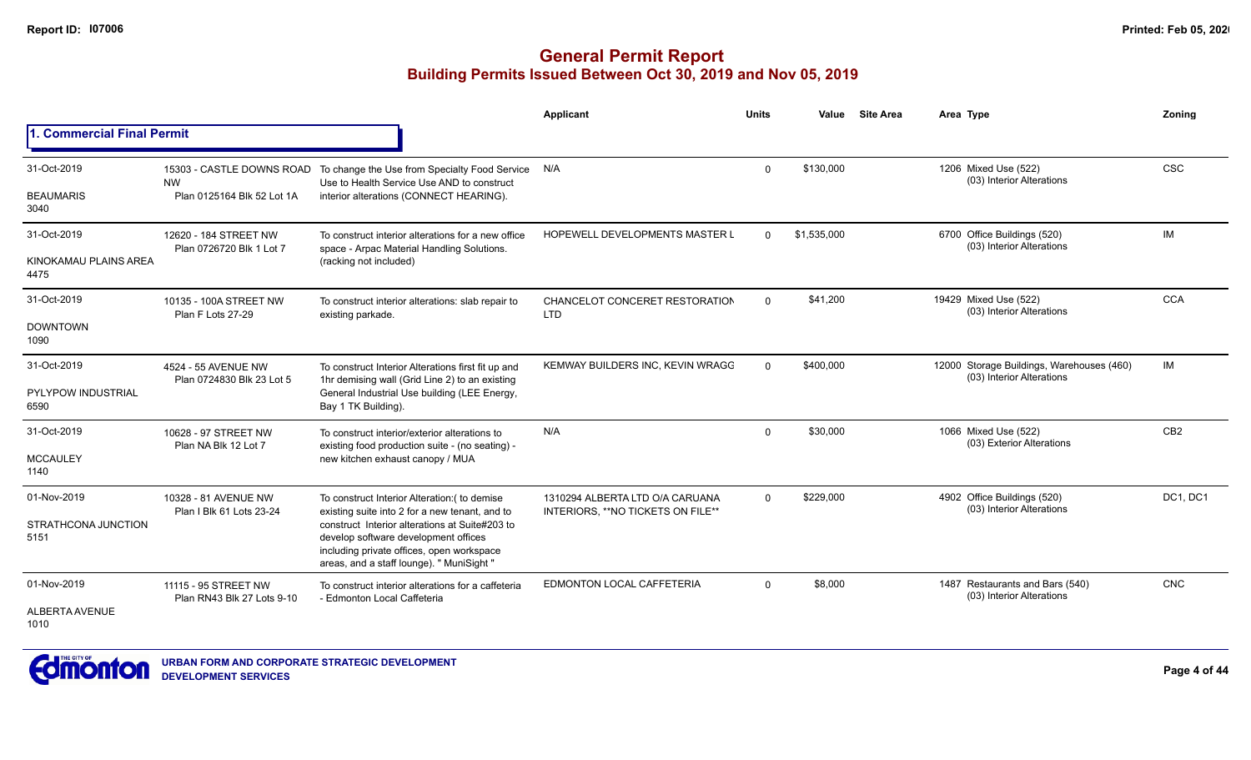|                                   |                                                    |                                                                                                                                                                                  | Applicant                                                             | <b>Units</b> | Value       | <b>Site Area</b> | Area Type                                                              | Zoning          |
|-----------------------------------|----------------------------------------------------|----------------------------------------------------------------------------------------------------------------------------------------------------------------------------------|-----------------------------------------------------------------------|--------------|-------------|------------------|------------------------------------------------------------------------|-----------------|
| 1. Commercial Final Permit        |                                                    |                                                                                                                                                                                  |                                                                       |              |             |                  |                                                                        |                 |
| 31-Oct-2019                       | <b>NW</b>                                          | 15303 - CASTLE DOWNS ROAD To change the Use from Specialty Food Service<br>Use to Health Service Use AND to construct                                                            | N/A                                                                   | $\mathbf{0}$ | \$130,000   |                  | 1206 Mixed Use (522)<br>(03) Interior Alterations                      | <b>CSC</b>      |
| <b>BEAUMARIS</b><br>3040          | Plan 0125164 Blk 52 Lot 1A                         | interior alterations (CONNECT HEARING).                                                                                                                                          |                                                                       |              |             |                  |                                                                        |                 |
| 31-Oct-2019                       | 12620 - 184 STREET NW<br>Plan 0726720 Blk 1 Lot 7  | To construct interior alterations for a new office<br>space - Arpac Material Handling Solutions.                                                                                 | <b>HOPEWELL DEVELOPMENTS MASTER L</b>                                 | $\Omega$     | \$1,535,000 |                  | 6700 Office Buildings (520)<br>(03) Interior Alterations               | IM              |
| KINOKAMAU PLAINS AREA<br>4475     |                                                    | (racking not included)                                                                                                                                                           |                                                                       |              |             |                  |                                                                        |                 |
| 31-Oct-2019                       | 10135 - 100A STREET NW<br>Plan F Lots 27-29        | To construct interior alterations: slab repair to<br>existing parkade.                                                                                                           | CHANCELOT CONCERET RESTORATION<br><b>LTD</b>                          | $\mathbf{0}$ | \$41,200    |                  | 19429 Mixed Use (522)<br>(03) Interior Alterations                     | <b>CCA</b>      |
| <b>DOWNTOWN</b><br>1090           |                                                    |                                                                                                                                                                                  |                                                                       |              |             |                  |                                                                        |                 |
| 31-Oct-2019                       | 4524 - 55 AVENUE NW                                | To construct Interior Alterations first fit up and<br>1hr demising wall (Grid Line 2) to an existing                                                                             | KEMWAY BUILDERS INC, KEVIN WRAGC                                      | $\mathbf{0}$ | \$400,000   |                  | 12000 Storage Buildings, Warehouses (460)<br>(03) Interior Alterations | IM              |
| <b>PYLYPOW INDUSTRIAL</b><br>6590 | Plan 0724830 Blk 23 Lot 5                          | General Industrial Use building (LEE Energy,<br>Bay 1 TK Building).                                                                                                              |                                                                       |              |             |                  |                                                                        |                 |
| 31-Oct-2019                       | 10628 - 97 STREET NW<br>Plan NA Blk 12 Lot 7       | To construct interior/exterior alterations to<br>existing food production suite - (no seating) -                                                                                 | N/A                                                                   | $\mathbf{0}$ | \$30,000    |                  | 1066 Mixed Use (522)<br>(03) Exterior Alterations                      | CB <sub>2</sub> |
| <b>MCCAULEY</b><br>1140           |                                                    | new kitchen exhaust canopy / MUA                                                                                                                                                 |                                                                       |              |             |                  |                                                                        |                 |
| 01-Nov-2019                       | 10328 - 81 AVENUE NW                               | To construct Interior Alteration: ( to demise<br>existing suite into 2 for a new tenant, and to                                                                                  | 1310294 ALBERTA LTD O/A CARUANA<br>INTERIORS, ** NO TICKETS ON FILE** | $\mathbf{0}$ | \$229,000   |                  | 4902 Office Buildings (520)<br>(03) Interior Alterations               | DC1, DC1        |
| STRATHCONA JUNCTION<br>5151       | Plan I Blk 61 Lots 23-24                           | construct Interior alterations at Suite#203 to<br>develop software development offices<br>including private offices, open workspace<br>areas, and a staff lounge). " MuniSight " |                                                                       |              |             |                  |                                                                        |                 |
| 01-Nov-2019                       | 11115 - 95 STREET NW<br>Plan RN43 Blk 27 Lots 9-10 | To construct interior alterations for a caffeteria<br>- Edmonton Local Caffeteria                                                                                                | EDMONTON LOCAL CAFFETERIA                                             | $\Omega$     | \$8,000     |                  | 1487 Restaurants and Bars (540)<br>(03) Interior Alterations           | CNC             |
| ALBERTA AVENUE<br>1010            |                                                    |                                                                                                                                                                                  |                                                                       |              |             |                  |                                                                        |                 |

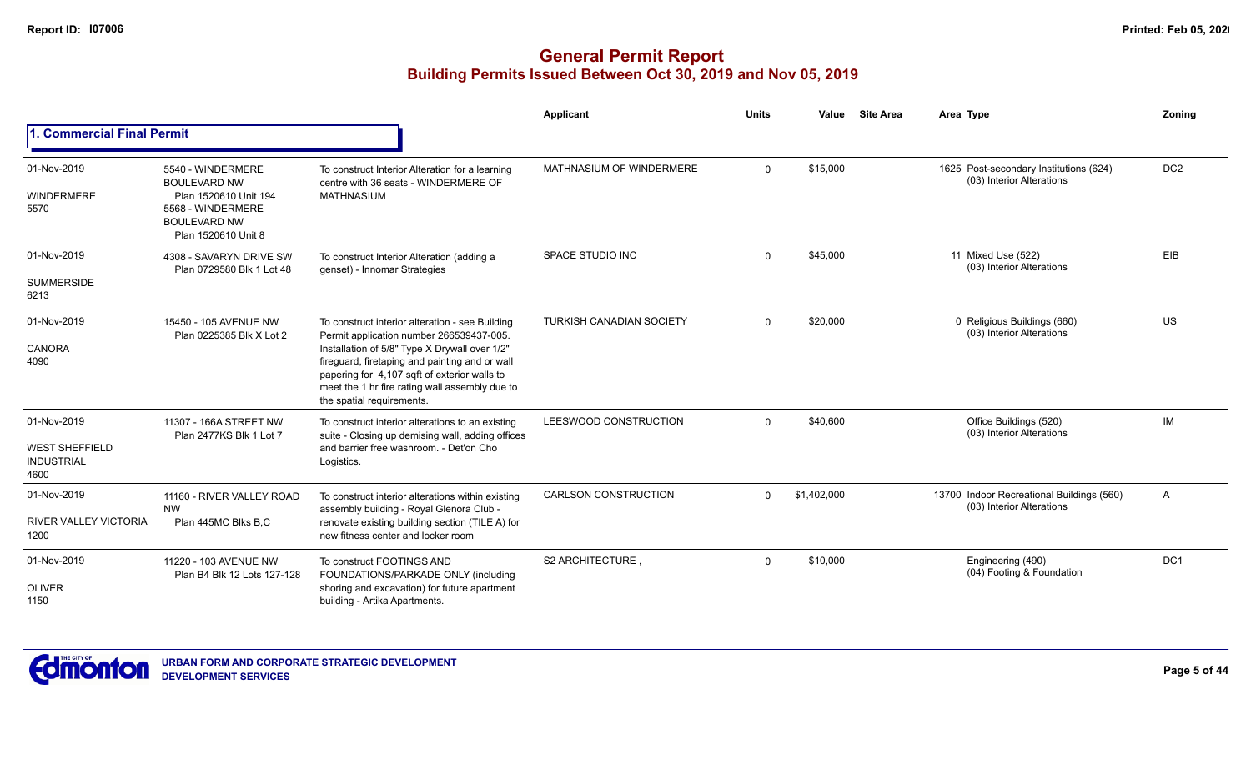|                                                                   |                                                                                                                                      |                                                                                                                                                                                                                                                                                                                               | Applicant                       | <b>Units</b> | Value       | <b>Site Area</b> | Area Type                                                              | Zoning          |
|-------------------------------------------------------------------|--------------------------------------------------------------------------------------------------------------------------------------|-------------------------------------------------------------------------------------------------------------------------------------------------------------------------------------------------------------------------------------------------------------------------------------------------------------------------------|---------------------------------|--------------|-------------|------------------|------------------------------------------------------------------------|-----------------|
| 1. Commercial Final Permit                                        |                                                                                                                                      |                                                                                                                                                                                                                                                                                                                               |                                 |              |             |                  |                                                                        |                 |
| 01-Nov-2019<br><b>WINDERMERE</b><br>5570                          | 5540 - WINDERMERE<br><b>BOULEVARD NW</b><br>Plan 1520610 Unit 194<br>5568 - WINDERMERE<br><b>BOULEVARD NW</b><br>Plan 1520610 Unit 8 | To construct Interior Alteration for a learning<br>centre with 36 seats - WINDERMERE OF<br><b>MATHNASIUM</b>                                                                                                                                                                                                                  | MATHNASIUM OF WINDERMERE        | $\mathbf{0}$ | \$15,000    |                  | 1625 Post-secondary Institutions (624)<br>(03) Interior Alterations    | DC <sub>2</sub> |
| 01-Nov-2019<br><b>SUMMERSIDE</b><br>6213                          | 4308 - SAVARYN DRIVE SW<br>Plan 0729580 Blk 1 Lot 48                                                                                 | To construct Interior Alteration (adding a<br>genset) - Innomar Strategies                                                                                                                                                                                                                                                    | SPACE STUDIO INC                | $\mathbf 0$  | \$45,000    |                  | 11 Mixed Use (522)<br>(03) Interior Alterations                        | EIB             |
| 01-Nov-2019<br><b>CANORA</b><br>4090                              | 15450 - 105 AVENUE NW<br>Plan 0225385 Blk X Lot 2                                                                                    | To construct interior alteration - see Building<br>Permit application number 266539437-005.<br>Installation of 5/8" Type X Drywall over 1/2"<br>fireguard, firetaping and painting and or wall<br>papering for 4,107 sqft of exterior walls to<br>meet the 1 hr fire rating wall assembly due to<br>the spatial requirements. | <b>TURKISH CANADIAN SOCIETY</b> | $\Omega$     | \$20,000    |                  | 0 Religious Buildings (660)<br>(03) Interior Alterations               | <b>US</b>       |
| 01-Nov-2019<br><b>WEST SHEFFIELD</b><br><b>INDUSTRIAL</b><br>4600 | 11307 - 166A STREET NW<br>Plan 2477KS Blk 1 Lot 7                                                                                    | To construct interior alterations to an existing<br>suite - Closing up demising wall, adding offices<br>and barrier free washroom. - Det'on Cho<br>Logistics.                                                                                                                                                                 | LEESWOOD CONSTRUCTION           | $\mathbf 0$  | \$40,600    |                  | Office Buildings (520)<br>(03) Interior Alterations                    | <b>IM</b>       |
| 01-Nov-2019<br><b>RIVER VALLEY VICTORIA</b><br>1200               | 11160 - RIVER VALLEY ROAD<br><b>NW</b><br>Plan 445MC Blks B,C                                                                        | To construct interior alterations within existing<br>assembly building - Royal Glenora Club -<br>renovate existing building section (TILE A) for<br>new fitness center and locker room                                                                                                                                        | <b>CARLSON CONSTRUCTION</b>     | $\Omega$     | \$1,402,000 |                  | 13700 Indoor Recreational Buildings (560)<br>(03) Interior Alterations | A               |
| 01-Nov-2019<br><b>OLIVER</b><br>1150                              | 11220 - 103 AVENUE NW<br>Plan B4 Blk 12 Lots 127-128                                                                                 | To construct FOOTINGS AND<br>FOUNDATIONS/PARKADE ONLY (including<br>shoring and excavation) for future apartment<br>building - Artika Apartments.                                                                                                                                                                             | S2 ARCHITECTURE                 | $\mathbf 0$  | \$10,000    |                  | Engineering (490)<br>(04) Footing & Foundation                         | DC <sub>1</sub> |

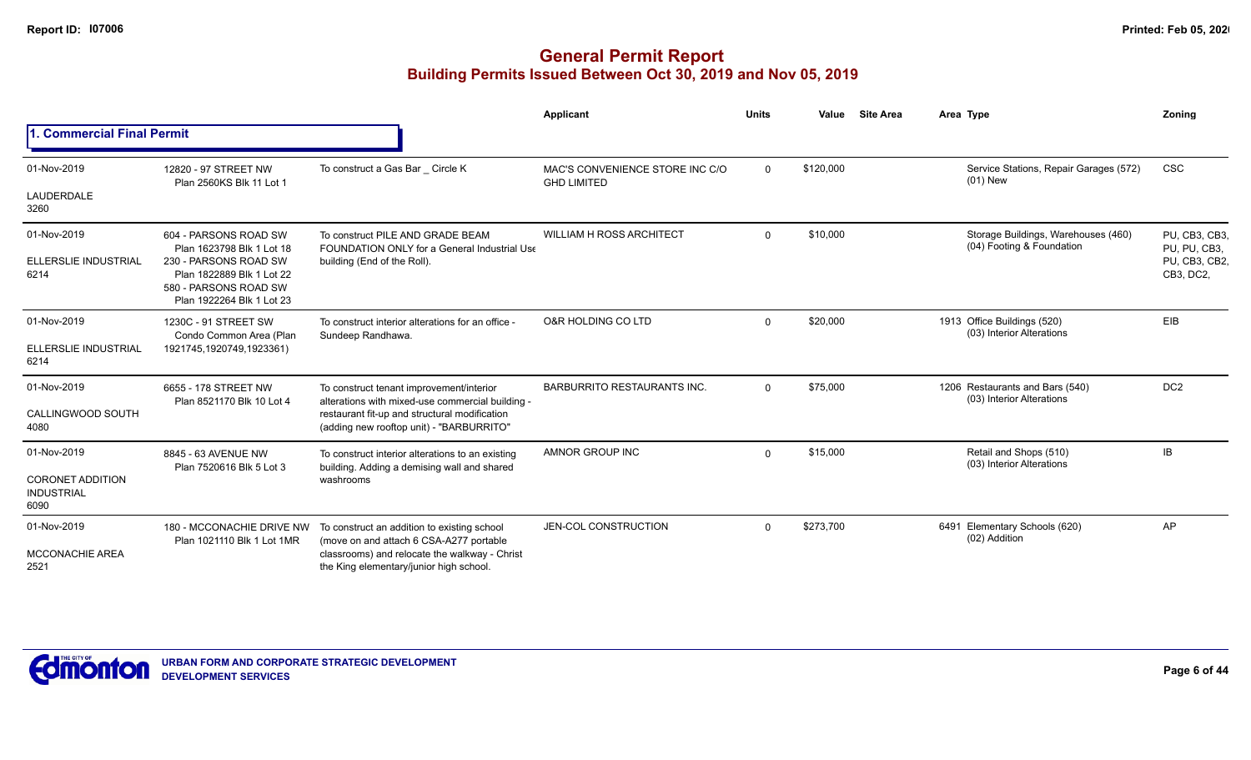|                                                      |                                                                                                          |                                                                                              | Applicant                                             | <b>Units</b> | Value     | <b>Site Area</b> | Area Type                                                        | Zoning                        |
|------------------------------------------------------|----------------------------------------------------------------------------------------------------------|----------------------------------------------------------------------------------------------|-------------------------------------------------------|--------------|-----------|------------------|------------------------------------------------------------------|-------------------------------|
| 1. Commercial Final Permit                           |                                                                                                          |                                                                                              |                                                       |              |           |                  |                                                                  |                               |
| 01-Nov-2019                                          | 12820 - 97 STREET NW                                                                                     | To construct a Gas Bar Circle K                                                              | MAC'S CONVENIENCE STORE INC C/O<br><b>GHD LIMITED</b> | $\mathbf 0$  | \$120,000 |                  | Service Stations, Repair Garages (572)<br>$(01)$ New             | <b>CSC</b>                    |
| LAUDERDALE<br>3260                                   | Plan 2560KS Blk 11 Lot 1                                                                                 |                                                                                              |                                                       |              |           |                  |                                                                  |                               |
| 01-Nov-2019                                          | 604 - PARSONS ROAD SW<br>Plan 1623798 Blk 1 Lot 18                                                       | To construct PILE AND GRADE BEAM<br><b>FOUNDATION ONLY for a General Industrial Use</b>      | <b>WILLIAM H ROSS ARCHITECT</b>                       | $\Omega$     | \$10,000  |                  | Storage Buildings, Warehouses (460)<br>(04) Footing & Foundation | PU. CB3. CB3.<br>PU, PU, CB3, |
| <b>ELLERSLIE INDUSTRIAL</b><br>6214                  | 230 - PARSONS ROAD SW<br>Plan 1822889 Blk 1 Lot 22<br>580 - PARSONS ROAD SW<br>Plan 1922264 Blk 1 Lot 23 | building (End of the Roll).                                                                  |                                                       |              |           |                  |                                                                  | PU, CB3, CB2,<br>CB3, DC2,    |
| 01-Nov-2019                                          | 1230C - 91 STREET SW<br>Condo Common Area (Plan<br>1921745,1920749,1923361)                              | To construct interior alterations for an office -<br>Sundeep Randhawa.                       | O&R HOLDING CO LTD                                    | $\Omega$     | \$20,000  |                  | 1913 Office Buildings (520)<br>(03) Interior Alterations         | <b>EIB</b>                    |
| ELLERSLIE INDUSTRIAL<br>6214                         |                                                                                                          |                                                                                              |                                                       |              |           |                  |                                                                  |                               |
| 01-Nov-2019                                          | 6655 - 178 STREET NW<br>Plan 8521170 Blk 10 Lot 4                                                        | To construct tenant improvement/interior<br>alterations with mixed-use commercial building - | <b>BARBURRITO RESTAURANTS INC.</b>                    | $\Omega$     | \$75,000  |                  | 1206 Restaurants and Bars (540)<br>(03) Interior Alterations     | DC <sub>2</sub>               |
| CALLINGWOOD SOUTH<br>4080                            |                                                                                                          | restaurant fit-up and structural modification<br>(adding new rooftop unit) - "BARBURRITO"    |                                                       |              |           |                  |                                                                  |                               |
| 01-Nov-2019                                          | 8845 - 63 AVENUE NW                                                                                      | To construct interior alterations to an existing                                             | AMNOR GROUP INC                                       | $\Omega$     | \$15,000  |                  | Retail and Shops (510)<br>(03) Interior Alterations              | IB                            |
| <b>CORONET ADDITION</b><br><b>INDUSTRIAL</b><br>6090 | Plan 7520616 Blk 5 Lot 3<br>building. Adding a demising wall and shared<br>washrooms                     |                                                                                              |                                                       |              |           |                  |                                                                  |                               |
| 01-Nov-2019                                          | 180 - MCCONACHIE DRIVE NW<br>Plan 1021110 Blk 1 Lot 1MR                                                  | To construct an addition to existing school<br>(move on and attach 6 CSA-A277 portable       | JEN-COL CONSTRUCTION                                  | $\Omega$     | \$273,700 |                  | Elementary Schools (620)<br>6491<br>(02) Addition                | AP                            |
| <b>MCCONACHIE AREA</b><br>2521                       |                                                                                                          | classrooms) and relocate the walkway - Christ<br>the King elementary/junior high school.     |                                                       |              |           |                  |                                                                  |                               |

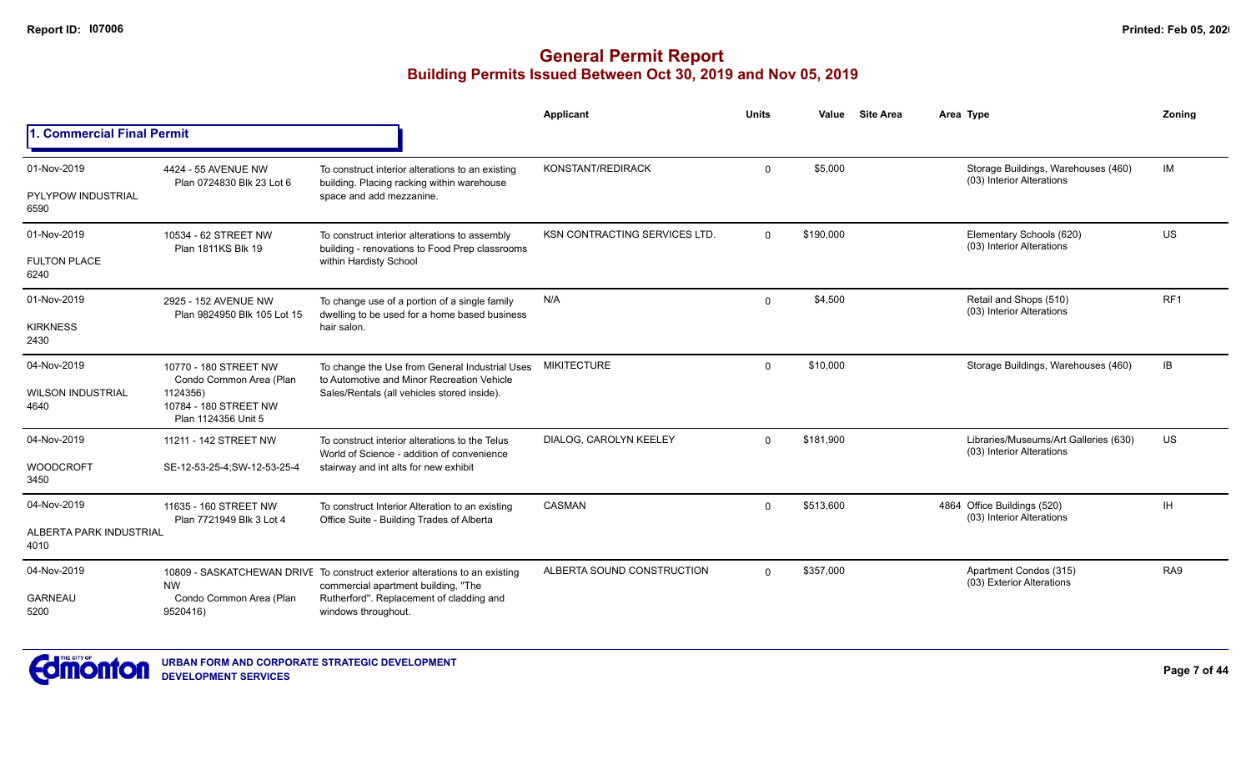|                                                  |                                                                                                              |                                                                                                                                                                                       | Applicant                            | <b>Units</b> | Value     | <b>Site Area</b> | Area Type                                                          | Zonina          |
|--------------------------------------------------|--------------------------------------------------------------------------------------------------------------|---------------------------------------------------------------------------------------------------------------------------------------------------------------------------------------|--------------------------------------|--------------|-----------|------------------|--------------------------------------------------------------------|-----------------|
| 1. Commercial Final Permit                       |                                                                                                              |                                                                                                                                                                                       |                                      |              |           |                  |                                                                    |                 |
| 01-Nov-2019<br><b>PYLYPOW INDUSTRIAL</b><br>6590 | 4424 - 55 AVENUE NW<br>Plan 0724830 Blk 23 Lot 6                                                             | To construct interior alterations to an existing<br>building. Placing racking within warehouse<br>space and add mezzanine.                                                            | KONSTANT/REDIRACK                    | 0            | \$5,000   |                  | Storage Buildings, Warehouses (460)<br>(03) Interior Alterations   | <b>IM</b>       |
| 01-Nov-2019<br><b>FULTON PLACE</b><br>6240       | 10534 - 62 STREET NW<br><b>Plan 1811KS Blk 19</b>                                                            | To construct interior alterations to assembly<br>building - renovations to Food Prep classrooms<br>within Hardisty School                                                             | <b>KSN CONTRACTING SERVICES LTD.</b> | $\Omega$     | \$190,000 |                  | Elementary Schools (620)<br>(03) Interior Alterations              | US              |
| 01-Nov-2019<br><b>KIRKNESS</b><br>2430           | 2925 - 152 AVENUE NW<br>Plan 9824950 Blk 105 Lot 15                                                          | To change use of a portion of a single family<br>dwelling to be used for a home based business<br>hair salon.                                                                         | N/A                                  | $\mathbf 0$  | \$4,500   |                  | Retail and Shops (510)<br>(03) Interior Alterations                | RF <sub>1</sub> |
| 04-Nov-2019<br><b>WILSON INDUSTRIAL</b><br>4640  | 10770 - 180 STREET NW<br>Condo Common Area (Plan<br>1124356)<br>10784 - 180 STREET NW<br>Plan 1124356 Unit 5 | To change the Use from General Industrial Uses<br>to Automotive and Minor Recreation Vehicle<br>Sales/Rentals (all vehicles stored inside).                                           | <b>MIKITECTURE</b>                   | $\mathbf{0}$ | \$10,000  |                  | Storage Buildings, Warehouses (460)                                | IB              |
| 04-Nov-2019<br><b>WOODCROFT</b><br>3450          | 11211 - 142 STREET NW<br>SE-12-53-25-4;SW-12-53-25-4                                                         | To construct interior alterations to the Telus<br>World of Science - addition of convenience<br>stairway and int alts for new exhibit                                                 | DIALOG, CAROLYN KEELEY               | $\Omega$     | \$181,900 |                  | Libraries/Museums/Art Galleries (630)<br>(03) Interior Alterations | <b>US</b>       |
| 04-Nov-2019<br>ALBERTA PARK INDUSTRIAL<br>4010   | 11635 - 160 STREET NW<br>Plan 7721949 Blk 3 Lot 4                                                            | To construct Interior Alteration to an existing<br>Office Suite - Building Trades of Alberta                                                                                          | <b>CASMAN</b>                        | 0            | \$513,600 |                  | 4864 Office Buildings (520)<br>(03) Interior Alterations           | IH.             |
| 04-Nov-2019<br><b>GARNEAU</b><br>5200            | <b>NW</b><br>Condo Common Area (Plan<br>9520416)                                                             | 10809 - SASKATCHEWAN DRIVE To construct exterior alterations to an existing<br>commercial apartment building, "The<br>Rutherford". Replacement of cladding and<br>windows throughout. | ALBERTA SOUND CONSTRUCTION           | $\Omega$     | \$357,000 |                  | Apartment Condos (315)<br>(03) Exterior Alterations                | RA9             |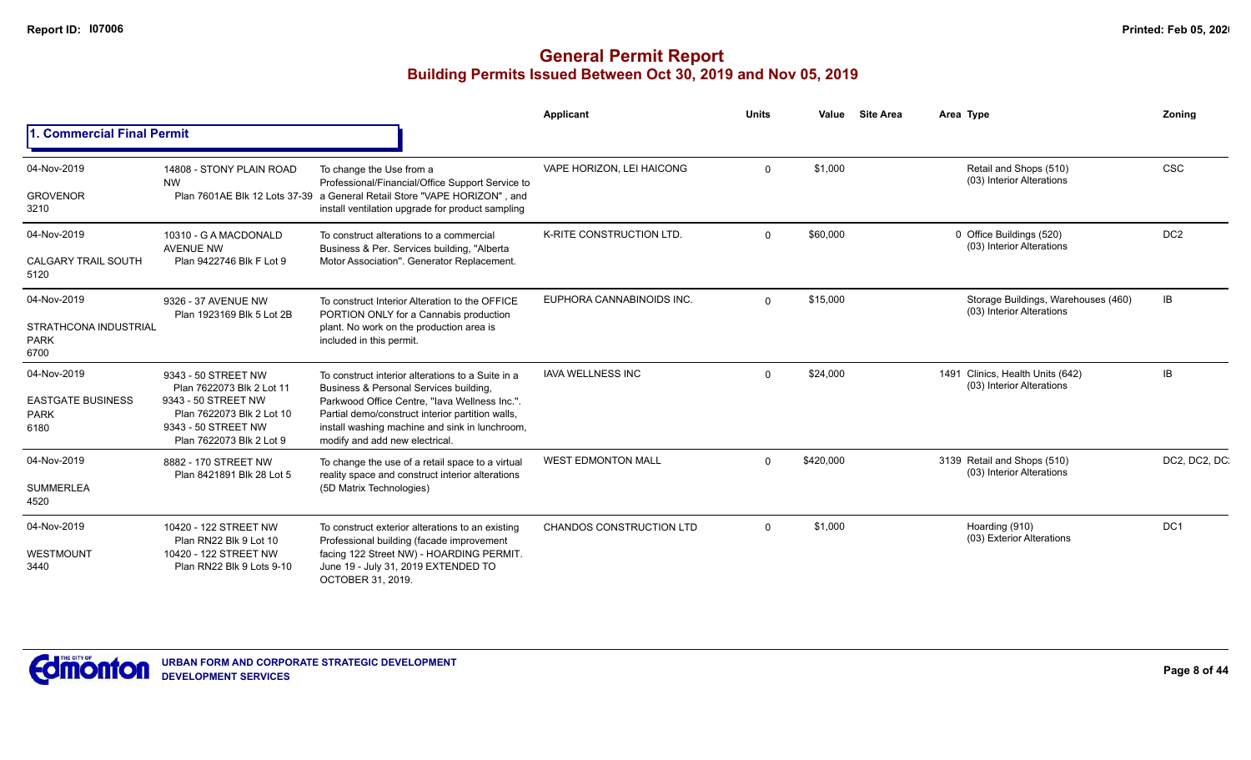|                                                                |                                                                                                                                                         |                                                                                                                                                                                                                                                                                      | <b>Applicant</b>                | <b>Units</b> | Value     | <b>Site Area</b> | Area Type                                                        | Zonina          |
|----------------------------------------------------------------|---------------------------------------------------------------------------------------------------------------------------------------------------------|--------------------------------------------------------------------------------------------------------------------------------------------------------------------------------------------------------------------------------------------------------------------------------------|---------------------------------|--------------|-----------|------------------|------------------------------------------------------------------|-----------------|
| <b>I. Commercial Final Permit</b>                              |                                                                                                                                                         |                                                                                                                                                                                                                                                                                      |                                 |              |           |                  |                                                                  |                 |
| 04-Nov-2019<br><b>GROVENOR</b><br>3210                         | 14808 - STONY PLAIN ROAD<br><b>NW</b>                                                                                                                   | To change the Use from a<br>Professional/Financial/Office Support Service to<br>Plan 7601AE Blk 12 Lots 37-39 a General Retail Store "VAPE HORIZON", and<br>install ventilation upgrade for product sampling                                                                         | VAPE HORIZON, LEI HAICONG       | $\Omega$     | \$1,000   |                  | Retail and Shops (510)<br>(03) Interior Alterations              | <b>CSC</b>      |
| 04-Nov-2019<br><b>CALGARY TRAIL SOUTH</b><br>5120              | 10310 - G A MACDONALD<br><b>AVENUE NW</b><br>Plan 9422746 Blk F Lot 9                                                                                   | To construct alterations to a commercial<br>Business & Per. Services building, "Alberta<br>Motor Association". Generator Replacement.                                                                                                                                                | K-RITE CONSTRUCTION LTD.        | $\Omega$     | \$60,000  |                  | 0 Office Buildings (520)<br>(03) Interior Alterations            | DC <sub>2</sub> |
| 04-Nov-2019<br>STRATHCONA INDUSTRIAL<br><b>PARK</b><br>6700    | 9326 - 37 AVENUE NW<br>Plan 1923169 Blk 5 Lot 2B                                                                                                        | To construct Interior Alteration to the OFFICE<br>PORTION ONLY for a Cannabis production<br>plant. No work on the production area is<br>included in this permit.                                                                                                                     | EUPHORA CANNABINOIDS INC.       | $\Omega$     | \$15,000  |                  | Storage Buildings, Warehouses (460)<br>(03) Interior Alterations | IB              |
| 04-Nov-2019<br><b>EASTGATE BUSINESS</b><br><b>PARK</b><br>6180 | 9343 - 50 STREET NW<br>Plan 7622073 Blk 2 Lot 11<br>9343 - 50 STREET NW<br>Plan 7622073 Blk 2 Lot 10<br>9343 - 50 STREET NW<br>Plan 7622073 Blk 2 Lot 9 | To construct interior alterations to a Suite in a<br>Business & Personal Services building,<br>Parkwood Office Centre, "lava Wellness Inc.".<br>Partial demo/construct interior partition walls,<br>install washing machine and sink in lunchroom,<br>modify and add new electrical. | <b>IAVA WELLNESS INC</b>        | 0            | \$24,000  |                  | 1491 Clinics, Health Units (642)<br>(03) Interior Alterations    | IB              |
| 04-Nov-2019<br><b>SUMMERLEA</b><br>4520                        | 8882 - 170 STREET NW<br>Plan 8421891 Blk 28 Lot 5                                                                                                       | To change the use of a retail space to a virtual<br>reality space and construct interior alterations<br>(5D Matrix Technologies)                                                                                                                                                     | <b>WEST EDMONTON MALL</b>       | $\Omega$     | \$420,000 |                  | 3139 Retail and Shops (510)<br>(03) Interior Alterations         | DC2, DC2, DC.   |
| 04-Nov-2019<br>WESTMOUNT<br>3440                               | 10420 - 122 STREET NW<br>Plan RN22 Blk 9 Lot 10<br>10420 - 122 STREET NW<br>Plan RN22 Blk 9 Lots 9-10                                                   | To construct exterior alterations to an existing<br>Professional building (facade improvement<br>facing 122 Street NW) - HOARDING PERMIT.<br>June 19 - July 31, 2019 EXTENDED TO<br>OCTOBER 31, 2019.                                                                                | <b>CHANDOS CONSTRUCTION LTD</b> | $\mathbf 0$  | \$1,000   |                  | Hoarding (910)<br>(03) Exterior Alterations                      | DC1             |

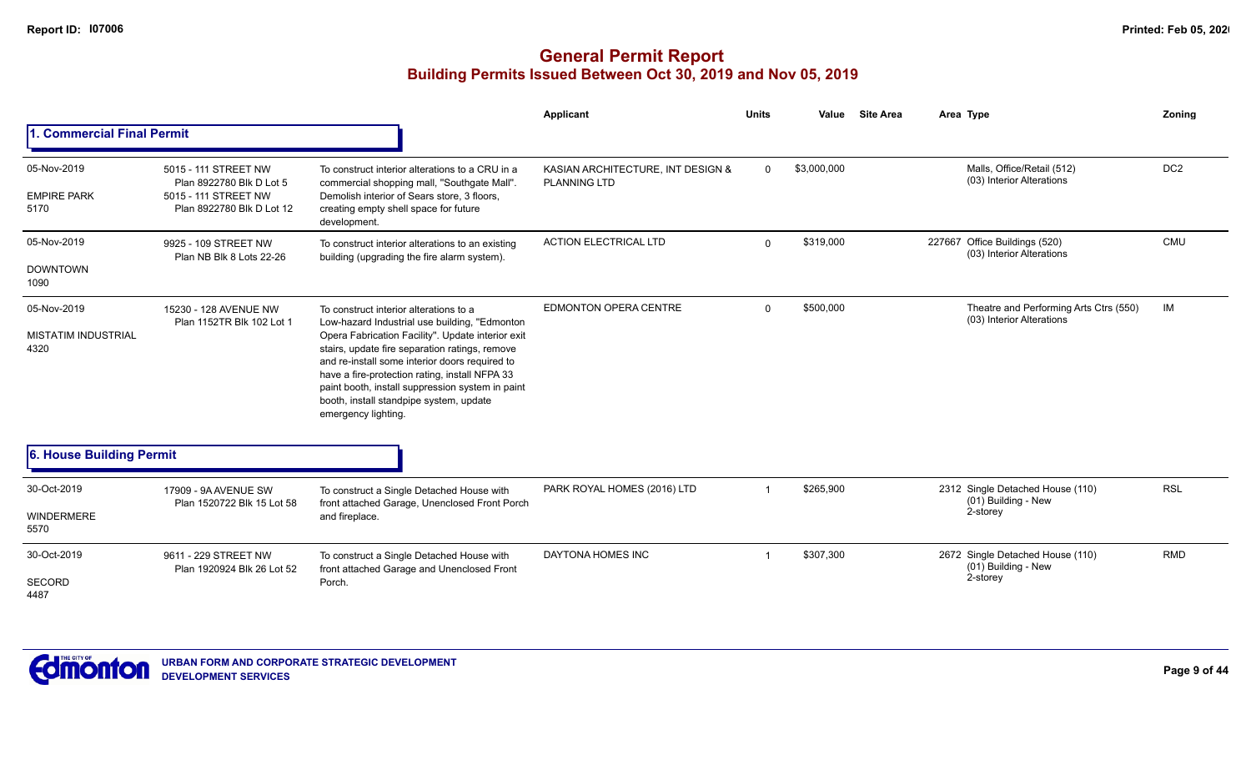|                                                   |                                                                                                       |                                                                                                                                                                                                                                                                                                                                                                                                                          | Applicant                                                | <b>Units</b> | Value       | <b>Site Area</b> | Area Type                                                           | Zoning          |
|---------------------------------------------------|-------------------------------------------------------------------------------------------------------|--------------------------------------------------------------------------------------------------------------------------------------------------------------------------------------------------------------------------------------------------------------------------------------------------------------------------------------------------------------------------------------------------------------------------|----------------------------------------------------------|--------------|-------------|------------------|---------------------------------------------------------------------|-----------------|
| <b>Commercial Final Permit</b>                    |                                                                                                       |                                                                                                                                                                                                                                                                                                                                                                                                                          |                                                          |              |             |                  |                                                                     |                 |
| 05-Nov-2019<br><b>EMPIRE PARK</b><br>5170         | 5015 - 111 STREET NW<br>Plan 8922780 Blk D Lot 5<br>5015 - 111 STREET NW<br>Plan 8922780 Blk D Lot 12 | To construct interior alterations to a CRU in a<br>commercial shopping mall, "Southgate Mall".<br>Demolish interior of Sears store, 3 floors,<br>creating empty shell space for future<br>development.                                                                                                                                                                                                                   | KASIAN ARCHITECTURE, INT DESIGN &<br><b>PLANNING LTD</b> | $\Omega$     | \$3,000,000 |                  | Malls, Office/Retail (512)<br>(03) Interior Alterations             | DC <sub>2</sub> |
| 05-Nov-2019<br><b>DOWNTOWN</b><br>1090            | 9925 - 109 STREET NW<br>Plan NB Blk 8 Lots 22-26                                                      | To construct interior alterations to an existing<br>building (upgrading the fire alarm system).                                                                                                                                                                                                                                                                                                                          | <b>ACTION ELECTRICAL LTD</b>                             | $\Omega$     | \$319,000   |                  | Office Buildings (520)<br>227667<br>(03) Interior Alterations       | <b>CMU</b>      |
| 05-Nov-2019<br><b>MISTATIM INDUSTRIAL</b><br>4320 | 15230 - 128 AVENUE NW<br>Plan 1152TR Blk 102 Lot 1                                                    | To construct interior alterations to a<br>Low-hazard Industrial use building, "Edmonton<br>Opera Fabrication Facility". Update interior exit<br>stairs, update fire separation ratings, remove<br>and re-install some interior doors required to<br>have a fire-protection rating, install NFPA 33<br>paint booth, install suppression system in paint<br>booth, install standpipe system, update<br>emergency lighting. | <b>EDMONTON OPERA CENTRE</b>                             | $\Omega$     | \$500,000   |                  | Theatre and Performing Arts Ctrs (550)<br>(03) Interior Alterations | IM              |
| 6. House Building Permit                          |                                                                                                       |                                                                                                                                                                                                                                                                                                                                                                                                                          |                                                          |              |             |                  |                                                                     |                 |
| 30-Oct-2019<br>WINDERMERE<br>5570                 | 17909 - 9A AVENUE SW<br>Plan 1520722 Blk 15 Lot 58                                                    | To construct a Single Detached House with<br>front attached Garage, Unenclosed Front Porch<br>and fireplace.                                                                                                                                                                                                                                                                                                             | PARK ROYAL HOMES (2016) LTD                              |              | \$265,900   |                  | 2312 Single Detached House (110)<br>(01) Building - New<br>2-storey | <b>RSL</b>      |
| 30-Oct-2019<br><b>SECORD</b><br>4487              | 9611 - 229 STREET NW<br>Plan 1920924 Blk 26 Lot 52                                                    | To construct a Single Detached House with<br>front attached Garage and Unenclosed Front<br>Porch.                                                                                                                                                                                                                                                                                                                        | <b>DAYTONA HOMES INC</b>                                 |              | \$307,300   |                  | 2672 Single Detached House (110)<br>(01) Building - New<br>2-storey | <b>RMD</b>      |

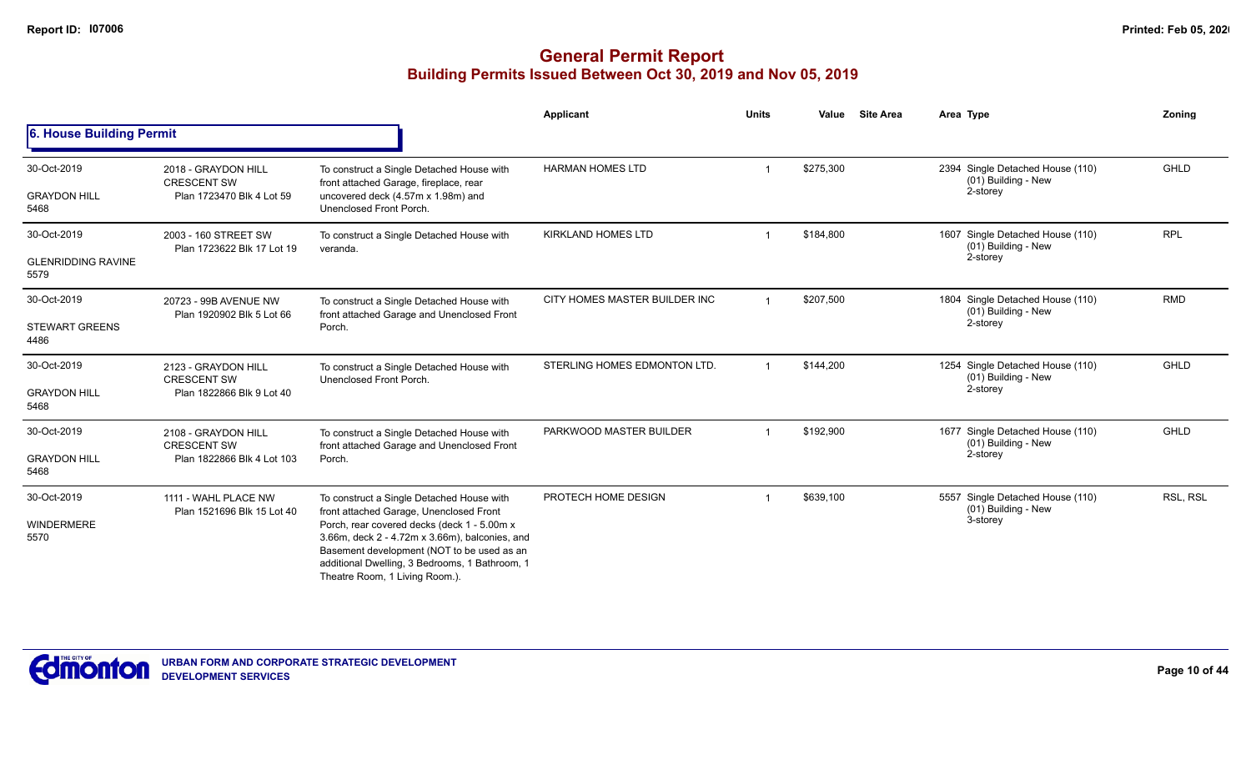|                                                  |                                                                         |                                                                                                                                                                                                                                                                                                                         | Applicant                     | <b>Units</b> | Value     | Site Area | Area Type                                                           | Zoning      |
|--------------------------------------------------|-------------------------------------------------------------------------|-------------------------------------------------------------------------------------------------------------------------------------------------------------------------------------------------------------------------------------------------------------------------------------------------------------------------|-------------------------------|--------------|-----------|-----------|---------------------------------------------------------------------|-------------|
| 6. House Building Permit                         |                                                                         |                                                                                                                                                                                                                                                                                                                         |                               |              |           |           |                                                                     |             |
| 30-Oct-2019<br><b>GRAYDON HILL</b><br>5468       | 2018 - GRAYDON HILL<br><b>CRESCENT SW</b><br>Plan 1723470 Blk 4 Lot 59  | To construct a Single Detached House with<br>front attached Garage, fireplace, rear<br>uncovered deck (4.57m x 1.98m) and<br>Unenclosed Front Porch.                                                                                                                                                                    | <b>HARMAN HOMES LTD</b>       |              | \$275,300 |           | 2394 Single Detached House (110)<br>(01) Building - New<br>2-storey | <b>GHLD</b> |
| 30-Oct-2019<br><b>GLENRIDDING RAVINE</b><br>5579 | 2003 - 160 STREET SW<br>Plan 1723622 Blk 17 Lot 19                      | To construct a Single Detached House with<br>veranda.                                                                                                                                                                                                                                                                   | <b>KIRKLAND HOMES LTD</b>     |              | \$184,800 |           | 1607 Single Detached House (110)<br>(01) Building - New<br>2-storey | <b>RPL</b>  |
| 30-Oct-2019<br><b>STEWART GREENS</b><br>4486     | 20723 - 99B AVENUE NW<br>Plan 1920902 Blk 5 Lot 66                      | To construct a Single Detached House with<br>front attached Garage and Unenclosed Front<br>Porch.                                                                                                                                                                                                                       | CITY HOMES MASTER BUILDER INC |              | \$207,500 |           | 1804 Single Detached House (110)<br>(01) Building - New<br>2-storey | <b>RMD</b>  |
| 30-Oct-2019<br><b>GRAYDON HILL</b><br>5468       | 2123 - GRAYDON HILL<br><b>CRESCENT SW</b><br>Plan 1822866 Blk 9 Lot 40  | To construct a Single Detached House with<br>Unenclosed Front Porch.                                                                                                                                                                                                                                                    | STERLING HOMES EDMONTON LTD.  |              | \$144,200 |           | 1254 Single Detached House (110)<br>(01) Building - New<br>2-storey | GHLD        |
| 30-Oct-2019<br><b>GRAYDON HILL</b><br>5468       | 2108 - GRAYDON HILL<br><b>CRESCENT SW</b><br>Plan 1822866 Blk 4 Lot 103 | To construct a Single Detached House with<br>front attached Garage and Unenclosed Front<br>Porch.                                                                                                                                                                                                                       | PARKWOOD MASTER BUILDER       |              | \$192,900 |           | 1677 Single Detached House (110)<br>(01) Building - New<br>2-storey | GHLD        |
| 30-Oct-2019<br><b>WINDERMERE</b><br>5570         | 1111 - WAHL PLACE NW<br>Plan 1521696 Blk 15 Lot 40                      | To construct a Single Detached House with<br>front attached Garage, Unenclosed Front<br>Porch, rear covered decks (deck 1 - 5.00m x<br>3.66m, deck 2 - 4.72m x 3.66m), balconies, and<br>Basement development (NOT to be used as an<br>additional Dwelling, 3 Bedrooms, 1 Bathroom, 1<br>Theatre Room, 1 Living Room.). | PROTECH HOME DESIGN           |              | \$639,100 |           | 5557 Single Detached House (110)<br>(01) Building - New<br>3-storey | RSL, RSL    |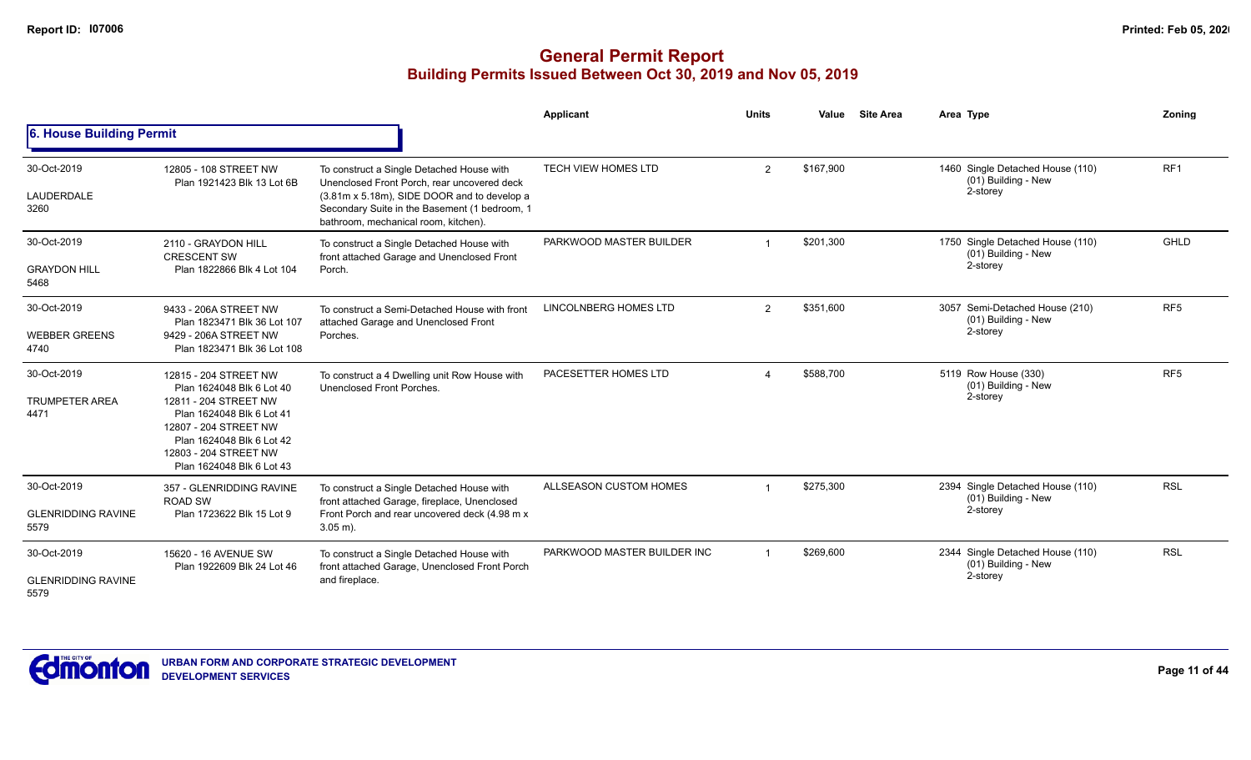|                                                  |                                                                                                                                                                                                                      |                                                                                                                                                                                                                                  | <b>Applicant</b>             | <b>Units</b>   | Value     | <b>Site Area</b> | Area Type                                                           | Zoning          |
|--------------------------------------------------|----------------------------------------------------------------------------------------------------------------------------------------------------------------------------------------------------------------------|----------------------------------------------------------------------------------------------------------------------------------------------------------------------------------------------------------------------------------|------------------------------|----------------|-----------|------------------|---------------------------------------------------------------------|-----------------|
| 6. House Building Permit                         |                                                                                                                                                                                                                      |                                                                                                                                                                                                                                  |                              |                |           |                  |                                                                     |                 |
| 30-Oct-2019<br>LAUDERDALE<br>3260                | 12805 - 108 STREET NW<br>Plan 1921423 Blk 13 Lot 6B                                                                                                                                                                  | To construct a Single Detached House with<br>Unenclosed Front Porch, rear uncovered deck<br>(3.81m x 5.18m), SIDE DOOR and to develop a<br>Secondary Suite in the Basement (1 bedroom, 1<br>bathroom, mechanical room, kitchen). | <b>TECH VIEW HOMES LTD</b>   | $\overline{2}$ | \$167.900 |                  | 1460 Single Detached House (110)<br>(01) Building - New<br>2-storey | RF <sub>1</sub> |
| 30-Oct-2019<br><b>GRAYDON HILL</b><br>5468       | 2110 - GRAYDON HILL<br><b>CRESCENT SW</b><br>Plan 1822866 Blk 4 Lot 104                                                                                                                                              | To construct a Single Detached House with<br>front attached Garage and Unenclosed Front<br>Porch.                                                                                                                                | PARKWOOD MASTER BUILDER      |                | \$201,300 |                  | 1750 Single Detached House (110)<br>(01) Building - New<br>2-storey | GHLD            |
| 30-Oct-2019<br><b>WEBBER GREENS</b><br>4740      | 9433 - 206A STREET NW<br>Plan 1823471 Blk 36 Lot 107<br>9429 - 206A STREET NW<br>Plan 1823471 Blk 36 Lot 108                                                                                                         | To construct a Semi-Detached House with front<br>attached Garage and Unenclosed Front<br>Porches.                                                                                                                                | <b>LINCOLNBERG HOMES LTD</b> | 2              | \$351,600 |                  | 3057 Semi-Detached House (210)<br>(01) Building - New<br>2-storey   | RF <sub>5</sub> |
| 30-Oct-2019<br><b>TRUMPETER AREA</b><br>4471     | 12815 - 204 STREET NW<br>Plan 1624048 Blk 6 Lot 40<br>12811 - 204 STREET NW<br>Plan 1624048 Blk 6 Lot 41<br>12807 - 204 STREET NW<br>Plan 1624048 Blk 6 Lot 42<br>12803 - 204 STREET NW<br>Plan 1624048 Blk 6 Lot 43 | To construct a 4 Dwelling unit Row House with<br>Unenclosed Front Porches.                                                                                                                                                       | PACESETTER HOMES LTD         |                | \$588,700 |                  | 5119 Row House (330)<br>(01) Building - New<br>2-storey             | RF <sub>5</sub> |
| 30-Oct-2019<br><b>GLENRIDDING RAVINE</b><br>5579 | 357 - GLENRIDDING RAVINE<br><b>ROAD SW</b><br>Plan 1723622 Blk 15 Lot 9                                                                                                                                              | To construct a Single Detached House with<br>front attached Garage, fireplace, Unenclosed<br>Front Porch and rear uncovered deck (4.98 m x<br>$3.05$ m).                                                                         | ALLSEASON CUSTOM HOMES       |                | \$275,300 |                  | 2394 Single Detached House (110)<br>(01) Building - New<br>2-storey | <b>RSL</b>      |
| 30-Oct-2019<br><b>GLENRIDDING RAVINE</b><br>5579 | 15620 - 16 AVENUE SW<br>Plan 1922609 Blk 24 Lot 46                                                                                                                                                                   | To construct a Single Detached House with<br>front attached Garage, Unenclosed Front Porch<br>and fireplace.                                                                                                                     | PARKWOOD MASTER BUILDER INC  |                | \$269,600 |                  | 2344 Single Detached House (110)<br>(01) Building - New<br>2-storey | <b>RSL</b>      |

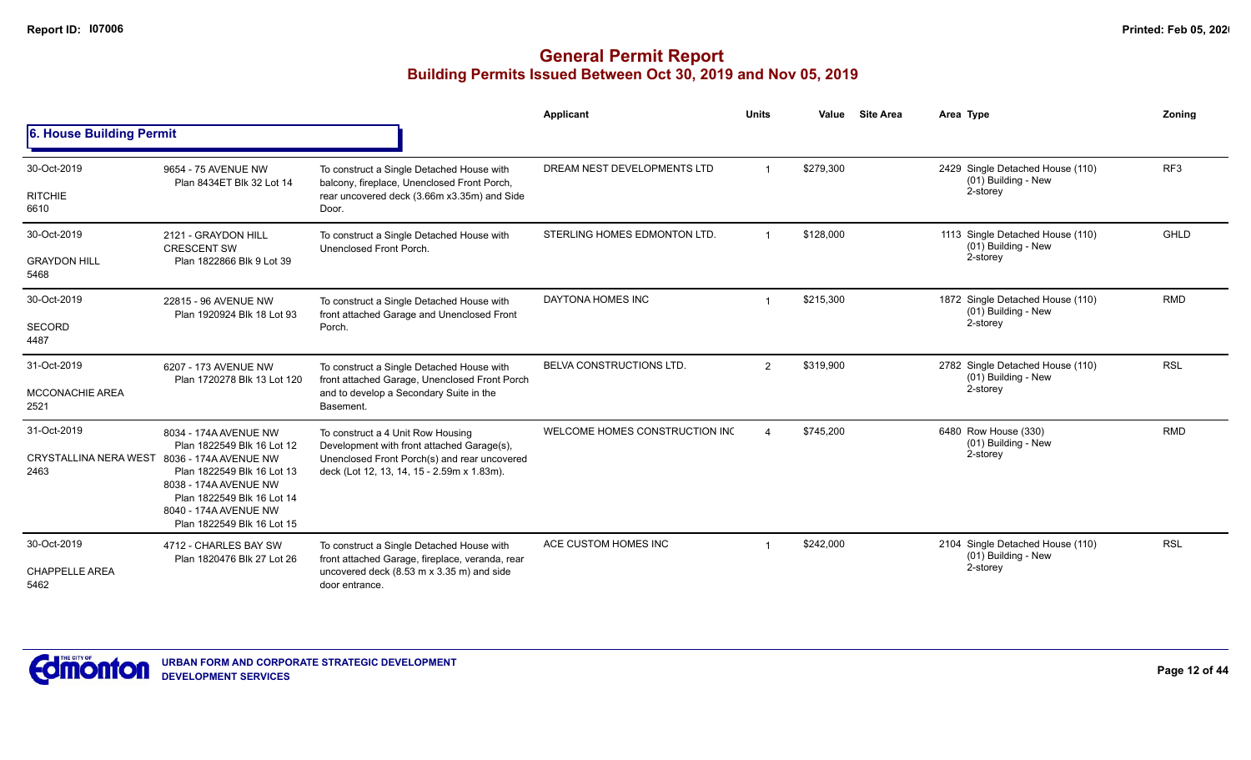|                                               |                                                                                                                                                                                                                          |                                                                                                                                                                               | <b>Applicant</b>               | <b>Units</b>   | Value     | <b>Site Area</b> | Area Type                                                           | Zonina          |
|-----------------------------------------------|--------------------------------------------------------------------------------------------------------------------------------------------------------------------------------------------------------------------------|-------------------------------------------------------------------------------------------------------------------------------------------------------------------------------|--------------------------------|----------------|-----------|------------------|---------------------------------------------------------------------|-----------------|
| 6. House Building Permit                      |                                                                                                                                                                                                                          |                                                                                                                                                                               |                                |                |           |                  |                                                                     |                 |
| 30-Oct-2019<br><b>RITCHIE</b><br>6610         | 9654 - 75 AVENUE NW<br>Plan 8434ET Blk 32 Lot 14                                                                                                                                                                         | To construct a Single Detached House with<br>balcony, fireplace, Unenclosed Front Porch,<br>rear uncovered deck (3.66m x3.35m) and Side<br>Door.                              | DREAM NEST DEVELOPMENTS LTD    |                | \$279.300 |                  | 2429 Single Detached House (110)<br>(01) Building - New<br>2-storey | RF <sub>3</sub> |
| 30-Oct-2019<br><b>GRAYDON HILL</b><br>5468    | 2121 - GRAYDON HILL<br><b>CRESCENT SW</b><br>Plan 1822866 Blk 9 Lot 39                                                                                                                                                   | To construct a Single Detached House with<br>Unenclosed Front Porch.                                                                                                          | STERLING HOMES EDMONTON LTD.   | $\overline{1}$ | \$128,000 |                  | 1113 Single Detached House (110)<br>(01) Building - New<br>2-storey | <b>GHLD</b>     |
| 30-Oct-2019<br>SECORD<br>4487                 | 22815 - 96 AVENUE NW<br>Plan 1920924 Blk 18 Lot 93                                                                                                                                                                       | To construct a Single Detached House with<br>front attached Garage and Unenclosed Front<br>Porch.                                                                             | DAYTONA HOMES INC              |                | \$215,300 |                  | 1872 Single Detached House (110)<br>(01) Building - New<br>2-storey | <b>RMD</b>      |
| 31-Oct-2019<br><b>MCCONACHIE AREA</b><br>2521 | 6207 - 173 AVENUE NW<br>Plan 1720278 Blk 13 Lot 120                                                                                                                                                                      | To construct a Single Detached House with<br>front attached Garage, Unenclosed Front Porch<br>and to develop a Secondary Suite in the<br>Basement.                            | BELVA CONSTRUCTIONS LTD.       | 2              | \$319,900 |                  | 2782 Single Detached House (110)<br>(01) Building - New<br>2-storey | <b>RSL</b>      |
| 31-Oct-2019<br>CRYSTALLINA NERA WEST<br>2463  | 8034 - 174A AVENUE NW<br>Plan 1822549 Blk 16 Lot 12<br>8036 - 174A AVENUE NW<br>Plan 1822549 Blk 16 Lot 13<br>8038 - 174A AVENUE NW<br>Plan 1822549 Blk 16 Lot 14<br>8040 - 174A AVENUE NW<br>Plan 1822549 Blk 16 Lot 15 | To construct a 4 Unit Row Housing<br>Development with front attached Garage(s),<br>Unenclosed Front Porch(s) and rear uncovered<br>deck (Lot 12, 13, 14, 15 - 2.59m x 1.83m). | WELCOME HOMES CONSTRUCTION INC |                | \$745,200 |                  | 6480 Row House (330)<br>(01) Building - New<br>2-storey             | <b>RMD</b>      |
| 30-Oct-2019<br><b>CHAPPELLE AREA</b><br>5462  | 4712 - CHARLES BAY SW<br>Plan 1820476 Blk 27 Lot 26                                                                                                                                                                      | To construct a Single Detached House with<br>front attached Garage, fireplace, veranda, rear<br>uncovered deck (8.53 m x 3.35 m) and side<br>door entrance.                   | ACE CUSTOM HOMES INC           |                | \$242,000 |                  | 2104 Single Detached House (110)<br>(01) Building - New<br>2-storey | <b>RSL</b>      |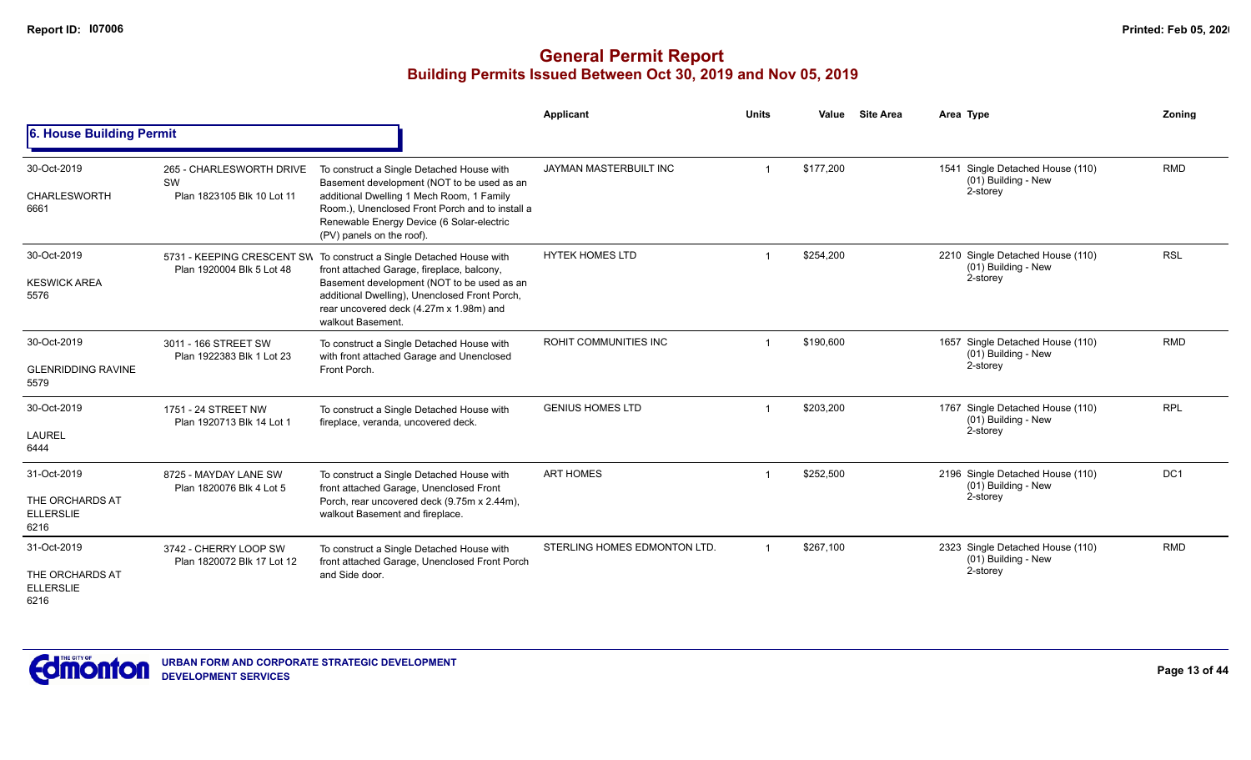|                                                            |                                                                     |                                                                                                                                                                                                                                                                   | <b>Applicant</b>             | <b>Units</b> | Value     | <b>Site Area</b> | Area Type                                                           | Zonina          |
|------------------------------------------------------------|---------------------------------------------------------------------|-------------------------------------------------------------------------------------------------------------------------------------------------------------------------------------------------------------------------------------------------------------------|------------------------------|--------------|-----------|------------------|---------------------------------------------------------------------|-----------------|
| 6. House Building Permit                                   |                                                                     |                                                                                                                                                                                                                                                                   |                              |              |           |                  |                                                                     |                 |
| 30-Oct-2019<br><b>CHARLESWORTH</b><br>6661                 | 265 - CHARLESWORTH DRIVE<br><b>SW</b><br>Plan 1823105 Blk 10 Lot 11 | To construct a Single Detached House with<br>Basement development (NOT to be used as an<br>additional Dwelling 1 Mech Room, 1 Family<br>Room.), Unenclosed Front Porch and to install a<br>Renewable Energy Device (6 Solar-electric<br>(PV) panels on the roof). | JAYMAN MASTERBUILT INC       |              | \$177,200 |                  | 1541 Single Detached House (110)<br>(01) Building - New<br>2-storey | <b>RMD</b>      |
| 30-Oct-2019<br><b>KESWICK AREA</b><br>5576                 | 5731 - KEEPING CRESCENT SW<br>Plan 1920004 Blk 5 Lot 48             | To construct a Single Detached House with<br>front attached Garage, fireplace, balcony,<br>Basement development (NOT to be used as an<br>additional Dwelling), Unenclosed Front Porch,<br>rear uncovered deck (4.27m x 1.98m) and<br>walkout Basement.            | <b>HYTEK HOMES LTD</b>       |              | \$254,200 |                  | 2210 Single Detached House (110)<br>(01) Building - New<br>2-storey | <b>RSL</b>      |
| 30-Oct-2019<br><b>GLENRIDDING RAVINE</b><br>5579           | 3011 - 166 STREET SW<br>Plan 1922383 Blk 1 Lot 23                   | To construct a Single Detached House with<br>with front attached Garage and Unenclosed<br>Front Porch.                                                                                                                                                            | ROHIT COMMUNITIES INC        |              | \$190,600 |                  | 1657 Single Detached House (110)<br>(01) Building - New<br>2-storey | <b>RMD</b>      |
| 30-Oct-2019<br>LAUREL<br>6444                              | 1751 - 24 STREET NW<br>Plan 1920713 Blk 14 Lot 1                    | To construct a Single Detached House with<br>fireplace, veranda, uncovered deck.                                                                                                                                                                                  | <b>GENIUS HOMES LTD</b>      |              | \$203,200 |                  | 1767 Single Detached House (110)<br>(01) Building - New<br>2-storey | <b>RPL</b>      |
| 31-Oct-2019<br>THE ORCHARDS AT<br><b>ELLERSLIE</b><br>6216 | 8725 - MAYDAY LANE SW<br>Plan 1820076 Blk 4 Lot 5                   | To construct a Single Detached House with<br>front attached Garage, Unenclosed Front<br>Porch, rear uncovered deck (9.75m x 2.44m),<br>walkout Basement and fireplace.                                                                                            | <b>ART HOMES</b>             |              | \$252,500 |                  | 2196 Single Detached House (110)<br>(01) Building - New<br>2-storey | DC <sub>1</sub> |
| 31-Oct-2019<br>THE ORCHARDS AT<br><b>ELLERSLIE</b><br>6216 | 3742 - CHERRY LOOP SW<br>Plan 1820072 Blk 17 Lot 12                 | To construct a Single Detached House with<br>front attached Garage, Unenclosed Front Porch<br>and Side door.                                                                                                                                                      | STERLING HOMES EDMONTON LTD. | -1           | \$267,100 |                  | 2323 Single Detached House (110)<br>(01) Building - New<br>2-storey | <b>RMD</b>      |

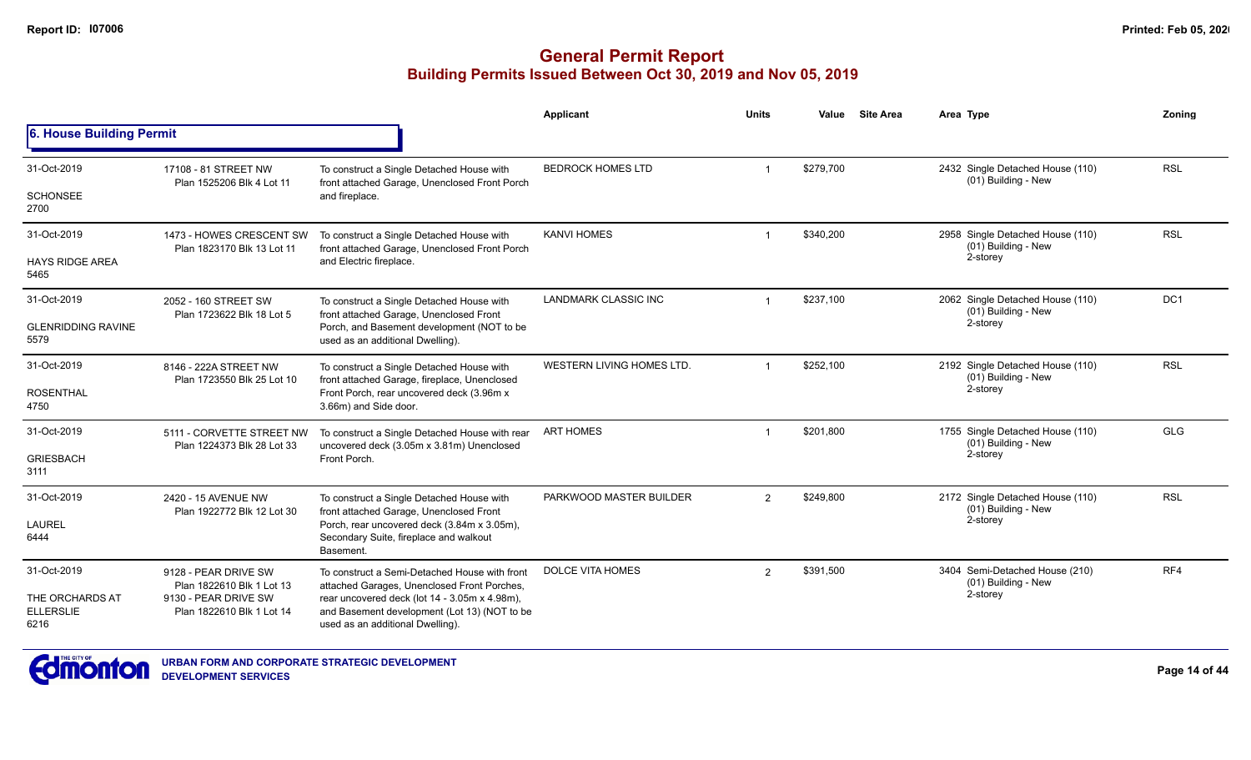|                                             |                                                         |                                                                                                                                               | Applicant                   | <b>Units</b>   | Value     | <b>Site Area</b> | Area Type                                               | Zonina          |
|---------------------------------------------|---------------------------------------------------------|-----------------------------------------------------------------------------------------------------------------------------------------------|-----------------------------|----------------|-----------|------------------|---------------------------------------------------------|-----------------|
| 6. House Building Permit                    |                                                         |                                                                                                                                               |                             |                |           |                  |                                                         |                 |
| 31-Oct-2019                                 | 17108 - 81 STREET NW<br>Plan 1525206 Blk 4 Lot 11       | To construct a Single Detached House with<br>front attached Garage, Unenclosed Front Porch                                                    | <b>BEDROCK HOMES LTD</b>    |                | \$279,700 |                  | 2432 Single Detached House (110)<br>(01) Building - New | <b>RSL</b>      |
| <b>SCHONSEE</b><br>2700                     |                                                         | and fireplace.                                                                                                                                |                             |                |           |                  |                                                         |                 |
| 31-Oct-2019                                 | 1473 - HOWES CRESCENT SW<br>Plan 1823170 Blk 13 Lot 11  | To construct a Single Detached House with<br>front attached Garage, Unenclosed Front Porch                                                    | <b>KANVI HOMES</b>          |                | \$340,200 |                  | 2958 Single Detached House (110)<br>(01) Building - New | <b>RSL</b>      |
| <b>HAYS RIDGE AREA</b><br>5465              |                                                         | and Electric fireplace.                                                                                                                       |                             |                |           |                  | 2-storey                                                |                 |
| 31-Oct-2019                                 | 2052 - 160 STREET SW<br>Plan 1723622 Blk 18 Lot 5       | To construct a Single Detached House with<br>front attached Garage, Unenclosed Front                                                          | <b>LANDMARK CLASSIC INC</b> |                | \$237,100 |                  | 2062 Single Detached House (110)<br>(01) Building - New | DC <sub>1</sub> |
| <b>GLENRIDDING RAVINE</b><br>5579           |                                                         | Porch, and Basement development (NOT to be<br>used as an additional Dwelling).                                                                |                             |                |           |                  | 2-storey                                                |                 |
| 31-Oct-2019                                 | 8146 - 222A STREET NW                                   | To construct a Single Detached House with<br>front attached Garage, fireplace, Unenclosed                                                     | WESTERN LIVING HOMES LTD.   |                | \$252,100 |                  | 2192 Single Detached House (110)<br>(01) Building - New | <b>RSL</b>      |
| <b>ROSENTHAL</b><br>4750                    | Plan 1723550 Blk 25 Lot 10                              | Front Porch, rear uncovered deck (3.96m x<br>3.66m) and Side door.                                                                            |                             |                |           |                  | 2-storey                                                |                 |
| 31-Oct-2019                                 | 5111 - CORVETTE STREET NW<br>Plan 1224373 Blk 28 Lot 33 | To construct a Single Detached House with rear<br>uncovered deck (3.05m x 3.81m) Unenclosed                                                   | <b>ART HOMES</b>            |                | \$201,800 |                  | 1755 Single Detached House (110)<br>(01) Building - New | GLG             |
| <b>GRIESBACH</b><br>3111                    |                                                         | Front Porch.                                                                                                                                  |                             |                |           |                  | 2-storey                                                |                 |
| 31-Oct-2019                                 | 2420 - 15 AVENUE NW                                     | To construct a Single Detached House with                                                                                                     | PARKWOOD MASTER BUILDER     | 2              | \$249,800 |                  | 2172 Single Detached House (110)<br>(01) Building - New | <b>RSL</b>      |
| <b>LAUREL</b><br>6444                       | Plan 1922772 Blk 12 Lot 30                              | front attached Garage, Unenclosed Front<br>Porch, rear uncovered deck (3.84m x 3.05m),<br>Secondary Suite, fireplace and walkout<br>Basement. |                             |                |           |                  | 2-storey                                                |                 |
| 31-Oct-2019                                 | 9128 - PEAR DRIVE SW<br>Plan 1822610 Blk 1 Lot 13       | To construct a Semi-Detached House with front<br>attached Garages, Unenclosed Front Porches,                                                  | <b>DOLCE VITA HOMES</b>     | $\overline{2}$ | \$391,500 |                  | 3404 Semi-Detached House (210)<br>(01) Building - New   | RF4             |
| THE ORCHARDS AT<br><b>ELLERSLIE</b><br>6216 | 9130 - PEAR DRIVE SW<br>Plan 1822610 Blk 1 Lot 14       | rear uncovered deck (lot 14 - 3.05m x 4.98m),<br>and Basement development (Lot 13) (NOT to be<br>used as an additional Dwelling).             |                             |                |           | 2-storey         |                                                         |                 |

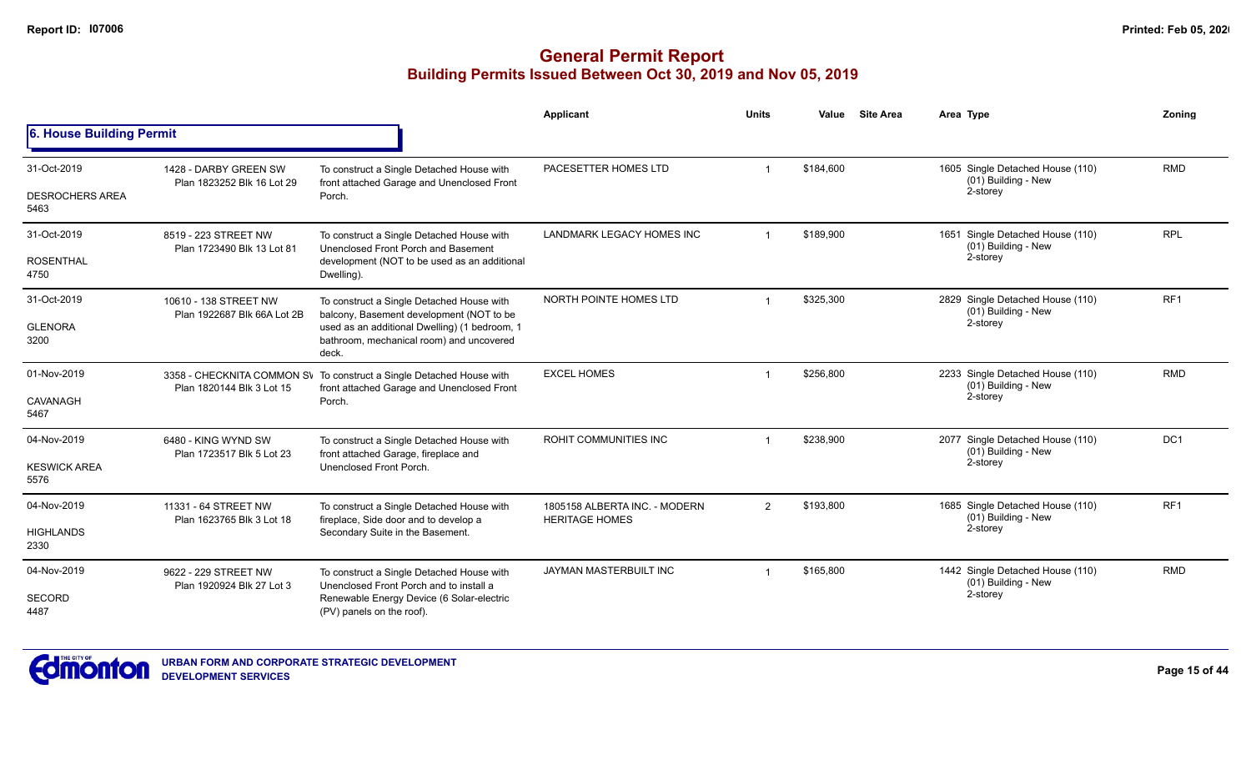|                                |                                                      |                                                                                                                    | Applicant                                              | <b>Units</b>   | Value     | <b>Site Area</b> | Area Type                                                           | Zoning          |
|--------------------------------|------------------------------------------------------|--------------------------------------------------------------------------------------------------------------------|--------------------------------------------------------|----------------|-----------|------------------|---------------------------------------------------------------------|-----------------|
| 6. House Building Permit       |                                                      |                                                                                                                    |                                                        |                |           |                  |                                                                     |                 |
| 31-Oct-2019                    | 1428 - DARBY GREEN SW<br>Plan 1823252 Blk 16 Lot 29  | To construct a Single Detached House with<br>front attached Garage and Unenclosed Front                            | PACESETTER HOMES LTD                                   |                | \$184,600 |                  | 1605 Single Detached House (110)<br>(01) Building - New             | <b>RMD</b>      |
| <b>DESROCHERS AREA</b><br>5463 |                                                      | Porch.                                                                                                             |                                                        |                |           |                  | 2-storey                                                            |                 |
| 31-Oct-2019                    | 8519 - 223 STREET NW<br>Plan 1723490 Blk 13 Lot 81   | To construct a Single Detached House with<br>Unenclosed Front Porch and Basement                                   | LANDMARK LEGACY HOMES INC                              | $\overline{1}$ | \$189,900 |                  | 1651 Single Detached House (110)<br>(01) Building - New             | <b>RPL</b>      |
| <b>ROSENTHAL</b><br>4750       |                                                      | development (NOT to be used as an additional<br>Dwelling).                                                         |                                                        |                |           |                  | 2-storey                                                            |                 |
| 31-Oct-2019                    | 10610 - 138 STREET NW<br>Plan 1922687 Blk 66A Lot 2B | To construct a Single Detached House with<br>balcony, Basement development (NOT to be                              | NORTH POINTE HOMES LTD                                 |                | \$325,300 |                  | 2829 Single Detached House (110)<br>(01) Building - New             | RF <sub>1</sub> |
| <b>GLENORA</b><br>3200         |                                                      | used as an additional Dwelling) (1 bedroom, 1<br>bathroom, mechanical room) and uncovered<br>deck.                 |                                                        |                |           |                  | 2-storey                                                            |                 |
| 01-Nov-2019                    | Plan 1820144 Blk 3 Lot 15                            | 3358 - CHECKNITA COMMON SV To construct a Single Detached House with<br>front attached Garage and Unenclosed Front | <b>EXCEL HOMES</b>                                     | $\mathbf 1$    | \$256,800 |                  | 2233 Single Detached House (110)<br>(01) Building - New<br>2-storey | <b>RMD</b>      |
| CAVANAGH<br>5467               |                                                      | Porch.                                                                                                             |                                                        |                |           |                  |                                                                     |                 |
| 04-Nov-2019                    | 6480 - KING WYND SW<br>Plan 1723517 Blk 5 Lot 23     | To construct a Single Detached House with<br>front attached Garage, fireplace and                                  | <b>ROHIT COMMUNITIES INC</b>                           |                | \$238,900 |                  | 2077 Single Detached House (110)<br>(01) Building - New             | DC <sub>1</sub> |
| <b>KESWICK AREA</b><br>5576    |                                                      | Unenclosed Front Porch.                                                                                            |                                                        |                |           |                  | 2-storey                                                            |                 |
| 04-Nov-2019                    | 11331 - 64 STREET NW                                 | To construct a Single Detached House with<br>fireplace, Side door and to develop a                                 | 1805158 ALBERTA INC. - MODERN<br><b>HERITAGE HOMES</b> | 2              | \$193,800 |                  | 1685 Single Detached House (110)<br>(01) Building - New             | RF <sub>1</sub> |
| <b>HIGHLANDS</b><br>2330       | Plan 1623765 Blk 3 Lot 18                            | Secondary Suite in the Basement.                                                                                   |                                                        |                |           |                  | 2-storey                                                            |                 |
| 04-Nov-2019                    | 9622 - 229 STREET NW<br>Plan 1920924 Blk 27 Lot 3    | To construct a Single Detached House with<br>Unenclosed Front Porch and to install a                               | JAYMAN MASTERBUILT INC                                 |                | \$165,800 |                  | 1442 Single Detached House (110)<br>(01) Building - New             | <b>RMD</b>      |
| <b>SECORD</b><br>4487          |                                                      | Renewable Energy Device (6 Solar-electric<br>(PV) panels on the roof).                                             |                                                        |                |           |                  | 2-storey                                                            |                 |

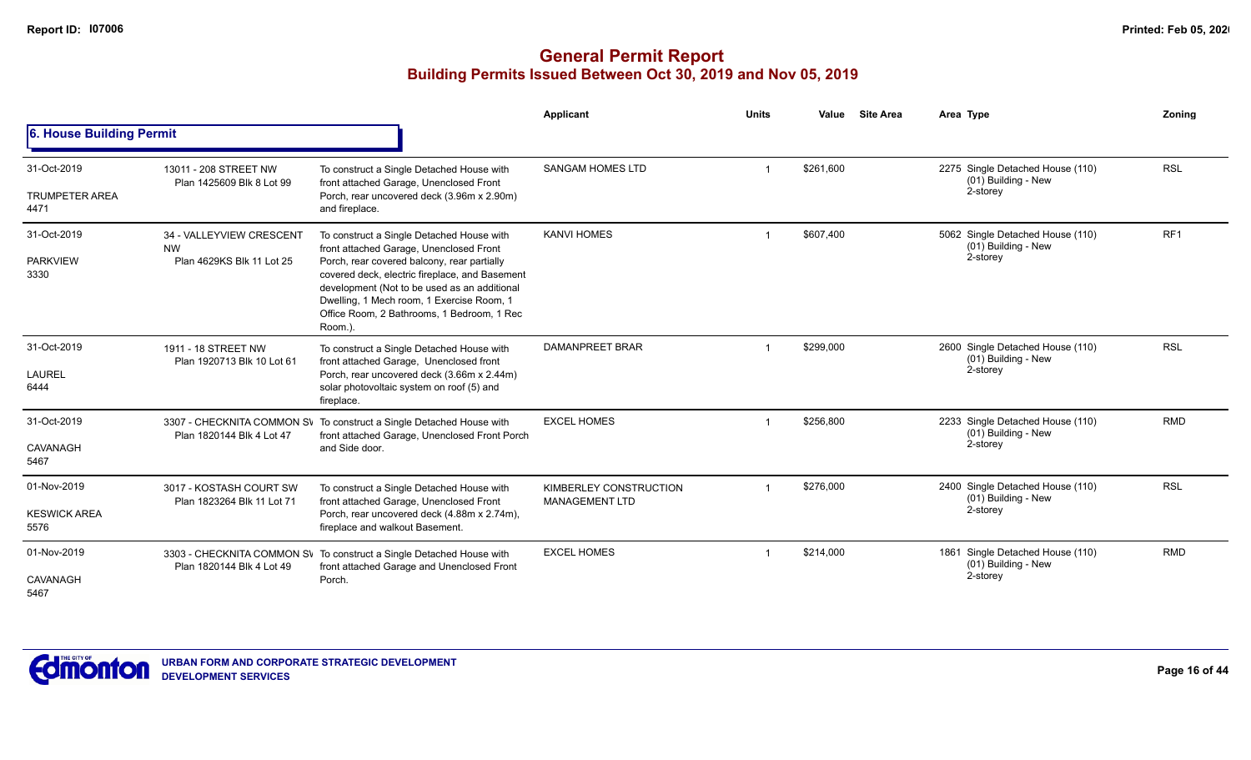|                                              |                                                                    |                                                                                                                                                                                                                                                                                                                                             | <b>Applicant</b>                                | <b>Units</b> | Value     | <b>Site Area</b> | Area Type                                                           | Zoning          |
|----------------------------------------------|--------------------------------------------------------------------|---------------------------------------------------------------------------------------------------------------------------------------------------------------------------------------------------------------------------------------------------------------------------------------------------------------------------------------------|-------------------------------------------------|--------------|-----------|------------------|---------------------------------------------------------------------|-----------------|
| <b>6. House Building Permit</b>              |                                                                    |                                                                                                                                                                                                                                                                                                                                             |                                                 |              |           |                  |                                                                     |                 |
| 31-Oct-2019<br><b>TRUMPETER AREA</b><br>4471 | 13011 - 208 STREET NW<br>Plan 1425609 Blk 8 Lot 99                 | To construct a Single Detached House with<br>front attached Garage, Unenclosed Front<br>Porch, rear uncovered deck (3.96m x 2.90m)<br>and fireplace.                                                                                                                                                                                        | <b>SANGAM HOMES LTD</b>                         |              | \$261.600 |                  | 2275 Single Detached House (110)<br>(01) Building - New<br>2-storey | <b>RSL</b>      |
| 31-Oct-2019<br><b>PARKVIEW</b><br>3330       | 34 - VALLEYVIEW CRESCENT<br><b>NW</b><br>Plan 4629KS Blk 11 Lot 25 | To construct a Single Detached House with<br>front attached Garage, Unenclosed Front<br>Porch, rear covered balcony, rear partially<br>covered deck, electric fireplace, and Basement<br>development (Not to be used as an additional<br>Dwelling, 1 Mech room, 1 Exercise Room, 1<br>Office Room, 2 Bathrooms, 1 Bedroom, 1 Rec<br>Room.). | <b>KANVI HOMES</b>                              |              | \$607,400 |                  | 5062 Single Detached House (110)<br>(01) Building - New<br>2-storey | RF <sub>1</sub> |
| 31-Oct-2019<br>LAUREL<br>6444                | 1911 - 18 STREET NW<br>Plan 1920713 Blk 10 Lot 61                  | To construct a Single Detached House with<br>front attached Garage, Unenclosed front<br>Porch, rear uncovered deck (3.66m x 2.44m)<br>solar photovoltaic system on roof (5) and<br>fireplace.                                                                                                                                               | DAMANPREET BRAR                                 |              | \$299,000 |                  | 2600 Single Detached House (110)<br>(01) Building - New<br>2-storey | <b>RSL</b>      |
| 31-Oct-2019<br>CAVANAGH<br>5467              | Plan 1820144 Blk 4 Lot 47                                          | 3307 - CHECKNITA COMMON SV To construct a Single Detached House with<br>front attached Garage, Unenclosed Front Porch<br>and Side door.                                                                                                                                                                                                     | <b>EXCEL HOMES</b>                              |              | \$256,800 |                  | 2233 Single Detached House (110)<br>(01) Building - New<br>2-storey | <b>RMD</b>      |
| 01-Nov-2019<br><b>KESWICK AREA</b><br>5576   | 3017 - KOSTASH COURT SW<br>Plan 1823264 Blk 11 Lot 71              | To construct a Single Detached House with<br>front attached Garage, Unenclosed Front<br>Porch, rear uncovered deck (4.88m x 2.74m),<br>fireplace and walkout Basement.                                                                                                                                                                      | KIMBERLEY CONSTRUCTION<br><b>MANAGEMENT LTD</b> |              | \$276,000 |                  | 2400 Single Detached House (110)<br>(01) Building - New<br>2-storey | <b>RSL</b>      |
| 01-Nov-2019<br>CAVANAGH<br>5467              | Plan 1820144 Blk 4 Lot 49                                          | 3303 - CHECKNITA COMMON SV To construct a Single Detached House with<br>front attached Garage and Unenclosed Front<br>Porch.                                                                                                                                                                                                                | <b>EXCEL HOMES</b>                              |              | \$214,000 |                  | 1861 Single Detached House (110)<br>(01) Building - New<br>2-storey | <b>RMD</b>      |

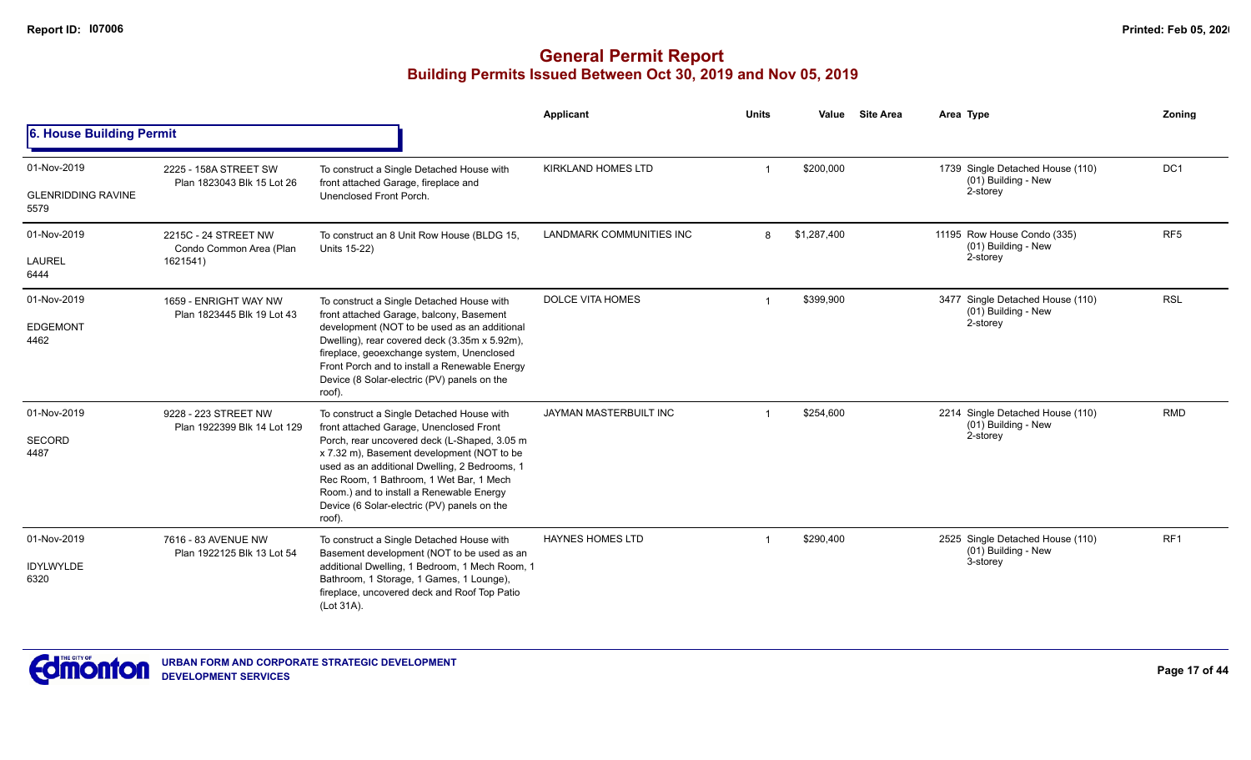|                                                  |                                                             |                                                                                                                                                                                                                                                                                                                                                                                     | Applicant                 | <b>Units</b> | Value       | <b>Site Area</b> | Area Type                                                           | Zoning          |
|--------------------------------------------------|-------------------------------------------------------------|-------------------------------------------------------------------------------------------------------------------------------------------------------------------------------------------------------------------------------------------------------------------------------------------------------------------------------------------------------------------------------------|---------------------------|--------------|-------------|------------------|---------------------------------------------------------------------|-----------------|
| 6. House Building Permit                         |                                                             |                                                                                                                                                                                                                                                                                                                                                                                     |                           |              |             |                  |                                                                     |                 |
| 01-Nov-2019<br><b>GLENRIDDING RAVINE</b><br>5579 | 2225 - 158A STREET SW<br>Plan 1823043 Blk 15 Lot 26         | To construct a Single Detached House with<br>front attached Garage, fireplace and<br>Unenclosed Front Porch.                                                                                                                                                                                                                                                                        | <b>KIRKLAND HOMES LTD</b> |              | \$200,000   |                  | 1739 Single Detached House (110)<br>(01) Building - New<br>2-storey | DC <sub>1</sub> |
| 01-Nov-2019<br><b>LAUREL</b><br>6444             | 2215C - 24 STREET NW<br>Condo Common Area (Plan<br>1621541) | To construct an 8 Unit Row House (BLDG 15,<br>Units 15-22)                                                                                                                                                                                                                                                                                                                          | LANDMARK COMMUNITIES INC  | 8            | \$1,287,400 |                  | 11195 Row House Condo (335)<br>(01) Building - New<br>2-storey      | RF <sub>5</sub> |
| 01-Nov-2019<br><b>EDGEMONT</b><br>4462           | 1659 - ENRIGHT WAY NW<br>Plan 1823445 Blk 19 Lot 43         | To construct a Single Detached House with<br>front attached Garage, balcony, Basement<br>development (NOT to be used as an additional<br>Dwelling), rear covered deck (3.35m x 5.92m),<br>fireplace, geoexchange system, Unenclosed<br>Front Porch and to install a Renewable Energy<br>Device (8 Solar-electric (PV) panels on the<br>roof).                                       | <b>DOLCE VITA HOMES</b>   |              | \$399,900   |                  | 3477 Single Detached House (110)<br>(01) Building - New<br>2-storey | <b>RSL</b>      |
| 01-Nov-2019<br><b>SECORD</b><br>4487             | 9228 - 223 STREET NW<br>Plan 1922399 Blk 14 Lot 129         | To construct a Single Detached House with<br>front attached Garage, Unenclosed Front<br>Porch, rear uncovered deck (L-Shaped, 3.05 m<br>x 7.32 m), Basement development (NOT to be<br>used as an additional Dwelling, 2 Bedrooms, 1<br>Rec Room, 1 Bathroom, 1 Wet Bar, 1 Mech<br>Room.) and to install a Renewable Energy<br>Device (6 Solar-electric (PV) panels on the<br>roof). | JAYMAN MASTERBUILT INC    |              | \$254,600   |                  | 2214 Single Detached House (110)<br>(01) Building - New<br>2-storey | <b>RMD</b>      |
| 01-Nov-2019<br><b>IDYLWYLDE</b><br>6320          | 7616 - 83 AVENUE NW<br>Plan 1922125 Blk 13 Lot 54           | To construct a Single Detached House with<br>Basement development (NOT to be used as an<br>additional Dwelling, 1 Bedroom, 1 Mech Room, 1<br>Bathroom, 1 Storage, 1 Games, 1 Lounge),<br>fireplace, uncovered deck and Roof Top Patio<br>(Lot 31A).                                                                                                                                 | <b>HAYNES HOMES LTD</b>   |              | \$290,400   |                  | 2525 Single Detached House (110)<br>(01) Building - New<br>3-storey | RF <sub>1</sub> |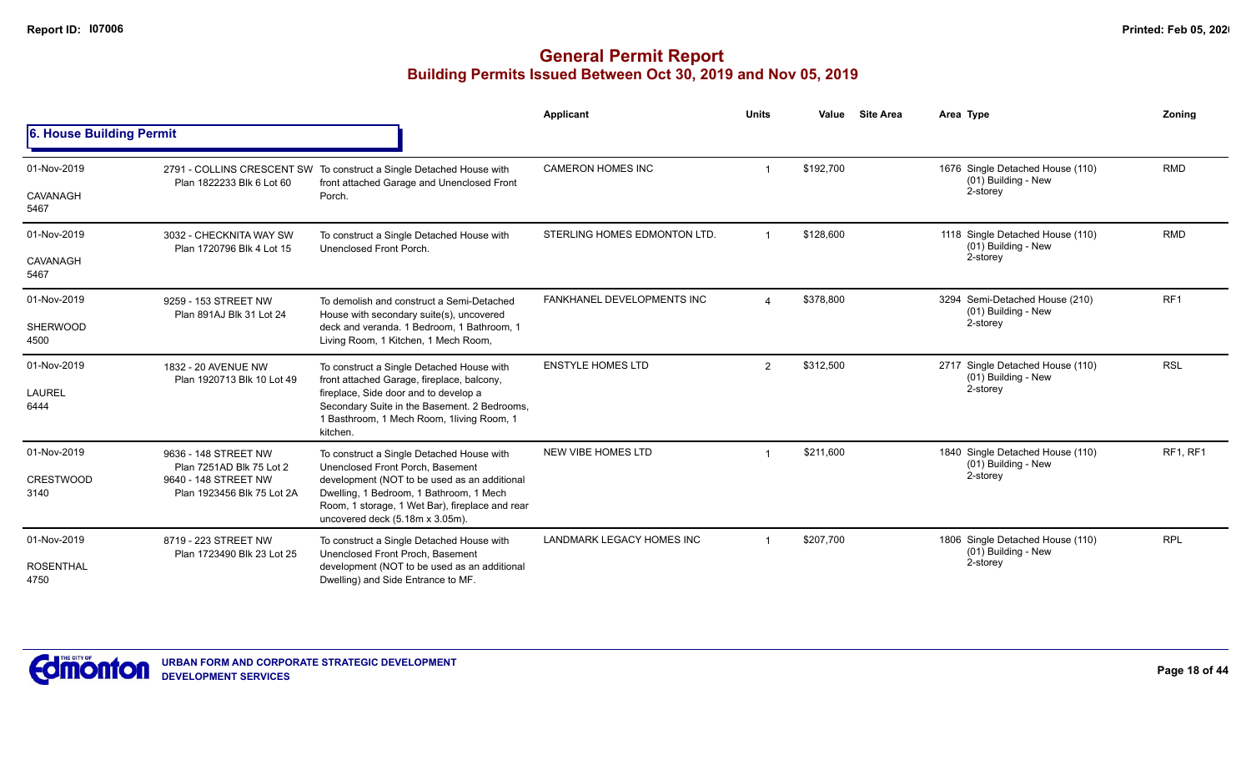|                          |                                                      |                                                                                                                                                                               | <b>Applicant</b>                  | <b>Units</b>   | Value     | <b>Site Area</b> | Area Type                                               | Zonina          |
|--------------------------|------------------------------------------------------|-------------------------------------------------------------------------------------------------------------------------------------------------------------------------------|-----------------------------------|----------------|-----------|------------------|---------------------------------------------------------|-----------------|
| 6. House Building Permit |                                                      |                                                                                                                                                                               |                                   |                |           |                  |                                                         |                 |
| 01-Nov-2019              | Plan 1822233 Blk 6 Lot 60                            | 2791 - COLLINS CRESCENT SW To construct a Single Detached House with<br>front attached Garage and Unenclosed Front                                                            | <b>CAMERON HOMES INC</b>          |                | \$192,700 |                  | 1676 Single Detached House (110)<br>(01) Building - New | <b>RMD</b>      |
| CAVANAGH<br>5467         |                                                      | Porch.                                                                                                                                                                        |                                   |                |           |                  | 2-storey                                                |                 |
| 01-Nov-2019              | 3032 - CHECKNITA WAY SW<br>Plan 1720796 Blk 4 Lot 15 | To construct a Single Detached House with<br>Unenclosed Front Porch.                                                                                                          | STERLING HOMES EDMONTON LTD.      |                | \$128,600 |                  | 1118 Single Detached House (110)<br>(01) Building - New | <b>RMD</b>      |
| CAVANAGH<br>5467         |                                                      |                                                                                                                                                                               |                                   |                |           |                  | 2-storey                                                |                 |
| 01-Nov-2019              | 9259 - 153 STREET NW<br>Plan 891AJ Blk 31 Lot 24     | To demolish and construct a Semi-Detached<br>House with secondary suite(s), uncovered                                                                                         | <b>FANKHANEL DEVELOPMENTS INC</b> | $\overline{A}$ | \$378,800 |                  | 3294 Semi-Detached House (210)<br>(01) Building - New   | RF <sub>1</sub> |
| SHERWOOD<br>4500         |                                                      | deck and veranda. 1 Bedroom, 1 Bathroom, 1<br>Living Room, 1 Kitchen, 1 Mech Room,                                                                                            |                                   |                |           | 2-storey         |                                                         |                 |
| 01-Nov-2019              | 1832 - 20 AVENUE NW<br>Plan 1920713 Blk 10 Lot 49    | To construct a Single Detached House with<br>front attached Garage, fireplace, balcony,                                                                                       | <b>ENSTYLE HOMES LTD</b>          | $\overline{2}$ | \$312,500 |                  | 2717 Single Detached House (110)<br>(01) Building - New | <b>RSL</b>      |
| <b>LAUREL</b><br>6444    |                                                      | fireplace, Side door and to develop a<br>Secondary Suite in the Basement. 2 Bedrooms,<br>1 Basthroom, 1 Mech Room, 1living Room, 1<br>kitchen.                                |                                   |                |           |                  | 2-storey                                                |                 |
| 01-Nov-2019              | 9636 - 148 STREET NW<br>Plan 7251AD Blk 75 Lot 2     | To construct a Single Detached House with<br>Unenclosed Front Porch, Basement                                                                                                 | NEW VIBE HOMES LTD                |                | \$211,600 |                  | 1840 Single Detached House (110)<br>(01) Building - New | RF1, RF1        |
| <b>CRESTWOOD</b><br>3140 | 9640 - 148 STREET NW<br>Plan 1923456 Blk 75 Lot 2A   | development (NOT to be used as an additional<br>Dwelling, 1 Bedroom, 1 Bathroom, 1 Mech<br>Room, 1 storage, 1 Wet Bar), fireplace and rear<br>uncovered deck (5.18m x 3.05m). |                                   |                |           |                  | 2-storey                                                |                 |
| 01-Nov-2019              | 8719 - 223 STREET NW<br>Plan 1723490 Blk 23 Lot 25   | To construct a Single Detached House with<br>Unenclosed Front Proch, Basement                                                                                                 | LANDMARK LEGACY HOMES INC         |                | \$207,700 |                  | 1806 Single Detached House (110)<br>(01) Building - New | <b>RPL</b>      |
| <b>ROSENTHAL</b><br>4750 |                                                      | development (NOT to be used as an additional<br>Dwelling) and Side Entrance to MF.                                                                                            |                                   |                |           |                  | 2-storey                                                |                 |

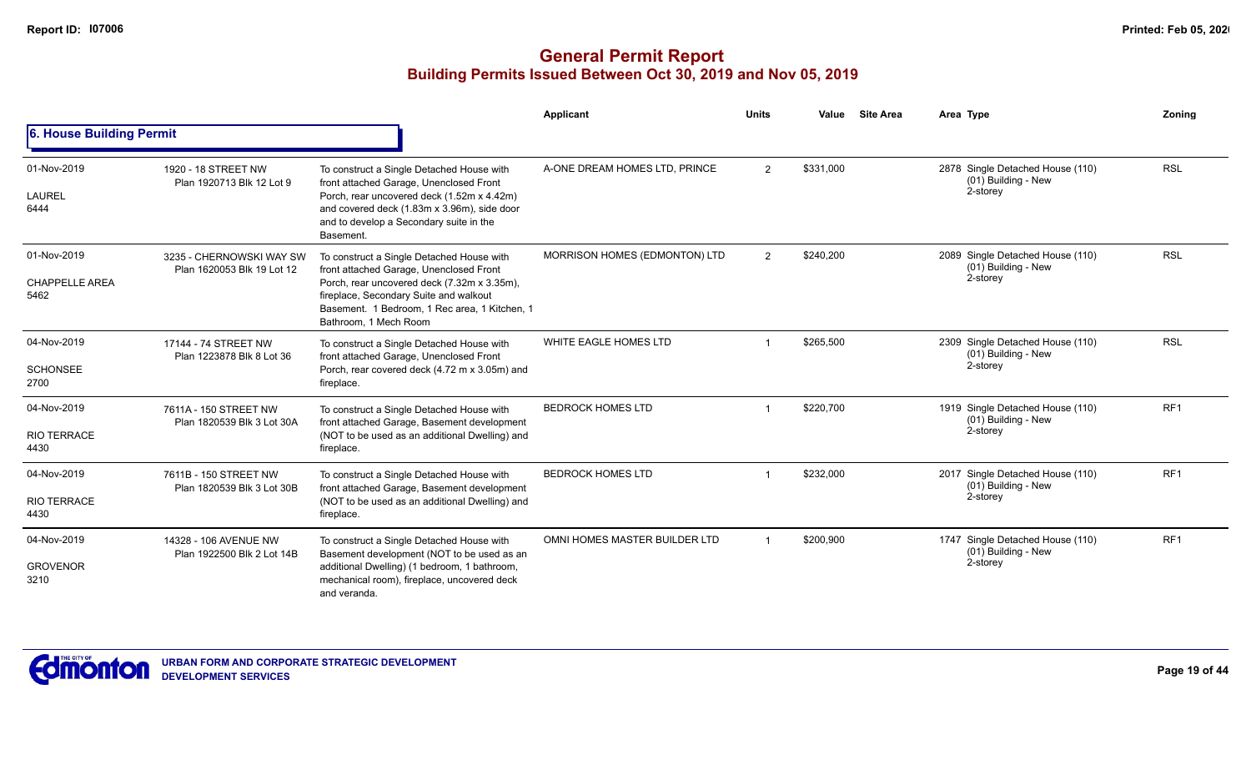|                                              |                                                        |                                                                                                                                                                                                                                                         | <b>Applicant</b>              | <b>Units</b>   | Value     | <b>Site Area</b> | Area Type                                                           | Zoning          |
|----------------------------------------------|--------------------------------------------------------|---------------------------------------------------------------------------------------------------------------------------------------------------------------------------------------------------------------------------------------------------------|-------------------------------|----------------|-----------|------------------|---------------------------------------------------------------------|-----------------|
| 6. House Building Permit                     |                                                        |                                                                                                                                                                                                                                                         |                               |                |           |                  |                                                                     |                 |
| 01-Nov-2019<br>LAUREL<br>6444                | 1920 - 18 STREET NW<br>Plan 1920713 Blk 12 Lot 9       | To construct a Single Detached House with<br>front attached Garage, Unenclosed Front<br>Porch, rear uncovered deck (1.52m x 4.42m)<br>and covered deck (1.83m x 3.96m), side door<br>and to develop a Secondary suite in the<br>Basement.               | A-ONE DREAM HOMES LTD, PRINCE | 2              | \$331,000 |                  | 2878 Single Detached House (110)<br>(01) Building - New<br>2-storey | <b>RSL</b>      |
| 01-Nov-2019<br><b>CHAPPELLE AREA</b><br>5462 | 3235 - CHERNOWSKI WAY SW<br>Plan 1620053 Blk 19 Lot 12 | To construct a Single Detached House with<br>front attached Garage, Unenclosed Front<br>Porch, rear uncovered deck (7.32m x 3.35m),<br>fireplace, Secondary Suite and walkout<br>Basement. 1 Bedroom, 1 Rec area, 1 Kitchen, 1<br>Bathroom. 1 Mech Room | MORRISON HOMES (EDMONTON) LTD | $\overline{2}$ | \$240,200 |                  | 2089 Single Detached House (110)<br>(01) Building - New<br>2-storey | <b>RSL</b>      |
| 04-Nov-2019<br><b>SCHONSEE</b><br>2700       | 17144 - 74 STREET NW<br>Plan 1223878 Blk 8 Lot 36      | To construct a Single Detached House with<br>front attached Garage, Unenclosed Front<br>Porch, rear covered deck (4.72 m x 3.05m) and<br>fireplace.                                                                                                     | WHITE EAGLE HOMES LTD         |                | \$265,500 |                  | 2309 Single Detached House (110)<br>(01) Building - New<br>2-storey | <b>RSL</b>      |
| 04-Nov-2019<br><b>RIO TERRACE</b><br>4430    | 7611A - 150 STREET NW<br>Plan 1820539 Blk 3 Lot 30A    | To construct a Single Detached House with<br>front attached Garage, Basement development<br>(NOT to be used as an additional Dwelling) and<br>fireplace.                                                                                                | <b>BEDROCK HOMES LTD</b>      |                | \$220,700 |                  | 1919 Single Detached House (110)<br>(01) Building - New<br>2-storey | RF <sub>1</sub> |
| 04-Nov-2019<br><b>RIO TERRACE</b><br>4430    | 7611B - 150 STREET NW<br>Plan 1820539 Blk 3 Lot 30B    | To construct a Single Detached House with<br>front attached Garage, Basement development<br>(NOT to be used as an additional Dwelling) and<br>fireplace.                                                                                                | <b>BEDROCK HOMES LTD</b>      |                | \$232,000 |                  | 2017 Single Detached House (110)<br>(01) Building - New<br>2-storey | RF <sub>1</sub> |
| 04-Nov-2019<br><b>GROVENOR</b><br>3210       | 14328 - 106 AVENUE NW<br>Plan 1922500 Blk 2 Lot 14B    | To construct a Single Detached House with<br>Basement development (NOT to be used as an<br>additional Dwelling) (1 bedroom, 1 bathroom,<br>mechanical room), fireplace, uncovered deck<br>and veranda.                                                  | OMNI HOMES MASTER BUILDER LTD |                | \$200,900 |                  | 1747 Single Detached House (110)<br>(01) Building - New<br>2-storey | RF <sub>1</sub> |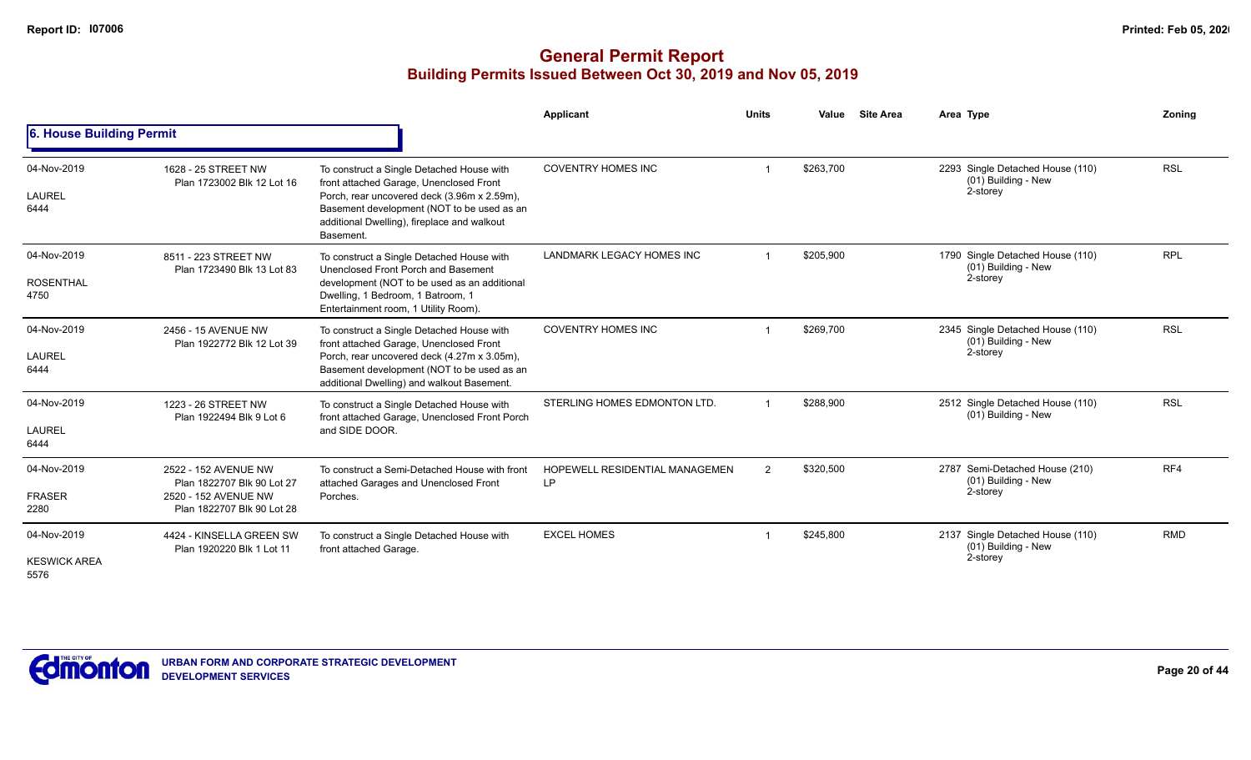|                                            |                                                                                                          |                                                                                                                                                                                                                                               | Applicant                                   | <b>Units</b> | Value     | <b>Site Area</b> | Area Type                                                           | Zoning     |
|--------------------------------------------|----------------------------------------------------------------------------------------------------------|-----------------------------------------------------------------------------------------------------------------------------------------------------------------------------------------------------------------------------------------------|---------------------------------------------|--------------|-----------|------------------|---------------------------------------------------------------------|------------|
| 6. House Building Permit                   |                                                                                                          |                                                                                                                                                                                                                                               |                                             |              |           |                  |                                                                     |            |
| 04-Nov-2019<br>LAUREL<br>6444              | 1628 - 25 STREET NW<br>Plan 1723002 Blk 12 Lot 16                                                        | To construct a Single Detached House with<br>front attached Garage, Unenclosed Front<br>Porch, rear uncovered deck (3.96m x 2.59m),<br>Basement development (NOT to be used as an<br>additional Dwelling), fireplace and walkout<br>Basement. | <b>COVENTRY HOMES INC</b>                   |              | \$263,700 |                  | 2293 Single Detached House (110)<br>(01) Building - New<br>2-storey | <b>RSL</b> |
| 04-Nov-2019<br><b>ROSENTHAL</b><br>4750    | 8511 - 223 STREET NW<br>Plan 1723490 Blk 13 Lot 83                                                       | To construct a Single Detached House with<br>Unenclosed Front Porch and Basement<br>development (NOT to be used as an additional<br>Dwelling, 1 Bedroom, 1 Batroom, 1<br>Entertainment room, 1 Utility Room).                                 | LANDMARK LEGACY HOMES INC                   |              | \$205.900 |                  | 1790 Single Detached House (110)<br>(01) Building - New<br>2-storey | <b>RPL</b> |
| 04-Nov-2019<br>LAUREL<br>6444              | 2456 - 15 AVENUE NW<br>Plan 1922772 Blk 12 Lot 39                                                        | To construct a Single Detached House with<br>front attached Garage, Unenclosed Front<br>Porch, rear uncovered deck (4.27m x 3.05m),<br>Basement development (NOT to be used as an<br>additional Dwelling) and walkout Basement.               | <b>COVENTRY HOMES INC</b>                   |              | \$269,700 |                  | 2345 Single Detached House (110)<br>(01) Building - New<br>2-storey | <b>RSL</b> |
| 04-Nov-2019<br>LAUREL<br>6444              | 1223 - 26 STREET NW<br>Plan 1922494 Blk 9 Lot 6                                                          | To construct a Single Detached House with<br>front attached Garage, Unenclosed Front Porch<br>and SIDE DOOR.                                                                                                                                  | STERLING HOMES EDMONTON LTD.                |              | \$288,900 |                  | 2512 Single Detached House (110)<br>(01) Building - New             | <b>RSL</b> |
| 04-Nov-2019<br><b>FRASER</b><br>2280       | 2522 - 152 AVENUE NW<br>Plan 1822707 Blk 90 Lot 27<br>2520 - 152 AVENUE NW<br>Plan 1822707 Blk 90 Lot 28 | To construct a Semi-Detached House with front<br>attached Garages and Unenclosed Front<br>Porches.                                                                                                                                            | <b>HOPEWELL RESIDENTIAL MANAGEMEN</b><br>LP | 2            | \$320,500 |                  | 2787 Semi-Detached House (210)<br>(01) Building - New<br>2-storey   | RF4        |
| 04-Nov-2019<br><b>KESWICK AREA</b><br>5576 | 4424 - KINSELLA GREEN SW<br>Plan 1920220 Blk 1 Lot 11                                                    | To construct a Single Detached House with<br>front attached Garage.                                                                                                                                                                           | <b>EXCEL HOMES</b>                          |              | \$245,800 |                  | 2137 Single Detached House (110)<br>(01) Building - New<br>2-storey | <b>RMD</b> |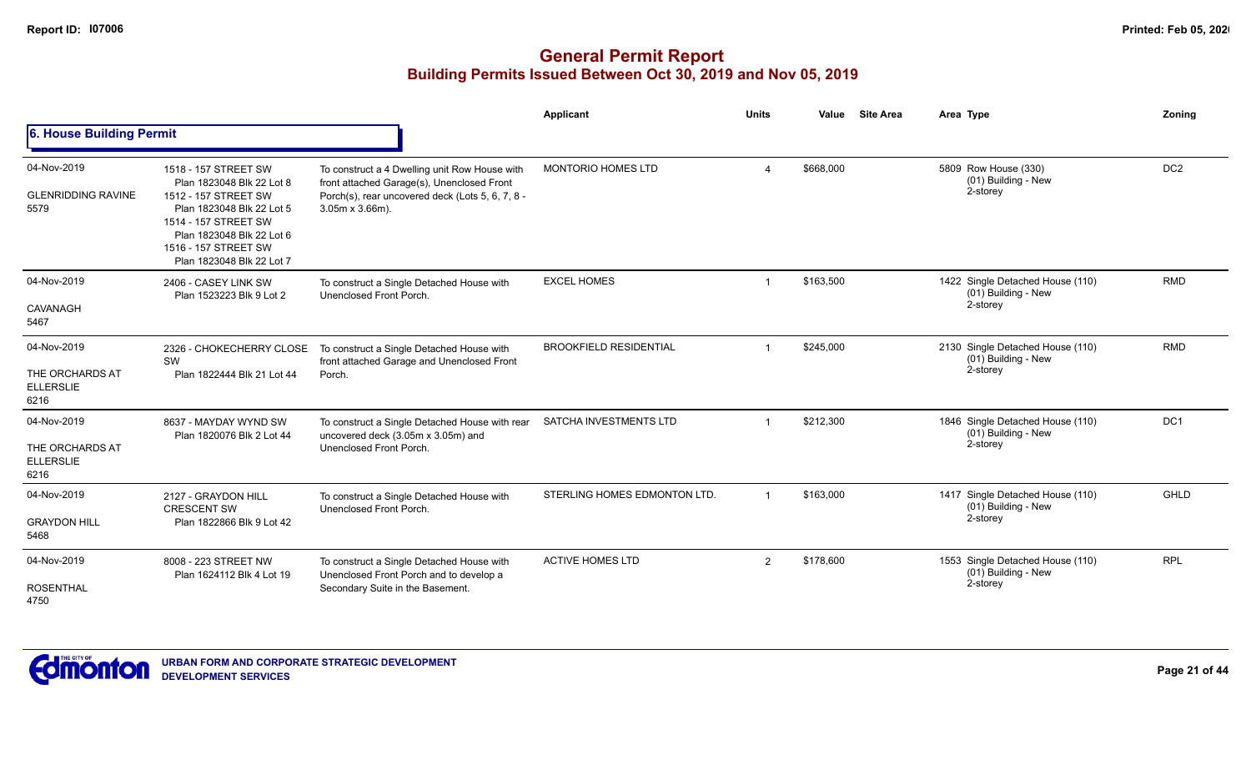|                                                            |                                                                                                                                                                                                                  |                                                                                                                                                                            | Applicant                     | <b>Units</b>            | Value     | <b>Site Area</b> | Area Type                                                           | <b>Zoning</b>   |
|------------------------------------------------------------|------------------------------------------------------------------------------------------------------------------------------------------------------------------------------------------------------------------|----------------------------------------------------------------------------------------------------------------------------------------------------------------------------|-------------------------------|-------------------------|-----------|------------------|---------------------------------------------------------------------|-----------------|
| 6. House Building Permit                                   |                                                                                                                                                                                                                  |                                                                                                                                                                            |                               |                         |           |                  |                                                                     |                 |
| 04-Nov-2019<br><b>GLENRIDDING RAVINE</b><br>5579           | 1518 - 157 STREET SW<br>Plan 1823048 Blk 22 Lot 8<br>1512 - 157 STREET SW<br>Plan 1823048 Blk 22 Lot 5<br>1514 - 157 STREET SW<br>Plan 1823048 Blk 22 Lot 6<br>1516 - 157 STREET SW<br>Plan 1823048 Blk 22 Lot 7 | To construct a 4 Dwelling unit Row House with<br>front attached Garage(s), Unenclosed Front<br>Porch(s), rear uncovered deck (Lots 5, 6, 7, 8 -<br>$3.05m \times 3.66m$ ). | <b>MONTORIO HOMES LTD</b>     | $\Delta$                | \$668,000 |                  | 5809 Row House (330)<br>(01) Building - New<br>2-storey             | DC <sub>2</sub> |
| 04-Nov-2019<br>CAVANAGH<br>5467                            | 2406 - CASEY LINK SW<br>Plan 1523223 Blk 9 Lot 2                                                                                                                                                                 | To construct a Single Detached House with<br>Unenclosed Front Porch.                                                                                                       | <b>EXCEL HOMES</b>            | $\overline{\mathbf{1}}$ | \$163,500 |                  | 1422 Single Detached House (110)<br>(01) Building - New<br>2-storey | <b>RMD</b>      |
| 04-Nov-2019<br>THE ORCHARDS AT<br><b>ELLERSLIE</b><br>6216 | 2326 - CHOKECHERRY CLOSE<br>SW<br>Plan 1822444 Blk 21 Lot 44                                                                                                                                                     | To construct a Single Detached House with<br>front attached Garage and Unenclosed Front<br>Porch.                                                                          | <b>BROOKFIELD RESIDENTIAL</b> |                         | \$245,000 |                  | 2130 Single Detached House (110)<br>(01) Building - New<br>2-storey | <b>RMD</b>      |
| 04-Nov-2019<br>THE ORCHARDS AT<br><b>ELLERSLIE</b><br>6216 | 8637 - MAYDAY WYND SW<br>Plan 1820076 Blk 2 Lot 44                                                                                                                                                               | To construct a Single Detached House with rear<br>uncovered deck (3.05m x 3.05m) and<br>Unenclosed Front Porch.                                                            | SATCHA INVESTMENTS LTD        |                         | \$212,300 |                  | 1846 Single Detached House (110)<br>(01) Building - New<br>2-storey | DC1             |
| 04-Nov-2019<br><b>GRAYDON HILL</b><br>5468                 | 2127 - GRAYDON HILL<br><b>CRESCENT SW</b><br>Plan 1822866 Blk 9 Lot 42                                                                                                                                           | To construct a Single Detached House with<br>Unenclosed Front Porch.                                                                                                       | STERLING HOMES EDMONTON LTD.  |                         | \$163,000 |                  | 1417 Single Detached House (110)<br>(01) Building - New<br>2-storey | <b>GHLD</b>     |
| 04-Nov-2019<br><b>ROSENTHAL</b><br>4750                    | 8008 - 223 STREET NW<br>Plan 1624112 Blk 4 Lot 19                                                                                                                                                                | To construct a Single Detached House with<br>Unenclosed Front Porch and to develop a<br>Secondary Suite in the Basement.                                                   | <b>ACTIVE HOMES LTD</b>       | 2                       | \$178,600 |                  | 1553 Single Detached House (110)<br>(01) Building - New<br>2-storey | <b>RPL</b>      |

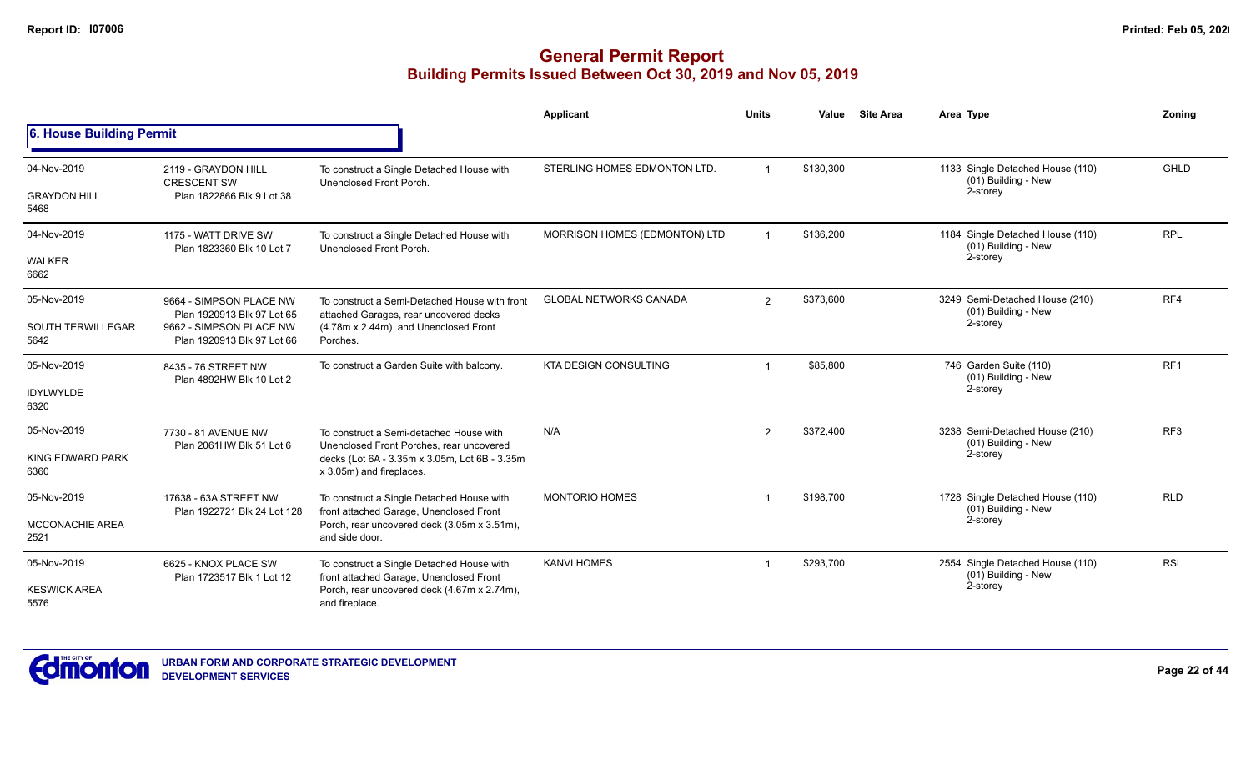|                                                 |                                                                                                                |                                                                                                                                                                  | Applicant                     | <b>Units</b>   | Value     | <b>Site Area</b> | Area Type                                                           | Zoning          |
|-------------------------------------------------|----------------------------------------------------------------------------------------------------------------|------------------------------------------------------------------------------------------------------------------------------------------------------------------|-------------------------------|----------------|-----------|------------------|---------------------------------------------------------------------|-----------------|
| 6. House Building Permit                        |                                                                                                                |                                                                                                                                                                  |                               |                |           |                  |                                                                     |                 |
| 04-Nov-2019<br><b>GRAYDON HILL</b><br>5468      | 2119 - GRAYDON HILL<br><b>CRESCENT SW</b><br>Plan 1822866 Blk 9 Lot 38                                         | To construct a Single Detached House with<br>Unenclosed Front Porch.                                                                                             | STERLING HOMES EDMONTON LTD.  |                | \$130,300 |                  | 1133 Single Detached House (110)<br>(01) Building - New<br>2-storey | GHLD            |
| 04-Nov-2019<br>WALKER<br>6662                   | 1175 - WATT DRIVE SW<br>Plan 1823360 Blk 10 Lot 7                                                              | To construct a Single Detached House with<br>Unenclosed Front Porch.                                                                                             | MORRISON HOMES (EDMONTON) LTD |                | \$136,200 |                  | 1184 Single Detached House (110)<br>(01) Building - New<br>2-storey | <b>RPL</b>      |
| 05-Nov-2019<br><b>SOUTH TERWILLEGAR</b><br>5642 | 9664 - SIMPSON PLACE NW<br>Plan 1920913 Blk 97 Lot 65<br>9662 - SIMPSON PLACE NW<br>Plan 1920913 Blk 97 Lot 66 | To construct a Semi-Detached House with front<br>attached Garages, rear uncovered decks<br>(4.78m x 2.44m) and Unenclosed Front<br>Porches.                      | <b>GLOBAL NETWORKS CANADA</b> | $\overline{2}$ | \$373,600 |                  | 3249 Semi-Detached House (210)<br>(01) Building - New<br>2-storey   | RF4             |
| 05-Nov-2019<br><b>IDYLWYLDE</b><br>6320         | 8435 - 76 STREET NW<br>Plan 4892HW Blk 10 Lot 2                                                                | To construct a Garden Suite with balcony.                                                                                                                        | <b>KTA DESIGN CONSULTING</b>  | -1             | \$85,800  |                  | 746 Garden Suite (110)<br>(01) Building - New<br>2-storey           | RF <sub>1</sub> |
| 05-Nov-2019<br>KING EDWARD PARK<br>6360         | 7730 - 81 AVENUE NW<br>Plan 2061HW Blk 51 Lot 6                                                                | To construct a Semi-detached House with<br>Unenclosed Front Porches, rear uncovered<br>decks (Lot 6A - 3.35m x 3.05m, Lot 6B - 3.35m<br>x 3.05m) and fireplaces. | N/A                           | $\overline{2}$ | \$372,400 |                  | 3238 Semi-Detached House (210)<br>(01) Building - New<br>2-storey   | RF <sub>3</sub> |
| 05-Nov-2019<br><b>MCCONACHIE AREA</b><br>2521   | 17638 - 63A STREET NW<br>Plan 1922721 Blk 24 Lot 128                                                           | To construct a Single Detached House with<br>front attached Garage, Unenclosed Front<br>Porch, rear uncovered deck (3.05m x 3.51m),<br>and side door.            | <b>MONTORIO HOMES</b>         |                | \$198,700 |                  | 1728 Single Detached House (110)<br>(01) Building - New<br>2-storey | <b>RLD</b>      |
| 05-Nov-2019<br><b>KESWICK AREA</b><br>5576      | 6625 - KNOX PLACE SW<br>Plan 1723517 Blk 1 Lot 12                                                              | To construct a Single Detached House with<br>front attached Garage, Unenclosed Front<br>Porch, rear uncovered deck (4.67m x 2.74m),<br>and fireplace.            | <b>KANVI HOMES</b>            |                | \$293,700 |                  | 2554 Single Detached House (110)<br>(01) Building - New<br>2-storey | <b>RSL</b>      |

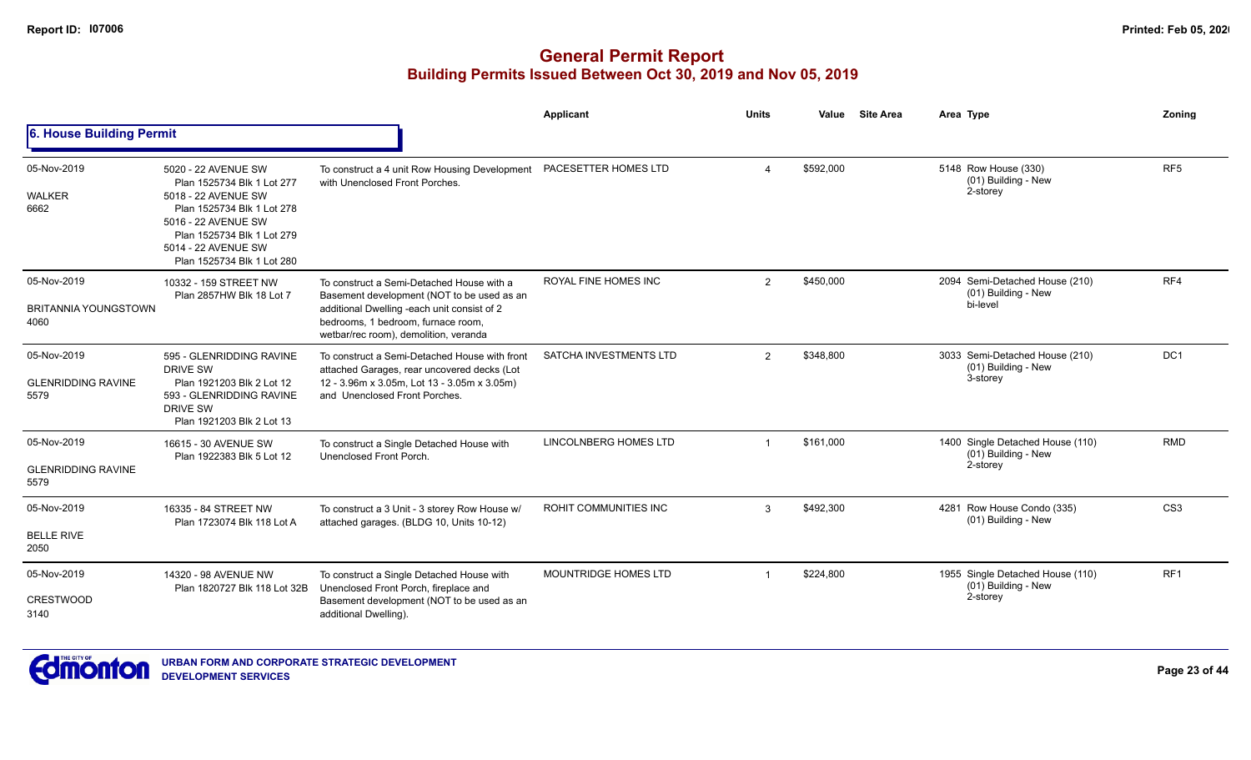|                                                    |                                                                                                                                                                                                                  |                                                                                                                                                                                                                       | Applicant              | <b>Units</b>   | Value     | <b>Site Area</b> | Area Type                                                           | Zoning          |
|----------------------------------------------------|------------------------------------------------------------------------------------------------------------------------------------------------------------------------------------------------------------------|-----------------------------------------------------------------------------------------------------------------------------------------------------------------------------------------------------------------------|------------------------|----------------|-----------|------------------|---------------------------------------------------------------------|-----------------|
| 6. House Building Permit                           |                                                                                                                                                                                                                  |                                                                                                                                                                                                                       |                        |                |           |                  |                                                                     |                 |
| 05-Nov-2019<br><b>WALKER</b><br>6662               | 5020 - 22 AVENUE SW<br>Plan 1525734 Blk 1 Lot 277<br>5018 - 22 AVENUE SW<br>Plan 1525734 Blk 1 Lot 278<br>5016 - 22 AVENUE SW<br>Plan 1525734 Blk 1 Lot 279<br>5014 - 22 AVENUE SW<br>Plan 1525734 Blk 1 Lot 280 | To construct a 4 unit Row Housing Development<br>with Unenclosed Front Porches.                                                                                                                                       | PACESETTER HOMES LTD   | 4              | \$592,000 |                  | 5148 Row House (330)<br>(01) Building - New<br>2-storey             | RF <sub>5</sub> |
| 05-Nov-2019<br><b>BRITANNIA YOUNGSTOWN</b><br>4060 | 10332 - 159 STREET NW<br>Plan 2857HW Blk 18 Lot 7                                                                                                                                                                | To construct a Semi-Detached House with a<br>Basement development (NOT to be used as an<br>additional Dwelling -each unit consist of 2<br>bedrooms, 1 bedroom, furnace room,<br>wetbar/rec room), demolition, veranda | ROYAL FINE HOMES INC   | $\overline{2}$ | \$450,000 |                  | 2094 Semi-Detached House (210)<br>(01) Building - New<br>bi-level   | RF4             |
| 05-Nov-2019<br><b>GLENRIDDING RAVINE</b><br>5579   | 595 - GLENRIDDING RAVINE<br><b>DRIVE SW</b><br>Plan 1921203 Blk 2 Lot 12<br>593 - GLENRIDDING RAVINE<br>DRIVE SW<br>Plan 1921203 Blk 2 Lot 13                                                                    | To construct a Semi-Detached House with front<br>attached Garages, rear uncovered decks (Lot<br>12 - 3.96m x 3.05m, Lot 13 - 3.05m x 3.05m)<br>and Unenclosed Front Porches.                                          | SATCHA INVESTMENTS LTD | $\overline{2}$ | \$348,800 |                  | 3033 Semi-Detached House (210)<br>(01) Building - New<br>3-storey   | DC1             |
| 05-Nov-2019<br><b>GLENRIDDING RAVINE</b><br>5579   | 16615 - 30 AVENUE SW<br>Plan 1922383 Blk 5 Lot 12                                                                                                                                                                | To construct a Single Detached House with<br>Unenclosed Front Porch.                                                                                                                                                  | LINCOLNBERG HOMES LTD  | $\overline{1}$ | \$161,000 |                  | 1400 Single Detached House (110)<br>(01) Building - New<br>2-storey | <b>RMD</b>      |
| 05-Nov-2019<br><b>BELLE RIVE</b><br>2050           | 16335 - 84 STREET NW<br>Plan 1723074 Blk 118 Lot A                                                                                                                                                               | To construct a 3 Unit - 3 storey Row House w/<br>attached garages. (BLDG 10, Units 10-12)                                                                                                                             | ROHIT COMMUNITIES INC  | 3              | \$492,300 |                  | 4281 Row House Condo (335)<br>(01) Building - New                   | CS <sub>3</sub> |
| 05-Nov-2019<br>CRESTWOOD<br>3140                   | 14320 - 98 AVENUE NW<br>Plan 1820727 Blk 118 Lot 32B                                                                                                                                                             | To construct a Single Detached House with<br>Unenclosed Front Porch, fireplace and<br>Basement development (NOT to be used as an<br>additional Dwelling).                                                             | MOUNTRIDGE HOMES LTD   |                | \$224,800 |                  | 1955 Single Detached House (110)<br>(01) Building - New<br>2-storey | RF <sub>1</sub> |

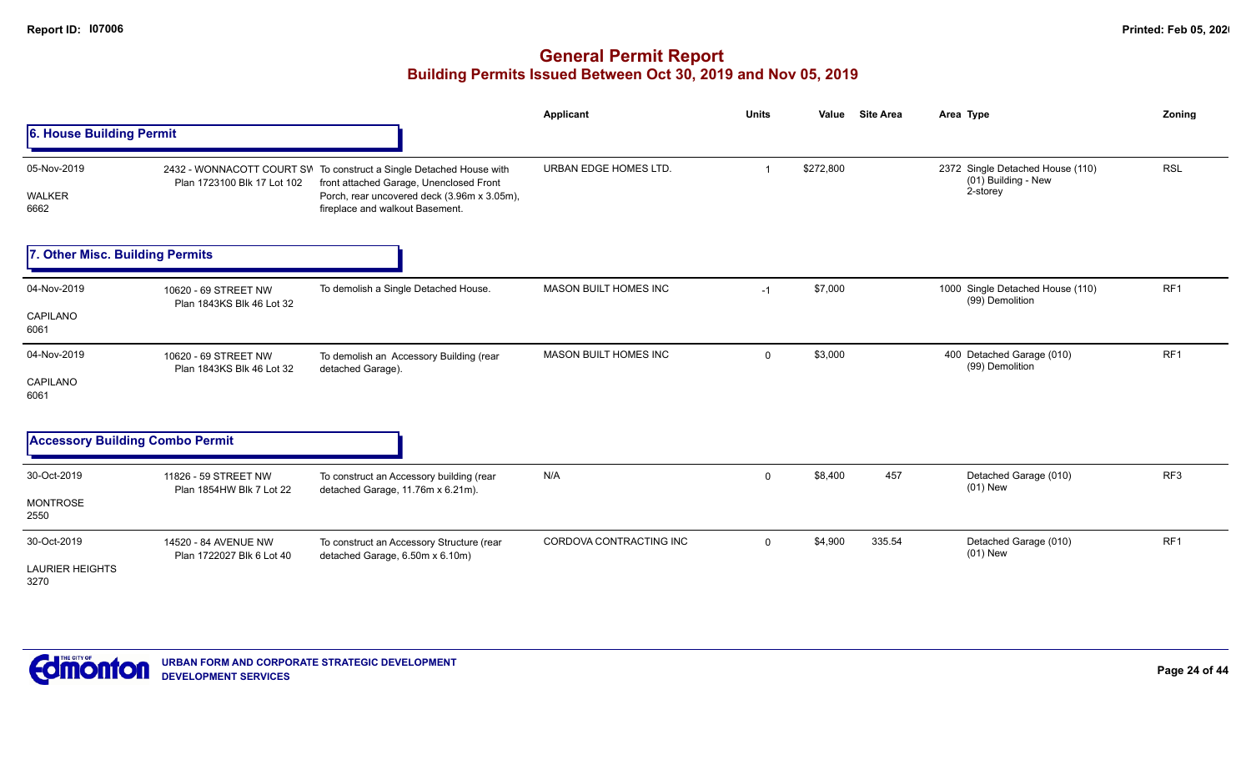|                                               |                                                   |                                                                                                                                                                                                  | <b>Applicant</b>             | <b>Units</b> | Value     | <b>Site Area</b> | Area Type                                                           | Zoning          |
|-----------------------------------------------|---------------------------------------------------|--------------------------------------------------------------------------------------------------------------------------------------------------------------------------------------------------|------------------------------|--------------|-----------|------------------|---------------------------------------------------------------------|-----------------|
| 6. House Building Permit                      |                                                   |                                                                                                                                                                                                  |                              |              |           |                  |                                                                     |                 |
| 05-Nov-2019<br>WALKER<br>6662                 | Plan 1723100 Blk 17 Lot 102                       | 2432 - WONNACOTT COURT SW To construct a Single Detached House with<br>front attached Garage, Unenclosed Front<br>Porch, rear uncovered deck (3.96m x 3.05m),<br>fireplace and walkout Basement. | URBAN EDGE HOMES LTD.        | -1           | \$272,800 |                  | 2372 Single Detached House (110)<br>(01) Building - New<br>2-storey | <b>RSL</b>      |
| 7. Other Misc. Building Permits               |                                                   |                                                                                                                                                                                                  |                              |              |           |                  |                                                                     |                 |
| 04-Nov-2019<br>CAPILANO<br>6061               | 10620 - 69 STREET NW<br>Plan 1843KS Blk 46 Lot 32 | To demolish a Single Detached House.                                                                                                                                                             | <b>MASON BUILT HOMES INC</b> | $-1$         | \$7,000   |                  | 1000 Single Detached House (110)<br>(99) Demolition                 | RF <sub>1</sub> |
| 04-Nov-2019<br>CAPILANO<br>6061               | 10620 - 69 STREET NW<br>Plan 1843KS Blk 46 Lot 32 | To demolish an Accessory Building (rear<br>detached Garage).                                                                                                                                     | <b>MASON BUILT HOMES INC</b> | $\mathbf 0$  | \$3,000   |                  | 400 Detached Garage (010)<br>(99) Demolition                        | RF1             |
| <b>Accessory Building Combo Permit</b>        |                                                   |                                                                                                                                                                                                  |                              |              |           |                  |                                                                     |                 |
| 30-Oct-2019<br><b>MONTROSE</b><br>2550        | 11826 - 59 STREET NW<br>Plan 1854HW Blk 7 Lot 22  | To construct an Accessory building (rear<br>detached Garage, 11.76m x 6.21m).                                                                                                                    | N/A                          | 0            | \$8,400   | 457              | Detached Garage (010)<br>$(01)$ New                                 | RF <sub>3</sub> |
| 30-Oct-2019<br><b>LAURIER HEIGHTS</b><br>3270 | 14520 - 84 AVENUE NW<br>Plan 1722027 Blk 6 Lot 40 | To construct an Accessory Structure (rear<br>detached Garage, 6.50m x 6.10m)                                                                                                                     | CORDOVA CONTRACTING INC      | $\mathbf{0}$ | \$4,900   | 335.54           | Detached Garage (010)<br>$(01)$ New                                 | RF1             |

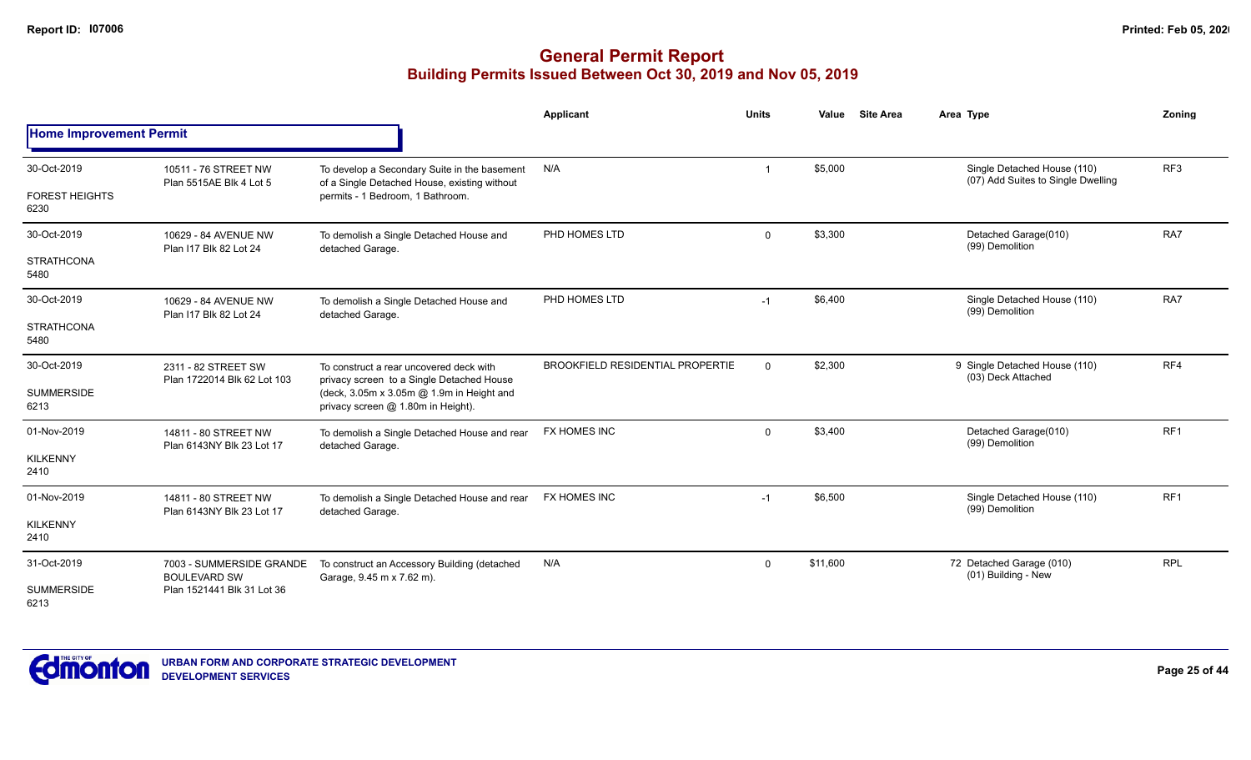# **General Permit Report Building Permits Issued Between Oct 30, 2019 and Nov 05, 2019**

|                                |                                                    |                                                                                              | <b>Applicant</b>                        | <b>Units</b> | <b>Site Area</b><br>Value | Area Type                                                         | Zoning          |
|--------------------------------|----------------------------------------------------|----------------------------------------------------------------------------------------------|-----------------------------------------|--------------|---------------------------|-------------------------------------------------------------------|-----------------|
| <b>Home Improvement Permit</b> |                                                    |                                                                                              |                                         |              |                           |                                                                   |                 |
| 30-Oct-2019                    | 10511 - 76 STREET NW<br>Plan 5515AE Blk 4 Lot 5    | To develop a Secondary Suite in the basement<br>of a Single Detached House, existing without | N/A                                     |              | \$5,000                   | Single Detached House (110)<br>(07) Add Suites to Single Dwelling | RF <sub>3</sub> |
| <b>FOREST HEIGHTS</b><br>6230  |                                                    | permits - 1 Bedroom, 1 Bathroom.                                                             |                                         |              |                           |                                                                   |                 |
| 30-Oct-2019                    | 10629 - 84 AVENUE NW<br>Plan I17 Blk 82 Lot 24     | To demolish a Single Detached House and<br>detached Garage.                                  | PHD HOMES LTD                           | $\mathbf 0$  | \$3,300                   | Detached Garage(010)<br>(99) Demolition                           | RA7             |
| <b>STRATHCONA</b><br>5480      |                                                    |                                                                                              |                                         |              |                           |                                                                   |                 |
| 30-Oct-2019                    | 10629 - 84 AVENUE NW<br>Plan I17 Blk 82 Lot 24     | To demolish a Single Detached House and<br>detached Garage.                                  | PHD HOMES LTD                           | $-1$         | \$6,400                   | Single Detached House (110)<br>(99) Demolition                    | RA7             |
| <b>STRATHCONA</b><br>5480      |                                                    |                                                                                              |                                         |              |                           |                                                                   |                 |
| 30-Oct-2019                    | 2311 - 82 STREET SW<br>Plan 1722014 Blk 62 Lot 103 | To construct a rear uncovered deck with<br>privacy screen to a Single Detached House         | <b>BROOKFIELD RESIDENTIAL PROPERTIE</b> | $\mathbf{0}$ | \$2,300                   | 9 Single Detached House (110)<br>(03) Deck Attached               | RF4             |
| <b>SUMMERSIDE</b><br>6213      |                                                    | (deck, 3.05m x 3.05m @ 1.9m in Height and<br>privacy screen @ 1.80m in Height).              |                                         |              |                           |                                                                   |                 |
| 01-Nov-2019                    | 14811 - 80 STREET NW<br>Plan 6143NY Blk 23 Lot 17  | To demolish a Single Detached House and rear<br>detached Garage.                             | FX HOMES INC                            | $\mathbf 0$  | \$3,400                   | Detached Garage(010)<br>(99) Demolition                           | RF <sub>1</sub> |
| <b>KILKENNY</b><br>2410        |                                                    |                                                                                              |                                         |              |                           |                                                                   |                 |
| 01-Nov-2019                    | 14811 - 80 STREET NW                               | To demolish a Single Detached House and rear<br>detached Garage.                             | FX HOMES INC                            | $-1$         | \$6,500                   | Single Detached House (110)<br>(99) Demolition                    | RF <sub>1</sub> |
| <b>KILKENNY</b><br>2410        | Plan 6143NY Blk 23 Lot 17                          |                                                                                              |                                         |              |                           |                                                                   |                 |
| 31-Oct-2019                    | 7003 - SUMMERSIDE GRANDE<br><b>BOULEVARD SW</b>    | To construct an Accessory Building (detached<br>Garage, 9.45 m x 7.62 m).                    | N/A                                     | $\mathbf 0$  | \$11,600                  | 72 Detached Garage (010)<br>(01) Building - New                   | <b>RPL</b>      |
| <b>SUMMERSIDE</b><br>6213      | Plan 1521441 Blk 31 Lot 36                         |                                                                                              |                                         |              |                           |                                                                   |                 |



**Page 25 of 44**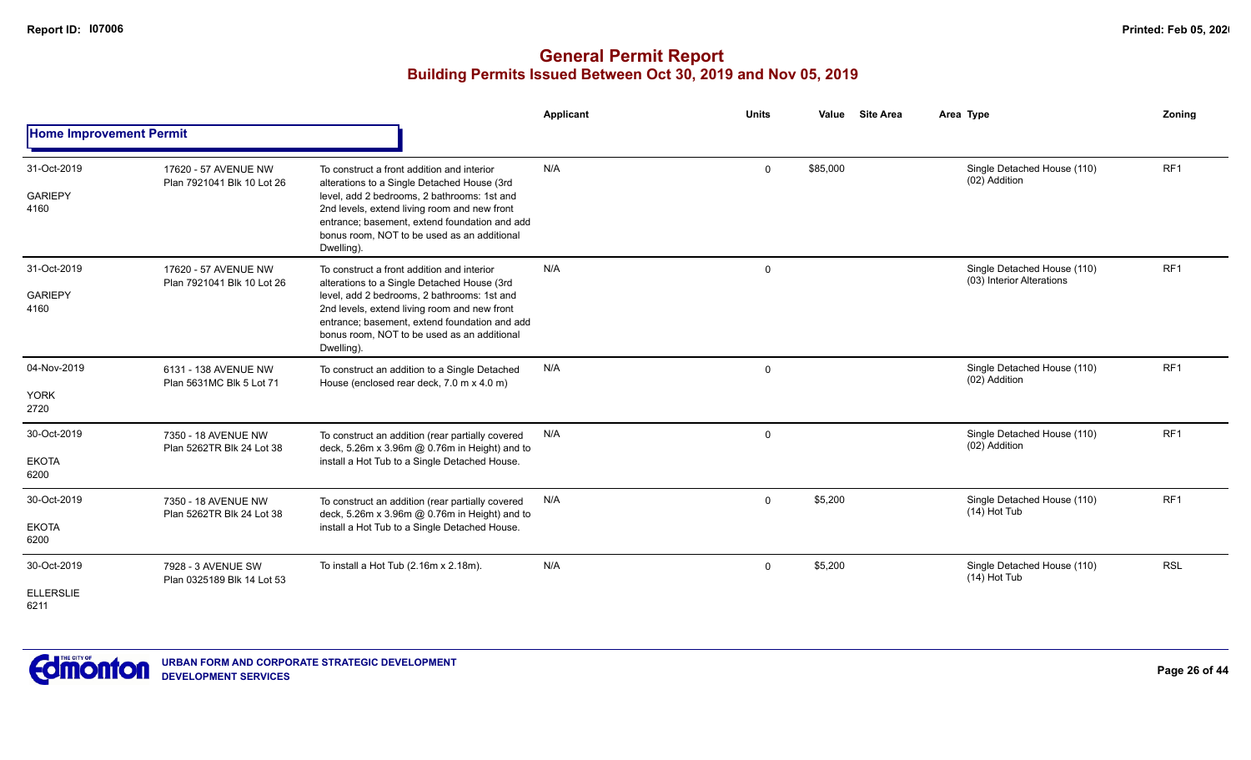|                                         |                                                    |                                                                                                                                                                                                                                                                                                        | Applicant | <b>Units</b> | <b>Site Area</b><br>Value | Area Type                                                | Zoning          |
|-----------------------------------------|----------------------------------------------------|--------------------------------------------------------------------------------------------------------------------------------------------------------------------------------------------------------------------------------------------------------------------------------------------------------|-----------|--------------|---------------------------|----------------------------------------------------------|-----------------|
| <b>Home Improvement Permit</b>          |                                                    |                                                                                                                                                                                                                                                                                                        |           |              |                           |                                                          |                 |
| 31-Oct-2019<br><b>GARIEPY</b><br>4160   | 17620 - 57 AVENUE NW<br>Plan 7921041 Blk 10 Lot 26 | To construct a front addition and interior<br>alterations to a Single Detached House (3rd<br>level, add 2 bedrooms, 2 bathrooms: 1st and<br>2nd levels, extend living room and new front<br>entrance; basement, extend foundation and add<br>bonus room, NOT to be used as an additional<br>Dwelling). | N/A       | $\mathbf 0$  | \$85,000                  | Single Detached House (110)<br>(02) Addition             | RF <sub>1</sub> |
| 31-Oct-2019<br><b>GARIEPY</b><br>4160   | 17620 - 57 AVENUE NW<br>Plan 7921041 Blk 10 Lot 26 | To construct a front addition and interior<br>alterations to a Single Detached House (3rd<br>level, add 2 bedrooms, 2 bathrooms: 1st and<br>2nd levels, extend living room and new front<br>entrance; basement, extend foundation and add<br>bonus room. NOT to be used as an additional<br>Dwelling). | N/A       | 0            |                           | Single Detached House (110)<br>(03) Interior Alterations | RF1             |
| 04-Nov-2019<br><b>YORK</b><br>2720      | 6131 - 138 AVENUE NW<br>Plan 5631MC Blk 5 Lot 71   | To construct an addition to a Single Detached<br>House (enclosed rear deck, 7.0 m x 4.0 m)                                                                                                                                                                                                             | N/A       | 0            |                           | Single Detached House (110)<br>(02) Addition             | RF <sub>1</sub> |
| 30-Oct-2019<br><b>EKOTA</b><br>6200     | 7350 - 18 AVENUE NW<br>Plan 5262TR Blk 24 Lot 38   | To construct an addition (rear partially covered<br>deck, 5.26m x 3.96m @ 0.76m in Height) and to<br>install a Hot Tub to a Single Detached House.                                                                                                                                                     | N/A       | $\mathbf 0$  |                           | Single Detached House (110)<br>(02) Addition             | RF1             |
| 30-Oct-2019<br><b>EKOTA</b><br>6200     | 7350 - 18 AVENUE NW<br>Plan 5262TR Blk 24 Lot 38   | To construct an addition (rear partially covered<br>deck, 5.26m x 3.96m @ 0.76m in Height) and to<br>install a Hot Tub to a Single Detached House.                                                                                                                                                     | N/A       | $\mathbf 0$  | \$5,200                   | Single Detached House (110)<br>$(14)$ Hot Tub            | RF1             |
| 30-Oct-2019<br><b>ELLERSLIE</b><br>6211 | 7928 - 3 AVENUE SW<br>Plan 0325189 Blk 14 Lot 53   | To install a Hot Tub (2.16m x 2.18m).                                                                                                                                                                                                                                                                  | N/A       | $\mathbf 0$  | \$5,200                   | Single Detached House (110)<br>$(14)$ Hot Tub            | <b>RSL</b>      |

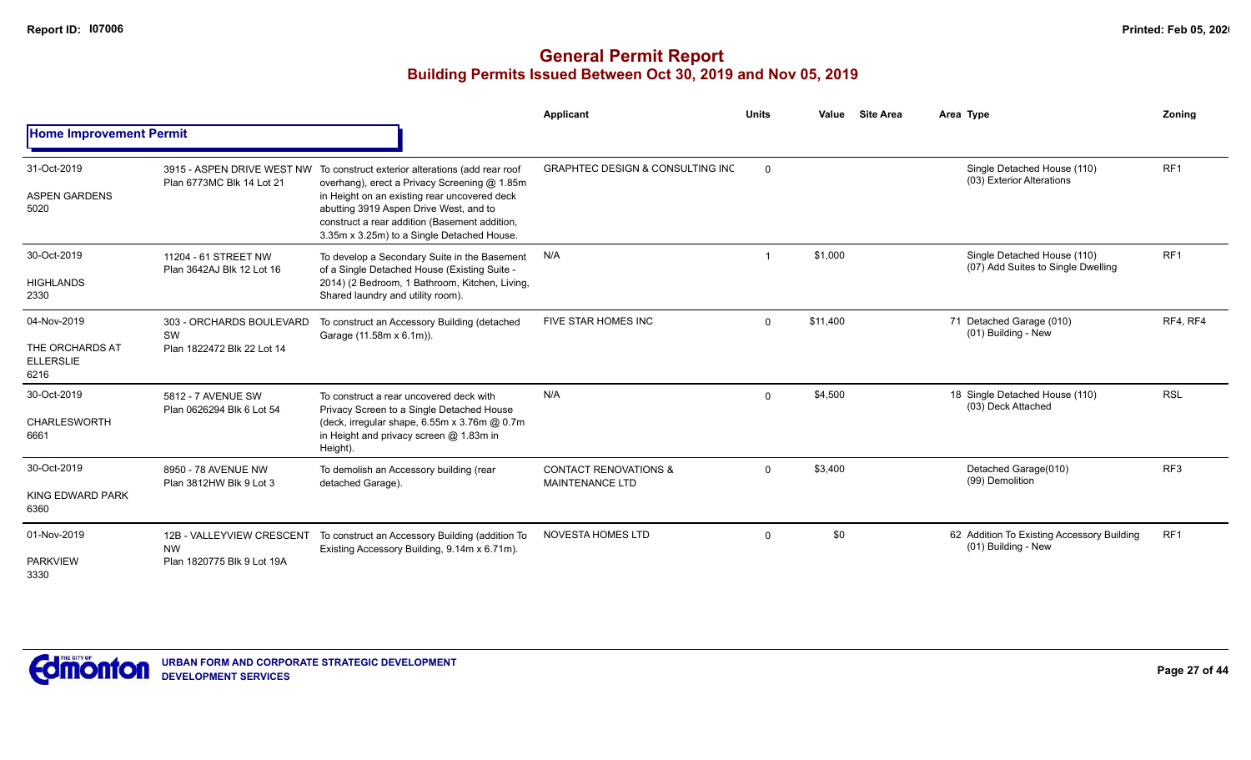|                                                            |                                                                      |                                                                                                                                                                                                                                                                                                                      | Applicant                                                  | <b>Units</b> | Value    | <b>Site Area</b> | Area Type                                                         | Zoning          |
|------------------------------------------------------------|----------------------------------------------------------------------|----------------------------------------------------------------------------------------------------------------------------------------------------------------------------------------------------------------------------------------------------------------------------------------------------------------------|------------------------------------------------------------|--------------|----------|------------------|-------------------------------------------------------------------|-----------------|
| <b>Home Improvement Permit</b>                             |                                                                      |                                                                                                                                                                                                                                                                                                                      |                                                            |              |          |                  |                                                                   |                 |
| 31-Oct-2019<br><b>ASPEN GARDENS</b><br>5020                | Plan 6773MC Blk 14 Lot 21                                            | 3915 - ASPEN DRIVE WEST NW To construct exterior alterations (add rear roof<br>overhang), erect a Privacy Screening @ 1.85m<br>in Height on an existing rear uncovered deck<br>abutting 3919 Aspen Drive West, and to<br>construct a rear addition (Basement addition,<br>3.35m x 3.25m) to a Single Detached House. | <b>GRAPHTEC DESIGN &amp; CONSULTING INC</b>                | $\Omega$     |          |                  | Single Detached House (110)<br>(03) Exterior Alterations          | RF <sub>1</sub> |
| 30-Oct-2019<br><b>HIGHLANDS</b><br>2330                    | 11204 - 61 STREET NW<br>Plan 3642AJ Blk 12 Lot 16                    | To develop a Secondary Suite in the Basement<br>of a Single Detached House (Existing Suite -<br>2014) (2 Bedroom, 1 Bathroom, Kitchen, Living,<br>Shared laundry and utility room).                                                                                                                                  | N/A                                                        |              | \$1,000  |                  | Single Detached House (110)<br>(07) Add Suites to Single Dwelling | RF <sub>1</sub> |
| 04-Nov-2019<br>THE ORCHARDS AT<br><b>ELLERSLIE</b><br>6216 | 303 - ORCHARDS BOULEVARD<br>SW<br>Plan 1822472 Blk 22 Lot 14         | To construct an Accessory Building (detached<br>Garage (11.58m x 6.1m)).                                                                                                                                                                                                                                             | FIVE STAR HOMES INC                                        | $\Omega$     | \$11,400 |                  | 71 Detached Garage (010)<br>(01) Building - New                   | RF4, RF4        |
| 30-Oct-2019<br><b>CHARLESWORTH</b><br>6661                 | 5812 - 7 AVENUE SW<br>Plan 0626294 Blk 6 Lot 54                      | To construct a rear uncovered deck with<br>Privacy Screen to a Single Detached House<br>(deck, irregular shape, 6.55m x 3.76m @ 0.7m<br>in Height and privacy screen @ 1.83m in<br>Height).                                                                                                                          | N/A                                                        | $\Omega$     | \$4,500  |                  | 18 Single Detached House (110)<br>(03) Deck Attached              | <b>RSL</b>      |
| 30-Oct-2019<br>KING EDWARD PARK<br>6360                    | 8950 - 78 AVENUE NW<br>Plan 3812HW Blk 9 Lot 3                       | To demolish an Accessory building (rear<br>detached Garage).                                                                                                                                                                                                                                                         | <b>CONTACT RENOVATIONS &amp;</b><br><b>MAINTENANCE LTD</b> | $\Omega$     | \$3,400  |                  | Detached Garage(010)<br>(99) Demolition                           | RF <sub>3</sub> |
| 01-Nov-2019<br><b>PARKVIEW</b><br>3330                     | 12B - VALLEYVIEW CRESCENT<br><b>NW</b><br>Plan 1820775 Blk 9 Lot 19A | To construct an Accessory Building (addition To<br>Existing Accessory Building, 9.14m x 6.71m).                                                                                                                                                                                                                      | <b>NOVESTA HOMES LTD</b>                                   | $\Omega$     | \$0      |                  | 62 Addition To Existing Accessory Building<br>(01) Building - New | RF <sub>1</sub> |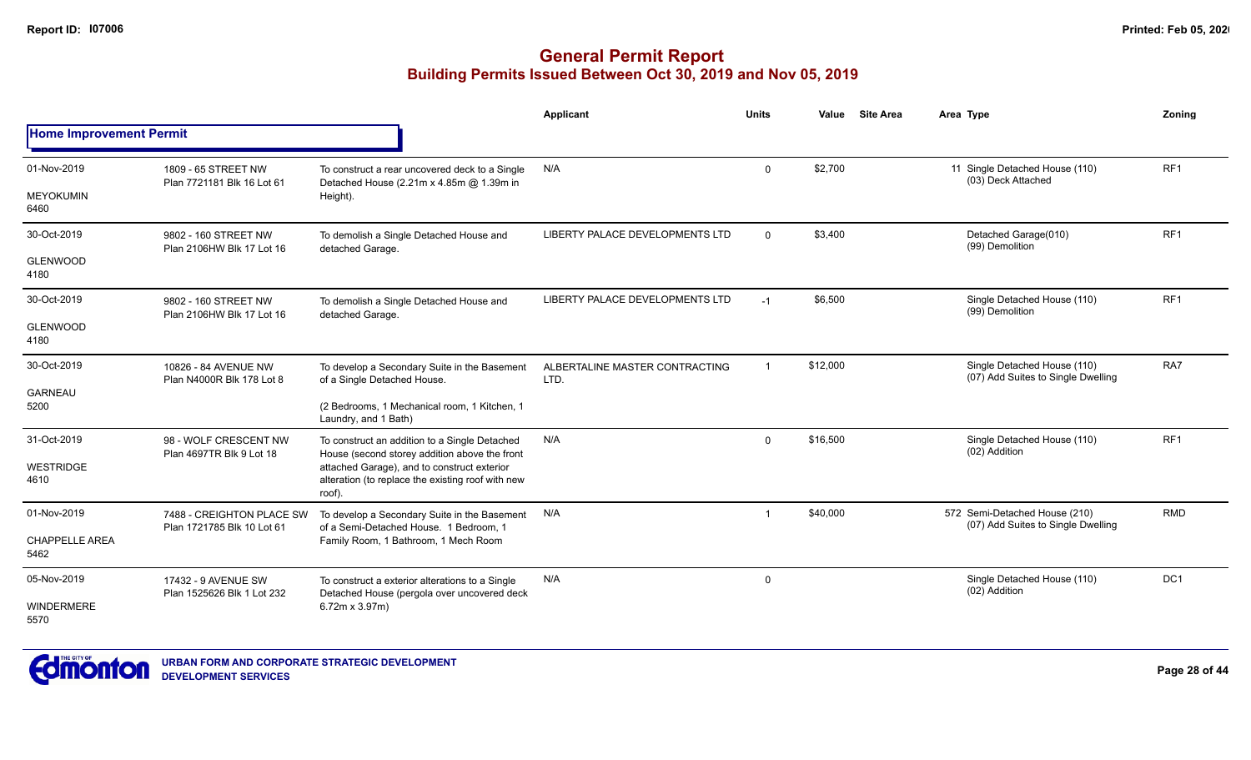|                                |                                                                                                                                                                                                                                                                                                                                                                                                                 |                                                                                                  | Applicant                              | <b>Units</b>   | Value    | <b>Site Area</b> | Area Type                                                           | <b>Zoning</b>   |
|--------------------------------|-----------------------------------------------------------------------------------------------------------------------------------------------------------------------------------------------------------------------------------------------------------------------------------------------------------------------------------------------------------------------------------------------------------------|--------------------------------------------------------------------------------------------------|----------------------------------------|----------------|----------|------------------|---------------------------------------------------------------------|-----------------|
| <b>Home Improvement Permit</b> |                                                                                                                                                                                                                                                                                                                                                                                                                 |                                                                                                  |                                        |                |          |                  |                                                                     |                 |
| 01-Nov-2019                    | 1809 - 65 STREET NW                                                                                                                                                                                                                                                                                                                                                                                             | To construct a rear uncovered deck to a Single                                                   | N/A                                    | $\mathbf 0$    | \$2,700  |                  | 11 Single Detached House (110)<br>(03) Deck Attached                | RF <sub>1</sub> |
| <b>MEYOKUMIN</b><br>6460       | Detached House (2.21m x 4.85m @ 1.39m in<br>Plan 7721181 Blk 16 Lot 61<br>Height).<br>9802 - 160 STREET NW<br>Plan 2106HW Blk 17 Lot 16<br>detached Garage.<br>9802 - 160 STREET NW<br>Plan 2106HW Blk 17 Lot 16<br>detached Garage.<br>10826 - 84 AVENUE NW<br>Plan N4000R Blk 178 Lot 8<br>of a Single Detached House.<br>Laundry, and 1 Bath)<br>98 - WOLF CRESCENT NW<br>Plan 4697TR Blk 9 Lot 18<br>roof). |                                                                                                  |                                        |                |          |                  |                                                                     |                 |
| 30-Oct-2019                    |                                                                                                                                                                                                                                                                                                                                                                                                                 | To demolish a Single Detached House and                                                          | LIBERTY PALACE DEVELOPMENTS LTD        | $\Omega$       | \$3,400  |                  | Detached Garage(010)<br>(99) Demolition                             | RF <sub>1</sub> |
| <b>GLENWOOD</b><br>4180        |                                                                                                                                                                                                                                                                                                                                                                                                                 |                                                                                                  |                                        |                |          |                  |                                                                     |                 |
| 30-Oct-2019                    |                                                                                                                                                                                                                                                                                                                                                                                                                 | To demolish a Single Detached House and                                                          | LIBERTY PALACE DEVELOPMENTS LTD        | $-1$           | \$6,500  |                  | Single Detached House (110)<br>(99) Demolition                      | RF <sub>1</sub> |
| <b>GLENWOOD</b><br>4180        |                                                                                                                                                                                                                                                                                                                                                                                                                 |                                                                                                  |                                        |                |          |                  |                                                                     |                 |
| 30-Oct-2019                    |                                                                                                                                                                                                                                                                                                                                                                                                                 | To develop a Secondary Suite in the Basement                                                     | ALBERTALINE MASTER CONTRACTING<br>LTD. | $\overline{1}$ | \$12,000 |                  | Single Detached House (110)<br>(07) Add Suites to Single Dwelling   | RA7             |
| <b>GARNEAU</b><br>5200         |                                                                                                                                                                                                                                                                                                                                                                                                                 | (2 Bedrooms, 1 Mechanical room, 1 Kitchen, 1                                                     |                                        |                |          |                  |                                                                     |                 |
| 31-Oct-2019                    |                                                                                                                                                                                                                                                                                                                                                                                                                 | To construct an addition to a Single Detached<br>House (second storey addition above the front   | N/A                                    | $\Omega$       | \$16,500 |                  | Single Detached House (110)<br>(02) Addition                        | RF1             |
| <b>WESTRIDGE</b><br>4610       |                                                                                                                                                                                                                                                                                                                                                                                                                 | attached Garage), and to construct exterior<br>alteration (to replace the existing roof with new |                                        |                |          |                  |                                                                     |                 |
| 01-Nov-2019                    | 7488 - CREIGHTON PLACE SW                                                                                                                                                                                                                                                                                                                                                                                       | To develop a Secondary Suite in the Basement<br>of a Semi-Detached House. 1 Bedroom. 1           | N/A                                    | $\overline{1}$ | \$40,000 |                  | 572 Semi-Detached House (210)<br>(07) Add Suites to Single Dwelling | <b>RMD</b>      |
| <b>CHAPPELLE AREA</b><br>5462  | Plan 1721785 Blk 10 Lot 61                                                                                                                                                                                                                                                                                                                                                                                      | Family Room, 1 Bathroom, 1 Mech Room                                                             |                                        |                |          |                  |                                                                     |                 |
| 05-Nov-2019                    | 17432 - 9 AVENUE SW<br>Plan 1525626 Blk 1 Lot 232                                                                                                                                                                                                                                                                                                                                                               | To construct a exterior alterations to a Single<br>Detached House (pergola over uncovered deck   | N/A                                    | $\mathbf 0$    |          |                  | Single Detached House (110)<br>(02) Addition                        | DC1             |
| <b>WINDERMERE</b><br>5570      |                                                                                                                                                                                                                                                                                                                                                                                                                 | $6.72m \times 3.97m$                                                                             |                                        |                |          |                  |                                                                     |                 |

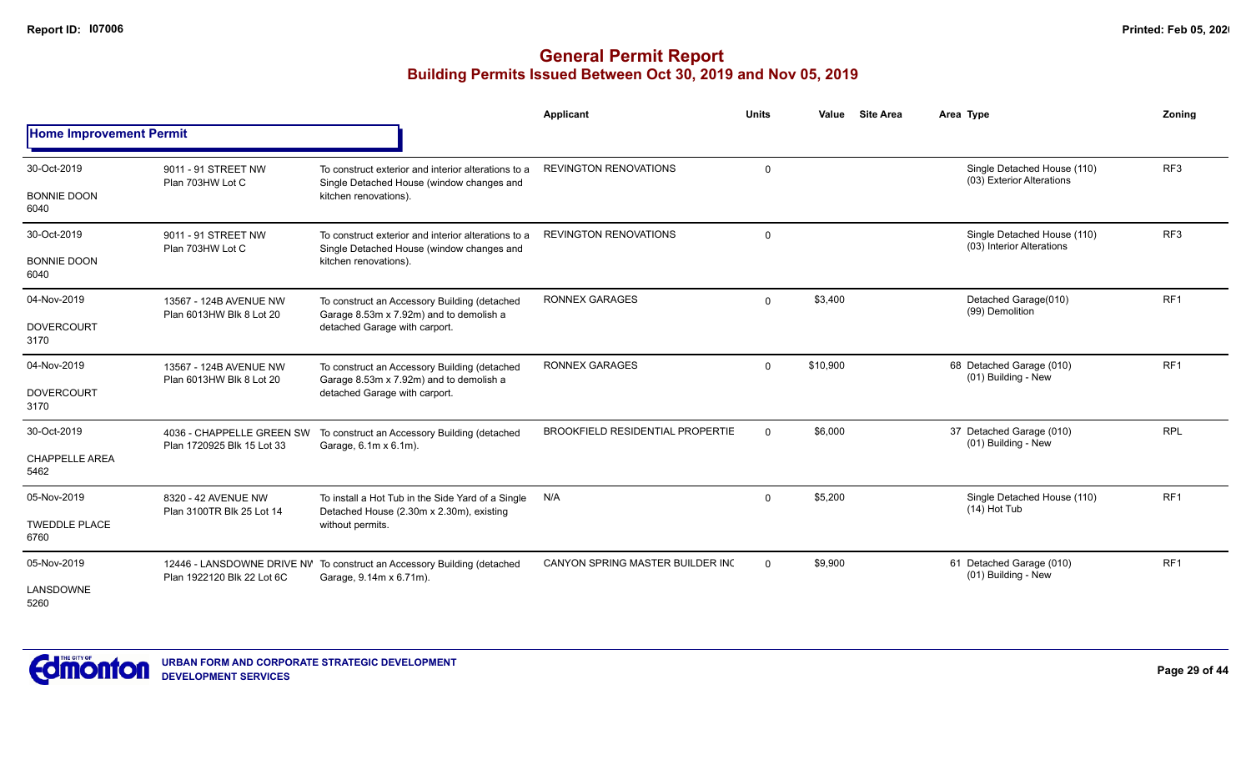|                                              |                                                         |                                                                                                                           | <b>Applicant</b>                        | <b>Units</b>   | Value    | <b>Site Area</b> | Area Type                                                | Zonina          |
|----------------------------------------------|---------------------------------------------------------|---------------------------------------------------------------------------------------------------------------------------|-----------------------------------------|----------------|----------|------------------|----------------------------------------------------------|-----------------|
| <b>Home Improvement Permit</b>               |                                                         |                                                                                                                           |                                         |                |          |                  |                                                          |                 |
| 30-Oct-2019<br><b>BONNIE DOON</b><br>6040    | 9011 - 91 STREET NW<br>Plan 703HW Lot C                 | To construct exterior and interior alterations to a<br>Single Detached House (window changes and<br>kitchen renovations). | <b>REVINGTON RENOVATIONS</b>            | $\mathbf 0$    |          |                  | Single Detached House (110)<br>(03) Exterior Alterations | RF <sub>3</sub> |
| 30-Oct-2019<br><b>BONNIE DOON</b><br>6040    | 9011 - 91 STREET NW<br>Plan 703HW Lot C                 | To construct exterior and interior alterations to a<br>Single Detached House (window changes and<br>kitchen renovations). | <b>REVINGTON RENOVATIONS</b>            | $\overline{0}$ |          |                  | Single Detached House (110)<br>(03) Interior Alterations | RF <sub>3</sub> |
| 04-Nov-2019<br><b>DOVERCOURT</b><br>3170     | 13567 - 124B AVENUE NW<br>Plan 6013HW Blk 8 Lot 20      | To construct an Accessory Building (detached<br>Garage 8.53m x 7.92m) and to demolish a<br>detached Garage with carport.  | <b>RONNEX GARAGES</b>                   | $\mathbf 0$    | \$3,400  |                  | Detached Garage(010)<br>(99) Demolition                  | RF <sub>1</sub> |
| 04-Nov-2019<br><b>DOVERCOURT</b><br>3170     | 13567 - 124B AVENUE NW<br>Plan 6013HW Blk 8 Lot 20      | To construct an Accessory Building (detached<br>Garage 8.53m x 7.92m) and to demolish a<br>detached Garage with carport.  | <b>RONNEX GARAGES</b>                   | $\mathbf{0}$   | \$10,900 |                  | 68 Detached Garage (010)<br>(01) Building - New          | RF <sub>1</sub> |
| 30-Oct-2019<br><b>CHAPPELLE AREA</b><br>5462 | 4036 - CHAPPELLE GREEN SW<br>Plan 1720925 Blk 15 Lot 33 | To construct an Accessory Building (detached<br>Garage, 6.1m x 6.1m).                                                     | <b>BROOKFIELD RESIDENTIAL PROPERTIE</b> | $\Omega$       | \$6,000  |                  | 37 Detached Garage (010)<br>(01) Building - New          | <b>RPL</b>      |
| 05-Nov-2019<br><b>TWEDDLE PLACE</b><br>6760  | 8320 - 42 AVENUE NW<br>Plan 3100TR Blk 25 Lot 14        | To install a Hot Tub in the Side Yard of a Single<br>Detached House (2.30m x 2.30m), existing<br>without permits.         | N/A                                     | $\mathbf 0$    | \$5,200  |                  | Single Detached House (110)<br>$(14)$ Hot Tub            | RF <sub>1</sub> |
| 05-Nov-2019<br>LANSDOWNE<br>5260             | Plan 1922120 Blk 22 Lot 6C                              | 12446 - LANSDOWNE DRIVE NV To construct an Accessory Building (detached<br>Garage, 9.14m x 6.71m).                        | CANYON SPRING MASTER BUILDER INC        | $\Omega$       | \$9,900  |                  | 61 Detached Garage (010)<br>(01) Building - New          | RF <sub>1</sub> |

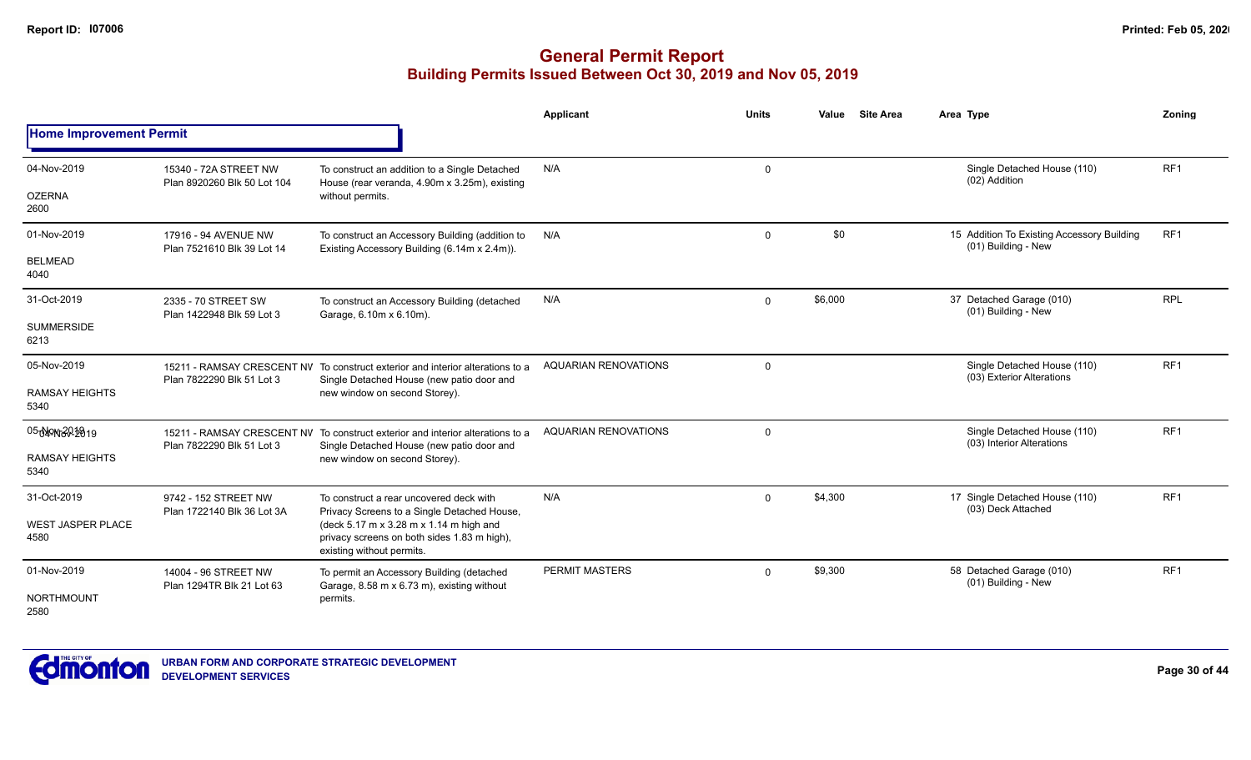|                                  |                                                      |                                                                                                                             | Applicant                   | <b>Units</b> | Value   | <b>Site Area</b>                                         | Area Type                                                         | Zoning          |
|----------------------------------|------------------------------------------------------|-----------------------------------------------------------------------------------------------------------------------------|-----------------------------|--------------|---------|----------------------------------------------------------|-------------------------------------------------------------------|-----------------|
| <b>Home Improvement Permit</b>   |                                                      |                                                                                                                             |                             |              |         |                                                          |                                                                   |                 |
| 04-Nov-2019<br><b>OZERNA</b>     | 15340 - 72A STREET NW<br>Plan 8920260 Blk 50 Lot 104 | To construct an addition to a Single Detached<br>House (rear veranda, 4.90m x 3.25m), existing<br>without permits.          | N/A                         | 0            |         |                                                          | Single Detached House (110)<br>(02) Addition                      | RF <sub>1</sub> |
| 2600                             |                                                      |                                                                                                                             |                             |              |         |                                                          |                                                                   |                 |
| 01-Nov-2019                      | 17916 - 94 AVENUE NW<br>Plan 7521610 Blk 39 Lot 14   | To construct an Accessory Building (addition to<br>Existing Accessory Building (6.14m x 2.4m)).                             | N/A                         | 0            | \$0     |                                                          | 15 Addition To Existing Accessory Building<br>(01) Building - New | RF1             |
| <b>BELMEAD</b><br>4040           |                                                      |                                                                                                                             |                             |              |         |                                                          |                                                                   |                 |
| 31-Oct-2019                      | 2335 - 70 STREET SW<br>Plan 1422948 Blk 59 Lot 3     | To construct an Accessory Building (detached<br>Garage, 6.10m x 6.10m).                                                     | N/A                         | $\mathbf 0$  | \$6,000 |                                                          | 37 Detached Garage (010)<br>(01) Building - New                   | <b>RPL</b>      |
| <b>SUMMERSIDE</b><br>6213        |                                                      |                                                                                                                             |                             |              |         |                                                          |                                                                   |                 |
| 05-Nov-2019                      | Plan 7822290 Blk 51 Lot 3                            | 15211 - RAMSAY CRESCENT NV To construct exterior and interior alterations to a<br>Single Detached House (new patio door and | <b>AQUARIAN RENOVATIONS</b> | $\mathbf 0$  |         | Single Detached House (110)<br>(03) Exterior Alterations | RF <sub>1</sub>                                                   |                 |
| <b>RAMSAY HEIGHTS</b><br>5340    |                                                      | new window on second Storey).                                                                                               |                             |              |         |                                                          |                                                                   |                 |
| 05040N6202819                    | Plan 7822290 Blk 51 Lot 3                            | 15211 - RAMSAY CRESCENT NV To construct exterior and interior alterations to a<br>Single Detached House (new patio door and | <b>AQUARIAN RENOVATIONS</b> | $\mathbf 0$  |         |                                                          | Single Detached House (110)<br>(03) Interior Alterations          | RF <sub>1</sub> |
| <b>RAMSAY HEIGHTS</b><br>5340    |                                                      | new window on second Storey).                                                                                               |                             |              |         |                                                          |                                                                   |                 |
| 31-Oct-2019                      | 9742 - 152 STREET NW                                 | To construct a rear uncovered deck with<br>Privacy Screens to a Single Detached House,                                      | N/A                         | $\Omega$     | \$4,300 |                                                          | 17 Single Detached House (110)<br>(03) Deck Attached              | RF <sub>1</sub> |
| <b>WEST JASPER PLACE</b><br>4580 | Plan 1722140 Blk 36 Lot 3A                           | (deck 5.17 m x 3.28 m x 1.14 m high and<br>privacy screens on both sides 1.83 m high),<br>existing without permits.         |                             |              |         |                                                          |                                                                   |                 |
| 01-Nov-2019                      | 14004 - 96 STREET NW<br>Plan 1294TR Blk 21 Lot 63    | To permit an Accessory Building (detached<br>Garage, 8.58 m x 6.73 m), existing without                                     | <b>PERMIT MASTERS</b>       | $\Omega$     | \$9,300 |                                                          | 58 Detached Garage (010)<br>(01) Building - New                   | RF <sub>1</sub> |
| <b>NORTHMOUNT</b><br>2580        |                                                      | permits.                                                                                                                    |                             |              |         |                                                          |                                                                   |                 |

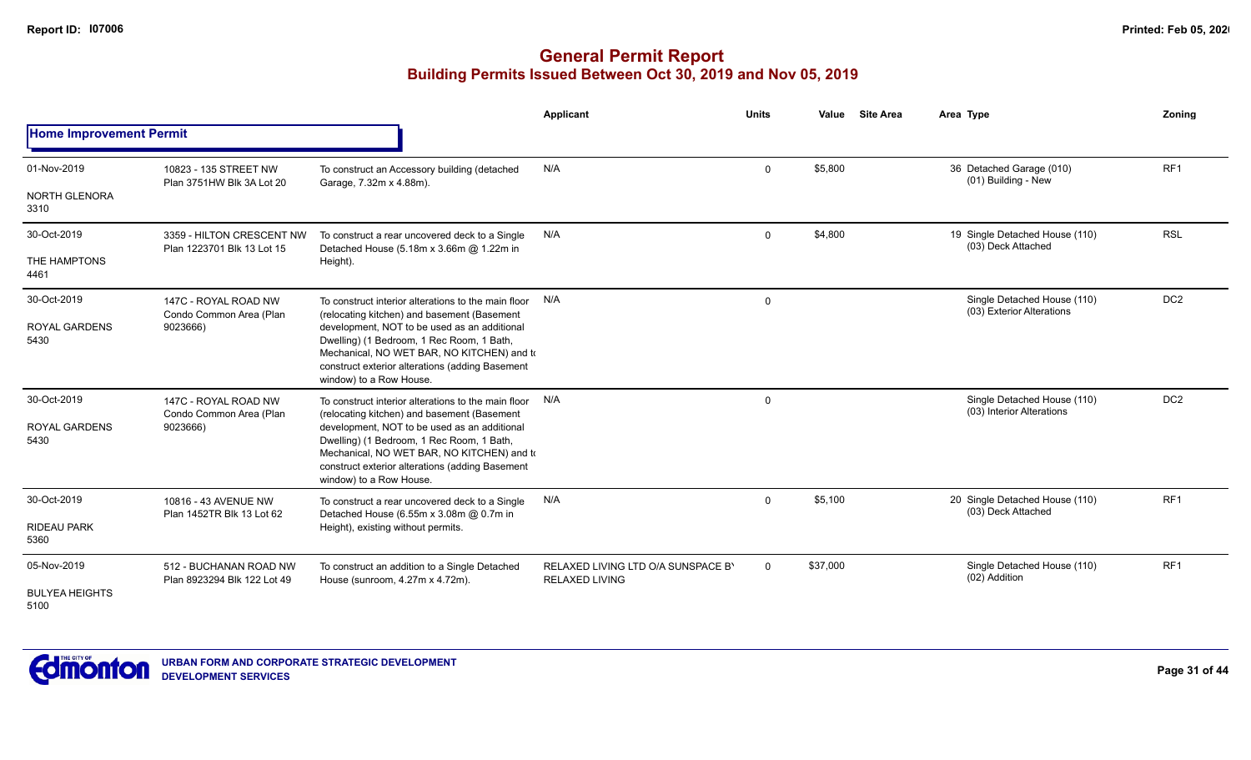|                                             |                                                             |                                                                                                                                                                                                                                                                                                                             | Applicant                                                   | <b>Units</b> | Value    | <b>Site Area</b> | Area Type                                                | Zoning          |
|---------------------------------------------|-------------------------------------------------------------|-----------------------------------------------------------------------------------------------------------------------------------------------------------------------------------------------------------------------------------------------------------------------------------------------------------------------------|-------------------------------------------------------------|--------------|----------|------------------|----------------------------------------------------------|-----------------|
| <b>Home Improvement Permit</b>              |                                                             |                                                                                                                                                                                                                                                                                                                             |                                                             |              |          |                  |                                                          |                 |
| 01-Nov-2019                                 | 10823 - 135 STREET NW<br>Plan 3751HW Blk 3A Lot 20          | To construct an Accessory building (detached<br>Garage, 7.32m x 4.88m).                                                                                                                                                                                                                                                     | N/A                                                         | $\mathbf 0$  | \$5,800  |                  | 36 Detached Garage (010)<br>(01) Building - New          | RF <sub>1</sub> |
| <b>NORTH GLENORA</b><br>3310                |                                                             |                                                                                                                                                                                                                                                                                                                             |                                                             |              |          |                  |                                                          |                 |
| 30-Oct-2019                                 | 3359 - HILTON CRESCENT NW<br>Plan 1223701 Blk 13 Lot 15     | To construct a rear uncovered deck to a Single<br>Detached House (5.18m x 3.66m @ 1.22m in                                                                                                                                                                                                                                  | N/A                                                         | $\mathbf 0$  | \$4,800  |                  | 19 Single Detached House (110)<br>(03) Deck Attached     | <b>RSL</b>      |
| THE HAMPTONS<br>4461                        |                                                             | Height).                                                                                                                                                                                                                                                                                                                    |                                                             |              |          |                  |                                                          |                 |
| 30-Oct-2019                                 | 147C - ROYAL ROAD NW<br>Condo Common Area (Plan             | To construct interior alterations to the main floor<br>(relocating kitchen) and basement (Basement                                                                                                                                                                                                                          | N/A                                                         | 0            |          |                  | Single Detached House (110)<br>(03) Exterior Alterations | DC <sub>2</sub> |
| <b>ROYAL GARDENS</b><br>5430                | 9023666)                                                    | development, NOT to be used as an additional<br>Dwelling) (1 Bedroom, 1 Rec Room, 1 Bath,<br>Mechanical, NO WET BAR, NO KITCHEN) and to<br>construct exterior alterations (adding Basement<br>window) to a Row House.                                                                                                       |                                                             |              |          |                  |                                                          |                 |
| 30-Oct-2019<br><b>ROYAL GARDENS</b><br>5430 | 147C - ROYAL ROAD NW<br>Condo Common Area (Plan<br>9023666) | To construct interior alterations to the main floor<br>(relocating kitchen) and basement (Basement<br>development, NOT to be used as an additional<br>Dwelling) (1 Bedroom, 1 Rec Room, 1 Bath,<br>Mechanical, NO WET BAR, NO KITCHEN) and to<br>construct exterior alterations (adding Basement<br>window) to a Row House. | N/A                                                         | $\mathbf 0$  |          |                  | Single Detached House (110)<br>(03) Interior Alterations | DC <sub>2</sub> |
| 30-Oct-2019                                 | 10816 - 43 AVENUE NW<br>Plan 1452TR Blk 13 Lot 62           | To construct a rear uncovered deck to a Single<br>Detached House (6.55m x 3.08m @ 0.7m in                                                                                                                                                                                                                                   | N/A                                                         | $\mathbf 0$  | \$5,100  |                  | 20 Single Detached House (110)<br>(03) Deck Attached     | RF <sub>1</sub> |
| <b>RIDEAU PARK</b><br>5360                  |                                                             | Height), existing without permits.                                                                                                                                                                                                                                                                                          |                                                             |              |          |                  |                                                          |                 |
| 05-Nov-2019                                 | 512 - BUCHANAN ROAD NW<br>Plan 8923294 Blk 122 Lot 49       | To construct an addition to a Single Detached<br>House (sunroom, 4.27m x 4.72m).                                                                                                                                                                                                                                            | RELAXED LIVING LTD O/A SUNSPACE B'<br><b>RELAXED LIVING</b> | $\mathbf 0$  | \$37,000 |                  | Single Detached House (110)<br>(02) Addition             | RF <sub>1</sub> |
| <b>BULYEA HEIGHTS</b><br>5100               |                                                             |                                                                                                                                                                                                                                                                                                                             |                                                             |              |          |                  |                                                          |                 |

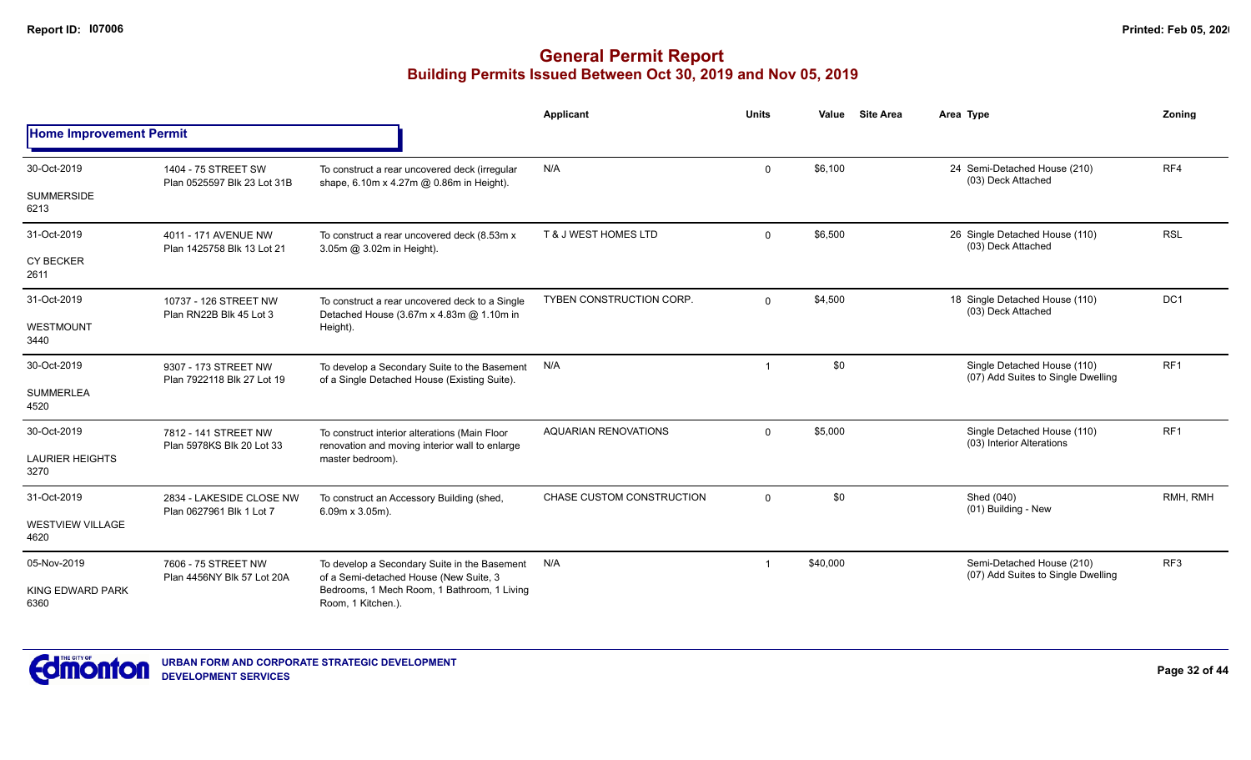|                                 |                                                    |                                                                                                 | Applicant                       | <b>Units</b>            | Value    | <b>Site Area</b> | Area Type                                                         | Zoning          |
|---------------------------------|----------------------------------------------------|-------------------------------------------------------------------------------------------------|---------------------------------|-------------------------|----------|------------------|-------------------------------------------------------------------|-----------------|
| <b>Home Improvement Permit</b>  |                                                    |                                                                                                 |                                 |                         |          |                  |                                                                   |                 |
| 30-Oct-2019                     | 1404 - 75 STREET SW<br>Plan 0525597 Blk 23 Lot 31B | To construct a rear uncovered deck (irregular                                                   | N/A                             | $\mathbf 0$             | \$6,100  |                  | 24 Semi-Detached House (210)<br>(03) Deck Attached                | RF4             |
| <b>SUMMERSIDE</b><br>6213       |                                                    | shape, 6.10m x 4.27m @ 0.86m in Height).                                                        |                                 |                         |          |                  |                                                                   |                 |
| 31-Oct-2019                     | 4011 - 171 AVENUE NW<br>Plan 1425758 Blk 13 Lot 21 | To construct a rear uncovered deck (8.53m x<br>3.05m @ 3.02m in Height).                        | <b>T &amp; J WEST HOMES LTD</b> | $\mathbf 0$             | \$6,500  |                  | 26 Single Detached House (110)<br>(03) Deck Attached              | <b>RSL</b>      |
| <b>CY BECKER</b><br>2611        |                                                    |                                                                                                 |                                 |                         |          |                  |                                                                   |                 |
| 31-Oct-2019                     | 10737 - 126 STREET NW<br>Plan RN22B Blk 45 Lot 3   | To construct a rear uncovered deck to a Single<br>Detached House (3.67m x 4.83m @ 1.10m in      | <b>TYBEN CONSTRUCTION CORP.</b> | $\mathbf{0}$            | \$4,500  |                  | 18 Single Detached House (110)<br>(03) Deck Attached              | DC <sub>1</sub> |
| <b>WESTMOUNT</b><br>3440        |                                                    | Height).                                                                                        |                                 |                         |          |                  |                                                                   |                 |
| 30-Oct-2019                     | 9307 - 173 STREET NW<br>Plan 7922118 Blk 27 Lot 19 | To develop a Secondary Suite to the Basement<br>of a Single Detached House (Existing Suite).    | N/A                             | $\overline{\mathbf{1}}$ | \$0      |                  | Single Detached House (110)<br>(07) Add Suites to Single Dwelling | RF <sub>1</sub> |
| <b>SUMMERLEA</b><br>4520        |                                                    |                                                                                                 |                                 |                         |          |                  |                                                                   |                 |
| 30-Oct-2019                     | 7812 - 141 STREET NW<br>Plan 5978KS Blk 20 Lot 33  | To construct interior alterations (Main Floor<br>renovation and moving interior wall to enlarge | <b>AQUARIAN RENOVATIONS</b>     | $\mathbf 0$             | \$5,000  |                  | Single Detached House (110)<br>(03) Interior Alterations          | RF <sub>1</sub> |
| <b>LAURIER HEIGHTS</b><br>3270  |                                                    | master bedroom).                                                                                |                                 |                         |          |                  |                                                                   |                 |
| 31-Oct-2019                     | 2834 - LAKESIDE CLOSE NW                           | To construct an Accessory Building (shed,<br>$6.09m \times 3.05m$ ).                            | CHASE CUSTOM CONSTRUCTION       | $\Omega$                | \$0      |                  | Shed (040)<br>(01) Building - New                                 | RMH, RMH        |
| <b>WESTVIEW VILLAGE</b><br>4620 | Plan 0627961 Blk 1 Lot 7                           |                                                                                                 |                                 |                         |          |                  |                                                                   |                 |
| 05-Nov-2019                     | 7606 - 75 STREET NW                                | To develop a Secondary Suite in the Basement<br>of a Semi-detached House (New Suite, 3          | N/A                             | -1                      | \$40,000 |                  | Semi-Detached House (210)<br>(07) Add Suites to Single Dwelling   | RF <sub>3</sub> |
| <b>KING EDWARD PARK</b><br>6360 | Plan 4456NY Blk 57 Lot 20A                         | Bedrooms, 1 Mech Room, 1 Bathroom, 1 Living<br>Room, 1 Kitchen.).                               |                                 |                         |          |                  |                                                                   |                 |

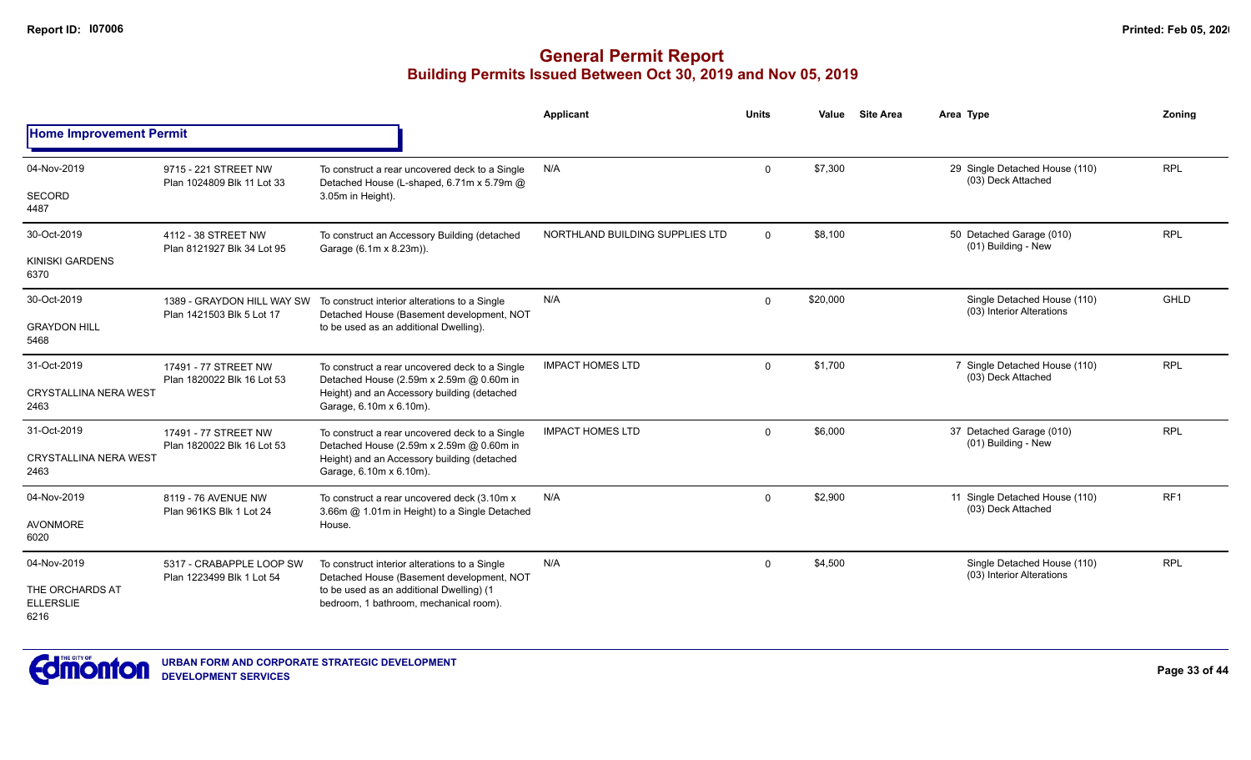|                                             |                                                                                                                                                                                                                                                                            |                                                                                                                       | Applicant                       | <b>Units</b> | Value    | <b>Site Area</b> | Area Type                                                | Zonina      |
|---------------------------------------------|----------------------------------------------------------------------------------------------------------------------------------------------------------------------------------------------------------------------------------------------------------------------------|-----------------------------------------------------------------------------------------------------------------------|---------------------------------|--------------|----------|------------------|----------------------------------------------------------|-------------|
| <b>Home Improvement Permit</b>              |                                                                                                                                                                                                                                                                            |                                                                                                                       |                                 |              |          |                  |                                                          |             |
| 04-Nov-2019                                 | 9715 - 221 STREET NW                                                                                                                                                                                                                                                       | To construct a rear uncovered deck to a Single<br>Detached House (L-shaped, 6.71m x 5.79m @                           | N/A                             | $\Omega$     | \$7,300  |                  | 29 Single Detached House (110)<br>(03) Deck Attached     | <b>RPL</b>  |
| <b>SECORD</b><br>4487                       | Plan 1024809 Blk 11 Lot 33<br>4112 - 38 STREET NW<br>Plan 8121927 Blk 34 Lot 95<br>Plan 1421503 Blk 5 Lot 17<br>17491 - 77 STREET NW<br>Plan 1820022 Blk 16 Lot 53<br>17491 - 77 STREET NW<br>Plan 1820022 Blk 16 Lot 53<br>8119 - 76 AVENUE NW<br>Plan 961KS Blk 1 Lot 24 | 3.05m in Height).                                                                                                     |                                 |              |          |                  |                                                          |             |
| 30-Oct-2019                                 |                                                                                                                                                                                                                                                                            | To construct an Accessory Building (detached<br>Garage (6.1m x 8.23m)).                                               | NORTHLAND BUILDING SUPPLIES LTD | $\mathbf{0}$ | \$8,100  |                  | 50 Detached Garage (010)<br>(01) Building - New          | <b>RPL</b>  |
| <b>KINISKI GARDENS</b><br>6370              |                                                                                                                                                                                                                                                                            |                                                                                                                       |                                 |              |          |                  |                                                          |             |
| 30-Oct-2019                                 |                                                                                                                                                                                                                                                                            | 1389 - GRAYDON HILL WAY SW To construct interior alterations to a Single<br>Detached House (Basement development, NOT | N/A                             | $\mathbf 0$  | \$20,000 |                  | Single Detached House (110)<br>(03) Interior Alterations | <b>GHLD</b> |
| <b>GRAYDON HILL</b><br>5468                 |                                                                                                                                                                                                                                                                            | to be used as an additional Dwelling).                                                                                |                                 |              |          |                  |                                                          |             |
| 31-Oct-2019                                 |                                                                                                                                                                                                                                                                            | To construct a rear uncovered deck to a Single<br>Detached House (2.59m x 2.59m @ 0.60m in                            | <b>IMPACT HOMES LTD</b>         | $\mathbf{0}$ | \$1,700  |                  | 7 Single Detached House (110)<br>(03) Deck Attached      | <b>RPL</b>  |
| <b>CRYSTALLINA NERA WEST</b><br>2463        |                                                                                                                                                                                                                                                                            | Height) and an Accessory building (detached<br>Garage, 6.10m x 6.10m).                                                |                                 |              |          |                  |                                                          |             |
| 31-Oct-2019                                 |                                                                                                                                                                                                                                                                            | To construct a rear uncovered deck to a Single<br>Detached House (2.59m x 2.59m @ 0.60m in                            | <b>IMPACT HOMES LTD</b>         | 0            | \$6,000  |                  | 37 Detached Garage (010)<br>(01) Building - New          | <b>RPL</b>  |
| <b>CRYSTALLINA NERA WEST</b><br>2463        |                                                                                                                                                                                                                                                                            | Height) and an Accessory building (detached<br>Garage, 6.10m x 6.10m).                                                |                                 |              |          |                  |                                                          |             |
| 04-Nov-2019                                 |                                                                                                                                                                                                                                                                            | To construct a rear uncovered deck (3.10m x)<br>3.66m @ 1.01m in Height) to a Single Detached                         | N/A                             | $\mathbf 0$  | \$2,900  |                  | 11 Single Detached House (110)<br>(03) Deck Attached     | RF1         |
| <b>AVONMORE</b><br>6020                     |                                                                                                                                                                                                                                                                            | House.                                                                                                                |                                 |              |          |                  |                                                          |             |
| 04-Nov-2019                                 | 5317 - CRABAPPLE LOOP SW<br>Plan 1223499 Blk 1 Lot 54                                                                                                                                                                                                                      | To construct interior alterations to a Single<br>Detached House (Basement development, NOT                            | N/A                             | $\Omega$     | \$4,500  |                  | Single Detached House (110)<br>(03) Interior Alterations | <b>RPL</b>  |
| THE ORCHARDS AT<br><b>ELLERSLIE</b><br>6216 |                                                                                                                                                                                                                                                                            | to be used as an additional Dwelling) (1<br>bedroom, 1 bathroom, mechanical room).                                    |                                 |              |          |                  |                                                          |             |

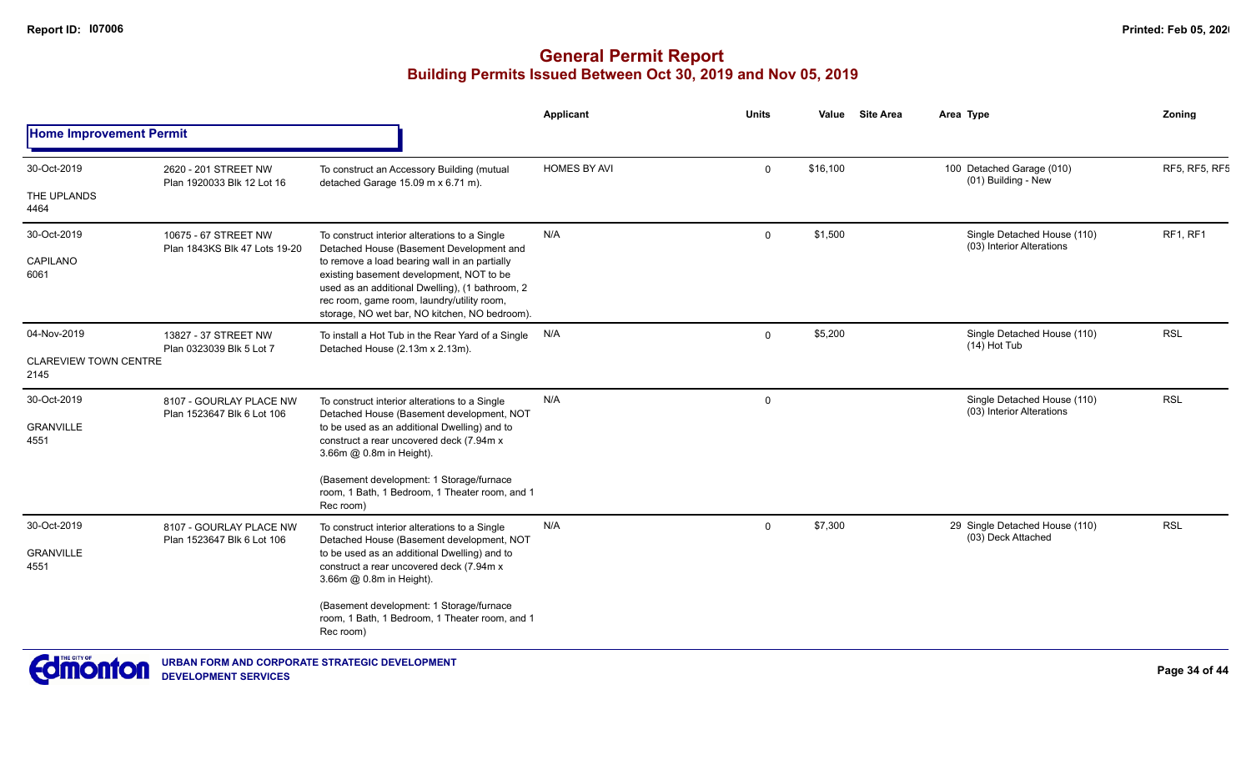|                                      |                                                       |                                                                                                                                                                                                                                             | <b>Applicant</b>    | <b>Units</b> | Value    | <b>Site Area</b> | Area Type                                                | Zoning        |
|--------------------------------------|-------------------------------------------------------|---------------------------------------------------------------------------------------------------------------------------------------------------------------------------------------------------------------------------------------------|---------------------|--------------|----------|------------------|----------------------------------------------------------|---------------|
| <b>Home Improvement Permit</b>       |                                                       |                                                                                                                                                                                                                                             |                     |              |          |                  |                                                          |               |
| 30-Oct-2019                          | 2620 - 201 STREET NW                                  | To construct an Accessory Building (mutual                                                                                                                                                                                                  | <b>HOMES BY AVI</b> | $\mathbf{0}$ | \$16,100 |                  | 100 Detached Garage (010)<br>(01) Building - New         | RF5, RF5, RF5 |
| THE UPLANDS<br>4464                  | Plan 1920033 Blk 12 Lot 16                            | detached Garage 15.09 m x 6.71 m).                                                                                                                                                                                                          |                     |              |          |                  |                                                          |               |
| 30-Oct-2019                          | 10675 - 67 STREET NW<br>Plan 1843KS Blk 47 Lots 19-20 | To construct interior alterations to a Single<br>Detached House (Basement Development and                                                                                                                                                   | N/A                 | $\Omega$     | \$1,500  |                  | Single Detached House (110)<br>(03) Interior Alterations | RF1, RF1      |
| CAPILANO<br>6061                     |                                                       | to remove a load bearing wall in an partially<br>existing basement development, NOT to be<br>used as an additional Dwelling), (1 bathroom, 2<br>rec room, game room, laundry/utility room,<br>storage, NO wet bar, NO kitchen, NO bedroom). |                     |              |          |                  |                                                          |               |
| 04-Nov-2019                          | 13827 - 37 STREET NW<br>Plan 0323039 Blk 5 Lot 7      | To install a Hot Tub in the Rear Yard of a Single N/A<br>Detached House (2.13m x 2.13m).                                                                                                                                                    |                     | $\Omega$     | \$5,200  |                  | Single Detached House (110)<br>(14) Hot Tub              | <b>RSL</b>    |
| <b>CLAREVIEW TOWN CENTRE</b><br>2145 |                                                       |                                                                                                                                                                                                                                             |                     |              |          |                  |                                                          |               |
| 30-Oct-2019                          | 8107 - GOURLAY PLACE NW                               | To construct interior alterations to a Single<br>Detached House (Basement development, NOT                                                                                                                                                  | N/A                 | $\mathbf 0$  |          |                  | Single Detached House (110)<br>(03) Interior Alterations | <b>RSL</b>    |
| <b>GRANVILLE</b><br>4551             | Plan 1523647 Blk 6 Lot 106                            | to be used as an additional Dwelling) and to<br>construct a rear uncovered deck (7.94m x<br>3.66m @ 0.8m in Height).                                                                                                                        |                     |              |          |                  |                                                          |               |
|                                      |                                                       | (Basement development: 1 Storage/furnace<br>room, 1 Bath, 1 Bedroom, 1 Theater room, and 1<br>Rec room)                                                                                                                                     |                     |              |          |                  |                                                          |               |
| 30-Oct-2019                          | 8107 - GOURLAY PLACE NW<br>Plan 1523647 Blk 6 Lot 106 | To construct interior alterations to a Single<br>Detached House (Basement development, NOT                                                                                                                                                  | N/A                 | $\mathbf{0}$ | \$7,300  |                  | 29 Single Detached House (110)<br>(03) Deck Attached     | <b>RSL</b>    |
| <b>GRANVILLE</b><br>4551             |                                                       | to be used as an additional Dwelling) and to<br>construct a rear uncovered deck (7.94m x<br>3.66m @ 0.8m in Height).                                                                                                                        |                     |              |          |                  |                                                          |               |
|                                      |                                                       | (Basement development: 1 Storage/furnace<br>room, 1 Bath, 1 Bedroom, 1 Theater room, and 1<br>Rec room)                                                                                                                                     |                     |              |          |                  |                                                          |               |
| THE CITY OF 4                        |                                                       |                                                                                                                                                                                                                                             |                     |              |          |                  |                                                          |               |

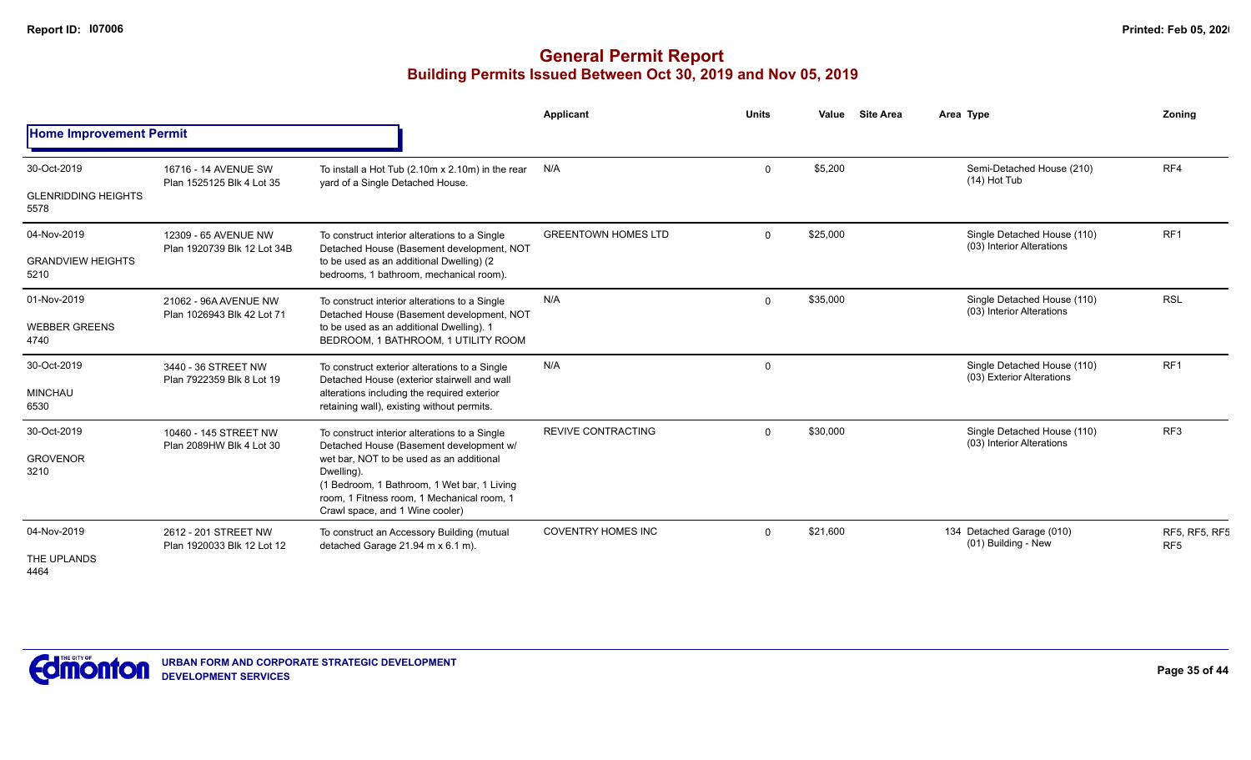|                                    |                                                     |                                                                                                                                                                                        | Applicant                                                      | <b>Units</b> | Value    | <b>Site Area</b>                                         | Area Type                                                | Zoning          |
|------------------------------------|-----------------------------------------------------|----------------------------------------------------------------------------------------------------------------------------------------------------------------------------------------|----------------------------------------------------------------|--------------|----------|----------------------------------------------------------|----------------------------------------------------------|-----------------|
| <b>Home Improvement Permit</b>     |                                                     |                                                                                                                                                                                        |                                                                |              |          |                                                          |                                                          |                 |
| 30-Oct-2019                        | 16716 - 14 AVENUE SW                                | To install a Hot Tub (2.10m x 2.10m) in the rear                                                                                                                                       | N/A                                                            | $\Omega$     | \$5,200  |                                                          | Semi-Detached House (210)<br>$(14)$ Hot Tub              | RF4             |
| <b>GLENRIDDING HEIGHTS</b><br>5578 | Plan 1525125 Blk 4 Lot 35                           | yard of a Single Detached House.                                                                                                                                                       |                                                                |              |          |                                                          |                                                          |                 |
| 04-Nov-2019                        | 12309 - 65 AVENUE NW<br>Plan 1920739 Blk 12 Lot 34B | To construct interior alterations to a Single<br>Detached House (Basement development, NOT                                                                                             | <b>GREENTOWN HOMES LTD</b>                                     | $\Omega$     | \$25,000 |                                                          | Single Detached House (110)<br>(03) Interior Alterations | RF <sub>1</sub> |
| <b>GRANDVIEW HEIGHTS</b><br>5210   |                                                     | to be used as an additional Dwelling) (2<br>bedrooms, 1 bathroom, mechanical room).                                                                                                    |                                                                |              |          |                                                          |                                                          |                 |
| 01-Nov-2019                        | 21062 - 96A AVENUE NW<br>Plan 1026943 Blk 42 Lot 71 | To construct interior alterations to a Single<br>Detached House (Basement development, NOT                                                                                             | N/A                                                            | $\Omega$     | \$35,000 |                                                          | Single Detached House (110)<br>(03) Interior Alterations | <b>RSL</b>      |
| <b>WEBBER GREENS</b><br>4740       |                                                     | to be used as an additional Dwelling). 1<br>BEDROOM, 1 BATHROOM, 1 UTILITY ROOM                                                                                                        |                                                                |              |          |                                                          |                                                          |                 |
| 30-Oct-2019                        | 3440 - 36 STREET NW<br>Plan 7922359 Blk 8 Lot 19    | To construct exterior alterations to a Single                                                                                                                                          | N/A<br>$\Omega$<br>Detached House (exterior stairwell and wall |              |          | Single Detached House (110)<br>(03) Exterior Alterations | RF <sub>1</sub>                                          |                 |
| <b>MINCHAU</b><br>6530             |                                                     | alterations including the required exterior<br>retaining wall), existing without permits.                                                                                              |                                                                |              |          |                                                          |                                                          |                 |
| 30-Oct-2019                        | 10460 - 145 STREET NW<br>Plan 2089HW Blk 4 Lot 30   | To construct interior alterations to a Single<br>Detached House (Basement development w/                                                                                               | <b>REVIVE CONTRACTING</b>                                      | $\Omega$     | \$30,000 |                                                          | Single Detached House (110)<br>(03) Interior Alterations | RF <sub>3</sub> |
| <b>GROVENOR</b><br>3210            |                                                     | wet bar, NOT to be used as an additional<br>Dwelling).<br>(1 Bedroom, 1 Bathroom, 1 Wet bar, 1 Living<br>room, 1 Fitness room, 1 Mechanical room, 1<br>Crawl space, and 1 Wine cooler) |                                                                |              |          |                                                          |                                                          |                 |
| 04-Nov-2019                        | 2612 - 201 STREET NW<br>Plan 1920033 Blk 12 Lot 12  | To construct an Accessory Building (mutual<br>detached Garage 21.94 m x 6.1 m).                                                                                                        | <b>COVENTRY HOMES INC</b><br>$\Omega$                          | \$21,600     |          | 134 Detached Garage (010)<br>(01) Building - New         | <b>RF5, RF5, RF5</b><br>RF <sub>5</sub>                  |                 |
| THE UPLANDS<br>4464                |                                                     |                                                                                                                                                                                        |                                                                |              |          |                                                          |                                                          |                 |

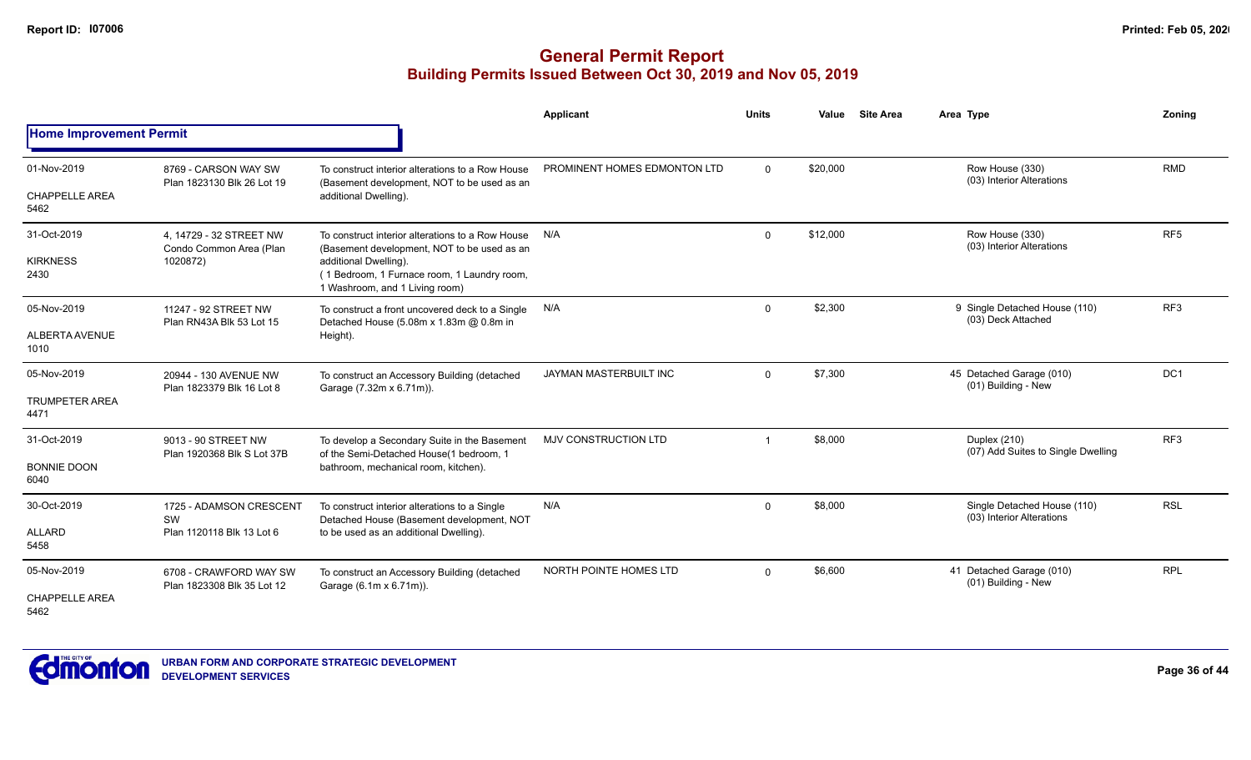|                                |                                                      |                                                                                                        | Applicant                    | <b>Units</b> | Value    | <b>Site Area</b> | Area Type                                                | Zoning          |
|--------------------------------|------------------------------------------------------|--------------------------------------------------------------------------------------------------------|------------------------------|--------------|----------|------------------|----------------------------------------------------------|-----------------|
| <b>Home Improvement Permit</b> |                                                      |                                                                                                        |                              |              |          |                  |                                                          |                 |
| 01-Nov-2019                    | 8769 - CARSON WAY SW<br>Plan 1823130 Blk 26 Lot 19   | To construct interior alterations to a Row House<br>(Basement development, NOT to be used as an        | PROMINENT HOMES EDMONTON LTD | $\Omega$     | \$20,000 |                  | Row House (330)<br>(03) Interior Alterations             | <b>RMD</b>      |
| <b>CHAPPELLE AREA</b><br>5462  |                                                      | additional Dwelling).                                                                                  |                              |              |          |                  |                                                          |                 |
| 31-Oct-2019                    | 4, 14729 - 32 STREET NW<br>Condo Common Area (Plan   | To construct interior alterations to a Row House<br>(Basement development, NOT to be used as an        | N/A                          | $\mathbf{0}$ | \$12,000 |                  | Row House (330)<br>(03) Interior Alterations             | RF <sub>5</sub> |
| <b>KIRKNESS</b><br>2430        | 1020872)<br>11247 - 92 STREET NW                     | additional Dwelling).<br>(1 Bedroom, 1 Furnace room, 1 Laundry room,<br>1 Washroom, and 1 Living room) |                              |              |          |                  |                                                          |                 |
| 05-Nov-2019                    | Plan RN43A Blk 53 Lot 15                             | To construct a front uncovered deck to a Single<br>Detached House (5.08m x 1.83m @ 0.8m in             | N/A                          | $\mathbf{0}$ | \$2,300  |                  | 9 Single Detached House (110)<br>(03) Deck Attached      | RF3             |
| <b>ALBERTA AVENUE</b><br>1010  |                                                      | Height).                                                                                               |                              |              |          |                  |                                                          |                 |
| 05-Nov-2019                    | 20944 - 130 AVENUE NW                                | To construct an Accessory Building (detached<br>Garage (7.32m x 6.71m)).                               | JAYMAN MASTERBUILT INC       | $\Omega$     | \$7,300  |                  | 45 Detached Garage (010)<br>(01) Building - New          | DC <sub>1</sub> |
| <b>TRUMPETER AREA</b><br>4471  | Plan 1823379 Blk 16 Lot 8                            |                                                                                                        |                              |              |          |                  |                                                          |                 |
| 31-Oct-2019                    | 9013 - 90 STREET NW<br>Plan 1920368 Blk S Lot 37B    | To develop a Secondary Suite in the Basement<br>of the Semi-Detached House(1 bedroom, 1                | <b>MJV CONSTRUCTION LTD</b>  |              | \$8,000  |                  | Duplex (210)<br>(07) Add Suites to Single Dwelling       | RF <sub>3</sub> |
| <b>BONNIE DOON</b><br>6040     |                                                      | bathroom, mechanical room, kitchen).                                                                   |                              |              |          |                  |                                                          |                 |
| 30-Oct-2019                    | 1725 - ADAMSON CRESCENT                              | To construct interior alterations to a Single<br>Detached House (Basement development, NOT             | N/A                          | $\Omega$     | \$8,000  |                  | Single Detached House (110)<br>(03) Interior Alterations | <b>RSL</b>      |
| <b>ALLARD</b><br>5458          | SW<br>Plan 1120118 Blk 13 Lot 6                      | to be used as an additional Dwelling).                                                                 |                              |              |          |                  |                                                          |                 |
| 05-Nov-2019                    | 6708 - CRAWFORD WAY SW<br>Plan 1823308 Blk 35 Lot 12 | To construct an Accessory Building (detached<br>Garage (6.1m x 6.71m)).                                | NORTH POINTE HOMES LTD       | $\Omega$     | \$6,600  |                  | 41 Detached Garage (010)<br>(01) Building - New          | <b>RPL</b>      |
| <b>CHAPPELLE AREA</b><br>5462  |                                                      |                                                                                                        |                              |              |          |                  |                                                          |                 |

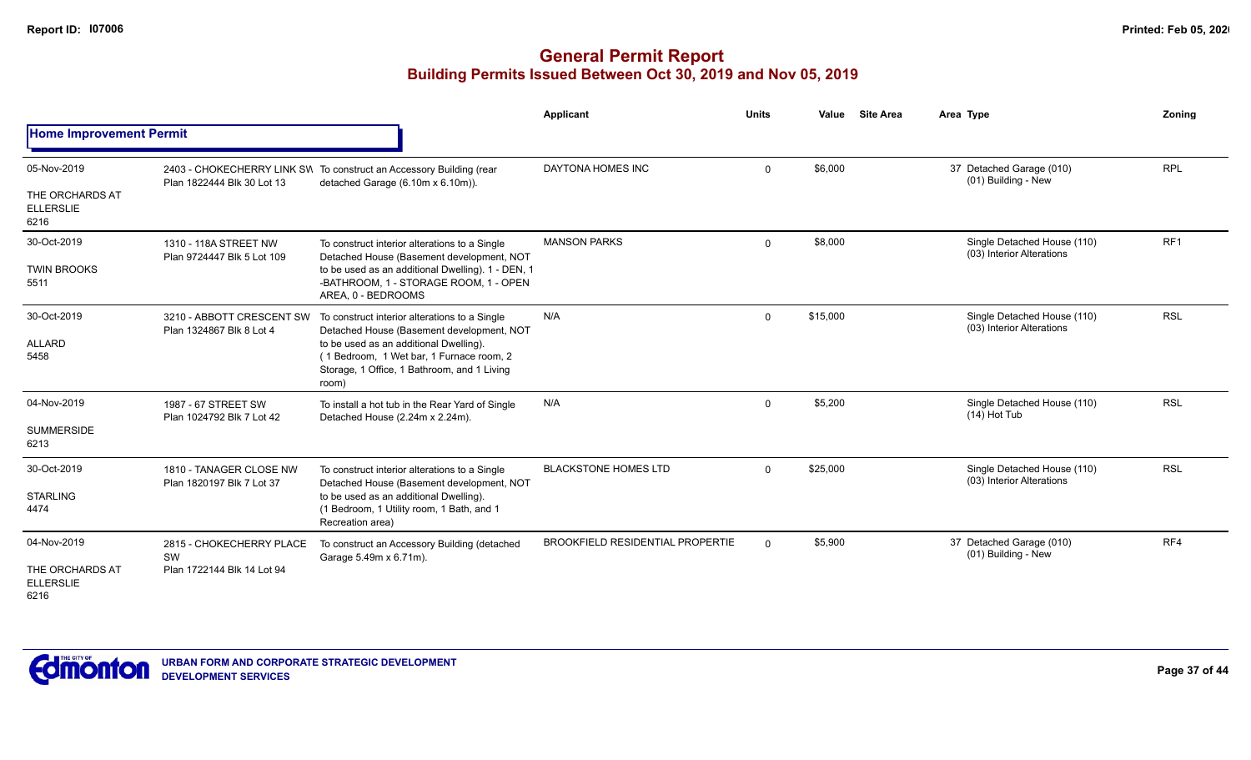|                                                            |                                                              |                                                                                                                                                                                                                                                                | Applicant                               | <b>Units</b> | Value    | <b>Site Area</b> | Area Type                                                | <b>Zoning</b> |
|------------------------------------------------------------|--------------------------------------------------------------|----------------------------------------------------------------------------------------------------------------------------------------------------------------------------------------------------------------------------------------------------------------|-----------------------------------------|--------------|----------|------------------|----------------------------------------------------------|---------------|
| <b>Home Improvement Permit</b>                             |                                                              |                                                                                                                                                                                                                                                                |                                         |              |          |                  |                                                          |               |
| 05-Nov-2019<br>THE ORCHARDS AT<br><b>ELLERSLIE</b>         | Plan 1822444 Blk 30 Lot 13                                   | 2403 - CHOKECHERRY LINK SW To construct an Accessory Building (rear<br>detached Garage (6.10m x 6.10m)).                                                                                                                                                       | DAYTONA HOMES INC                       | $\Omega$     | \$6,000  |                  | 37 Detached Garage (010)<br>(01) Building - New          | <b>RPL</b>    |
| 6216<br>30-Oct-2019<br><b>TWIN BROOKS</b><br>5511          | 1310 - 118A STREET NW<br>Plan 9724447 Blk 5 Lot 109          | To construct interior alterations to a Single<br>Detached House (Basement development, NOT<br>to be used as an additional Dwelling). 1 - DEN, 1<br>-BATHROOM, 1 - STORAGE ROOM, 1 - OPEN                                                                       | <b>MANSON PARKS</b>                     | $\mathbf 0$  | \$8,000  |                  | Single Detached House (110)<br>(03) Interior Alterations | RF1           |
| 30-Oct-2019<br><b>ALLARD</b><br>5458                       | 3210 - ABBOTT CRESCENT SW<br>Plan 1324867 Blk 8 Lot 4        | AREA, 0 - BEDROOMS<br>To construct interior alterations to a Single<br>Detached House (Basement development, NOT<br>to be used as an additional Dwelling).<br>(1 Bedroom, 1 Wet bar, 1 Furnace room, 2<br>Storage, 1 Office, 1 Bathroom, and 1 Living<br>room) | N/A                                     | $\Omega$     | \$15,000 |                  | Single Detached House (110)<br>(03) Interior Alterations | <b>RSL</b>    |
| 04-Nov-2019<br><b>SUMMERSIDE</b><br>6213                   | 1987 - 67 STREET SW<br>Plan 1024792 Blk 7 Lot 42             | To install a hot tub in the Rear Yard of Single<br>Detached House (2.24m x 2.24m).                                                                                                                                                                             | N/A                                     | $\Omega$     | \$5,200  |                  | Single Detached House (110)<br>$(14)$ Hot Tub            | <b>RSL</b>    |
| 30-Oct-2019<br><b>STARLING</b><br>4474                     | 1810 - TANAGER CLOSE NW<br>Plan 1820197 Blk 7 Lot 37         | To construct interior alterations to a Single<br>Detached House (Basement development, NOT<br>to be used as an additional Dwelling).<br>(1 Bedroom, 1 Utility room, 1 Bath, and 1<br>Recreation area)                                                          | <b>BLACKSTONE HOMES LTD</b>             | $\Omega$     | \$25,000 |                  | Single Detached House (110)<br>(03) Interior Alterations | <b>RSL</b>    |
| 04-Nov-2019<br>THE ORCHARDS AT<br><b>ELLERSLIE</b><br>6216 | 2815 - CHOKECHERRY PLACE<br>SW<br>Plan 1722144 Blk 14 Lot 94 | To construct an Accessory Building (detached<br>Garage 5.49m x 6.71m).                                                                                                                                                                                         | <b>BROOKFIELD RESIDENTIAL PROPERTIE</b> | $\Omega$     | \$5,900  |                  | 37 Detached Garage (010)<br>(01) Building - New          | RF4           |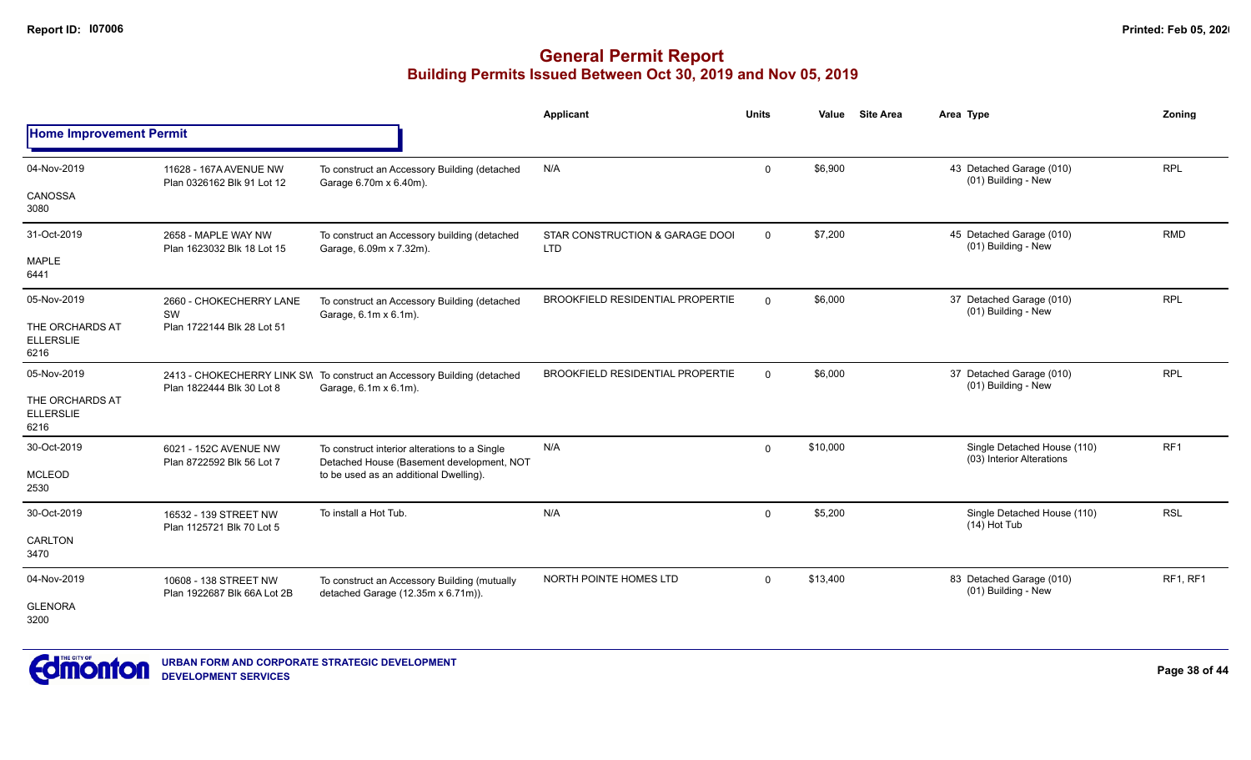|                                             |                                                      |                                                                                                  | Applicant                                     | <b>Units</b> | Value    | <b>Site Area</b> | Area Type                                                | Zoning     |
|---------------------------------------------|------------------------------------------------------|--------------------------------------------------------------------------------------------------|-----------------------------------------------|--------------|----------|------------------|----------------------------------------------------------|------------|
| <b>Home Improvement Permit</b>              |                                                      |                                                                                                  |                                               |              |          |                  |                                                          |            |
| 04-Nov-2019                                 | 11628 - 167A AVENUE NW<br>Plan 0326162 Blk 91 Lot 12 | To construct an Accessory Building (detached<br>Garage 6.70m x 6.40m).                           | N/A                                           | $\mathbf 0$  | \$6,900  |                  | 43 Detached Garage (010)<br>(01) Building - New          | <b>RPL</b> |
| CANOSSA<br>3080                             |                                                      |                                                                                                  |                                               |              |          |                  |                                                          |            |
| 31-Oct-2019                                 | 2658 - MAPLE WAY NW<br>Plan 1623032 Blk 18 Lot 15    | To construct an Accessory building (detached<br>Garage, 6.09m x 7.32m).                          | STAR CONSTRUCTION & GARAGE DOOI<br><b>LTD</b> | $\mathbf 0$  | \$7,200  |                  | 45 Detached Garage (010)<br>(01) Building - New          | <b>RMD</b> |
| <b>MAPLE</b><br>6441                        |                                                      |                                                                                                  |                                               |              |          |                  |                                                          |            |
| 05-Nov-2019                                 | 2660 - CHOKECHERRY LANE<br>SW                        | To construct an Accessory Building (detached<br>Garage, 6.1m x 6.1m).                            | <b>BROOKFIELD RESIDENTIAL PROPERTIE</b>       | $\Omega$     | \$6,000  |                  | 37 Detached Garage (010)<br>(01) Building - New          | <b>RPL</b> |
| THE ORCHARDS AT<br><b>ELLERSLIE</b><br>6216 | Plan 1722144 Blk 28 Lot 51                           |                                                                                                  |                                               |              |          |                  |                                                          |            |
| 05-Nov-2019                                 | Plan 1822444 Blk 30 Lot 8                            | 2413 - CHOKECHERRY LINK SW To construct an Accessory Building (detached<br>Garage, 6.1m x 6.1m). | <b>BROOKFIELD RESIDENTIAL PROPERTIE</b>       | $\Omega$     | \$6,000  |                  | 37 Detached Garage (010)<br>(01) Building - New          | <b>RPL</b> |
| THE ORCHARDS AT<br><b>ELLERSLIE</b><br>6216 |                                                      |                                                                                                  |                                               |              |          |                  |                                                          |            |
| 30-Oct-2019                                 | 6021 - 152C AVENUE NW<br>Plan 8722592 Blk 56 Lot 7   | To construct interior alterations to a Single<br>Detached House (Basement development, NOT       | N/A                                           | $\mathbf 0$  | \$10,000 |                  | Single Detached House (110)<br>(03) Interior Alterations | RF1        |
| <b>MCLEOD</b><br>2530                       |                                                      | to be used as an additional Dwelling).                                                           |                                               |              |          |                  |                                                          |            |
| 30-Oct-2019                                 | 16532 - 139 STREET NW<br>Plan 1125721 Blk 70 Lot 5   | To install a Hot Tub.                                                                            | N/A                                           | $\mathbf{0}$ | \$5,200  |                  | Single Detached House (110)<br>$(14)$ Hot Tub            | <b>RSL</b> |
| CARLTON<br>3470                             |                                                      |                                                                                                  |                                               |              |          |                  |                                                          |            |
| 04-Nov-2019                                 | 10608 - 138 STREET NW<br>Plan 1922687 Blk 66A Lot 2B | To construct an Accessory Building (mutually<br>detached Garage (12.35m x 6.71m)).               | NORTH POINTE HOMES LTD                        | $\mathbf 0$  | \$13,400 |                  | 83 Detached Garage (010)<br>(01) Building - New          | RF1, RF1   |
| <b>GLENORA</b><br>3200                      |                                                      |                                                                                                  |                                               |              |          |                  |                                                          |            |

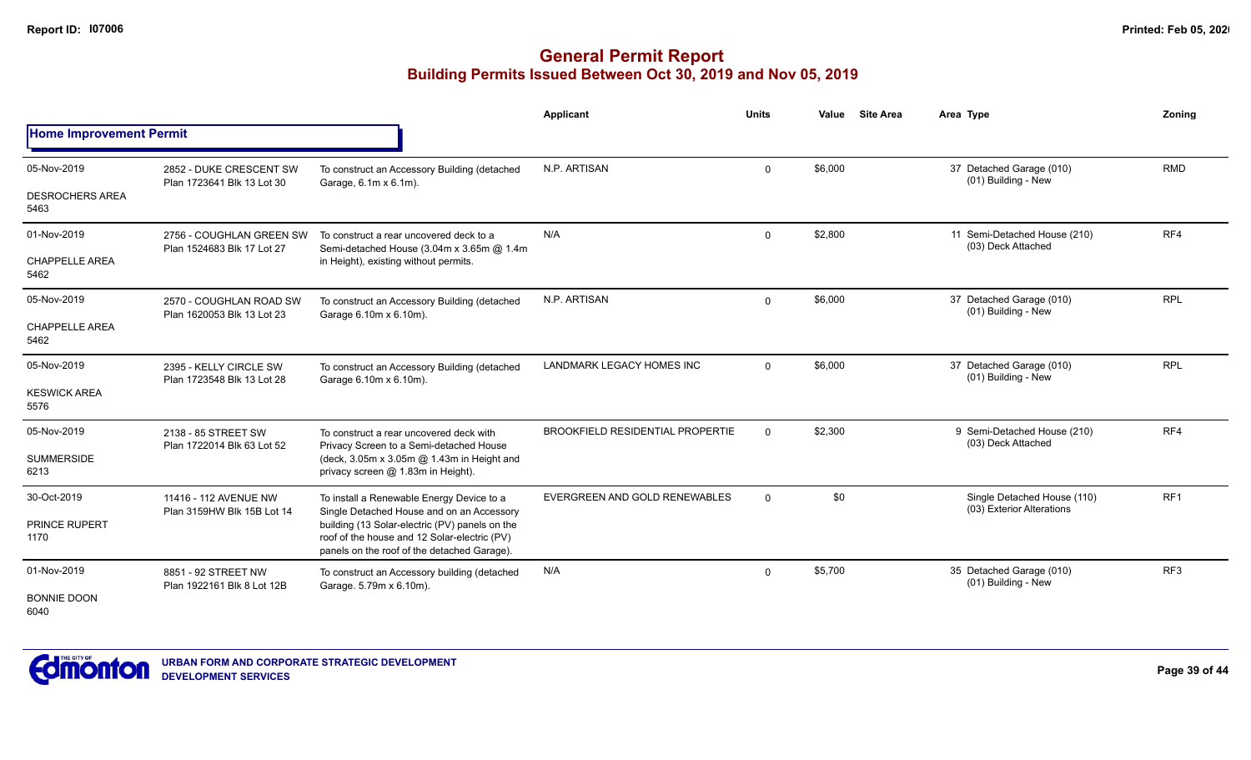|                                |                                                        |                                                                                                                                               | Applicant                               | <b>Units</b> | <b>Site Area</b><br>Value | Area Type                                                | Zoning          |
|--------------------------------|--------------------------------------------------------|-----------------------------------------------------------------------------------------------------------------------------------------------|-----------------------------------------|--------------|---------------------------|----------------------------------------------------------|-----------------|
| <b>Home Improvement Permit</b> |                                                        |                                                                                                                                               |                                         |              |                           |                                                          |                 |
| 05-Nov-2019                    | 2852 - DUKE CRESCENT SW<br>Plan 1723641 Blk 13 Lot 30  | To construct an Accessory Building (detached                                                                                                  | N.P. ARTISAN                            | $\Omega$     | \$6,000                   | 37 Detached Garage (010)<br>(01) Building - New          | <b>RMD</b>      |
| <b>DESROCHERS AREA</b><br>5463 |                                                        | Garage, 6.1m x 6.1m).                                                                                                                         |                                         |              |                           |                                                          |                 |
| 01-Nov-2019                    | 2756 - COUGHLAN GREEN SW<br>Plan 1524683 Blk 17 Lot 27 | To construct a rear uncovered deck to a<br>Semi-detached House (3.04m x 3.65m @ 1.4m                                                          | N/A                                     | $\Omega$     | \$2,800                   | 11 Semi-Detached House (210)<br>(03) Deck Attached       | RF4             |
| <b>CHAPPELLE AREA</b><br>5462  |                                                        | in Height), existing without permits.                                                                                                         |                                         |              |                           |                                                          |                 |
| 05-Nov-2019                    | 2570 - COUGHLAN ROAD SW<br>Plan 1620053 Blk 13 Lot 23  | To construct an Accessory Building (detached<br>Garage 6.10m x 6.10m).                                                                        | N.P. ARTISAN                            | $\Omega$     | \$6,000                   | 37 Detached Garage (010)<br>(01) Building - New          | <b>RPL</b>      |
| <b>CHAPPELLE AREA</b><br>5462  |                                                        |                                                                                                                                               |                                         |              |                           |                                                          |                 |
| 05-Nov-2019                    | 2395 - KELLY CIRCLE SW                                 | To construct an Accessory Building (detached<br>Garage 6.10m x 6.10m).                                                                        | <b>LANDMARK LEGACY HOMES INC</b>        | $\Omega$     | \$6,000                   | 37 Detached Garage (010)<br>(01) Building - New          | <b>RPL</b>      |
| <b>KESWICK AREA</b><br>5576    | Plan 1723548 Blk 13 Lot 28                             |                                                                                                                                               |                                         |              |                           |                                                          |                 |
| 05-Nov-2019                    | 2138 - 85 STREET SW                                    | To construct a rear uncovered deck with<br>Privacy Screen to a Semi-detached House                                                            | <b>BROOKFIELD RESIDENTIAL PROPERTIE</b> | $\Omega$     | \$2,300                   | 9 Semi-Detached House (210)<br>(03) Deck Attached        | RF4             |
| <b>SUMMERSIDE</b><br>6213      | Plan 1722014 Blk 63 Lot 52                             | (deck, 3.05m x 3.05m @ 1.43m in Height and<br>privacy screen @ 1.83m in Height).                                                              |                                         |              |                           |                                                          |                 |
| 30-Oct-2019                    | 11416 - 112 AVENUE NW                                  | To install a Renewable Energy Device to a<br>Single Detached House and on an Accessory                                                        | EVERGREEN AND GOLD RENEWABLES           | $\Omega$     | \$0                       | Single Detached House (110)<br>(03) Exterior Alterations | RF1             |
| PRINCE RUPERT<br>1170          | Plan 3159HW Blk 15B Lot 14                             | building (13 Solar-electric (PV) panels on the<br>roof of the house and 12 Solar-electric (PV)<br>panels on the roof of the detached Garage). |                                         |              |                           |                                                          |                 |
| 01-Nov-2019                    | 8851 - 92 STREET NW<br>Plan 1922161 Blk 8 Lot 12B      | To construct an Accessory building (detached<br>Garage. 5.79m x 6.10m).                                                                       | N/A                                     | $\Omega$     | \$5,700                   | 35 Detached Garage (010)<br>(01) Building - New          | RF <sub>3</sub> |
| <b>BONNIE DOON</b><br>6040     |                                                        |                                                                                                                                               |                                         |              |                           |                                                          |                 |

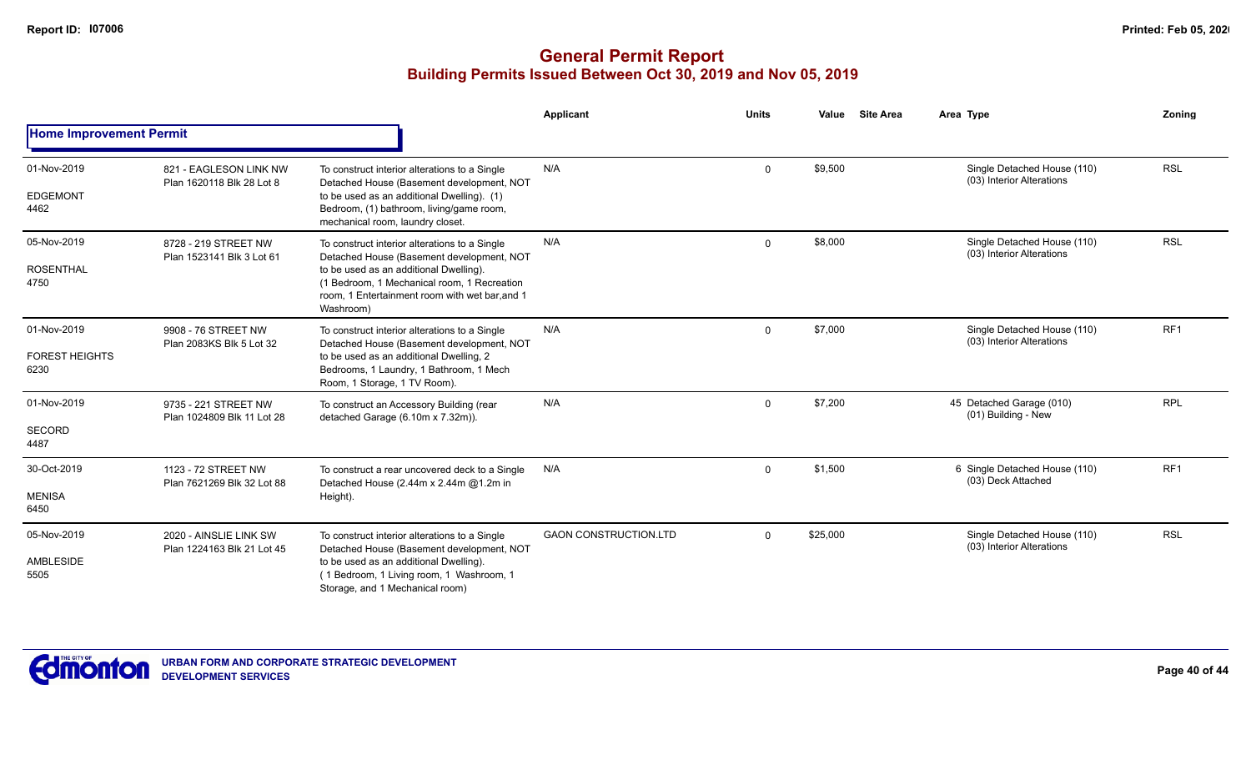|                                              |                                                      |                                                                                                                                                                                                                                                    | Applicant                    | <b>Units</b> | <b>Site Area</b><br>Value | Area Type                                                | Zoning          |
|----------------------------------------------|------------------------------------------------------|----------------------------------------------------------------------------------------------------------------------------------------------------------------------------------------------------------------------------------------------------|------------------------------|--------------|---------------------------|----------------------------------------------------------|-----------------|
| <b>Home Improvement Permit</b>               |                                                      |                                                                                                                                                                                                                                                    |                              |              |                           |                                                          |                 |
| 01-Nov-2019<br><b>EDGEMONT</b><br>4462       | 821 - EAGLESON LINK NW<br>Plan 1620118 Blk 28 Lot 8  | To construct interior alterations to a Single<br>Detached House (Basement development, NOT<br>to be used as an additional Dwelling). (1)<br>Bedroom, (1) bathroom, living/game room,<br>mechanical room, laundry closet.                           | N/A                          | $\Omega$     | \$9,500                   | Single Detached House (110)<br>(03) Interior Alterations | <b>RSL</b>      |
| 05-Nov-2019<br><b>ROSENTHAL</b><br>4750      | 8728 - 219 STREET NW<br>Plan 1523141 Blk 3 Lot 61    | To construct interior alterations to a Single<br>Detached House (Basement development, NOT<br>to be used as an additional Dwelling).<br>(1 Bedroom, 1 Mechanical room, 1 Recreation<br>room, 1 Entertainment room with wet bar, and 1<br>Washroom) | N/A                          | $\Omega$     | \$8,000                   | Single Detached House (110)<br>(03) Interior Alterations | <b>RSL</b>      |
| 01-Nov-2019<br><b>FOREST HEIGHTS</b><br>6230 | 9908 - 76 STREET NW<br>Plan 2083KS Blk 5 Lot 32      | To construct interior alterations to a Single<br>Detached House (Basement development, NOT<br>to be used as an additional Dwelling, 2<br>Bedrooms, 1 Laundry, 1 Bathroom, 1 Mech<br>Room, 1 Storage, 1 TV Room).                                   | N/A                          | $\Omega$     | \$7,000                   | Single Detached House (110)<br>(03) Interior Alterations | RF <sub>1</sub> |
| 01-Nov-2019<br><b>SECORD</b><br>4487         | 9735 - 221 STREET NW<br>Plan 1024809 Blk 11 Lot 28   | To construct an Accessory Building (rear<br>detached Garage (6.10m x 7.32m)).                                                                                                                                                                      | N/A                          | $\Omega$     | \$7,200                   | 45 Detached Garage (010)<br>(01) Building - New          | <b>RPL</b>      |
| 30-Oct-2019<br><b>MENISA</b><br>6450         | 1123 - 72 STREET NW<br>Plan 7621269 Blk 32 Lot 88    | To construct a rear uncovered deck to a Single<br>Detached House (2.44m x 2.44m @1.2m in<br>Height).                                                                                                                                               | N/A                          | $\Omega$     | \$1,500                   | 6 Single Detached House (110)<br>(03) Deck Attached      | RF1             |
| 05-Nov-2019<br>AMBLESIDE<br>5505             | 2020 - AINSLIE LINK SW<br>Plan 1224163 Blk 21 Lot 45 | To construct interior alterations to a Single<br>Detached House (Basement development, NOT<br>to be used as an additional Dwelling).<br>(1 Bedroom, 1 Living room, 1 Washroom, 1<br>Storage, and 1 Mechanical room)                                | <b>GAON CONSTRUCTION.LTD</b> | $\Omega$     | \$25,000                  | Single Detached House (110)<br>(03) Interior Alterations | <b>RSL</b>      |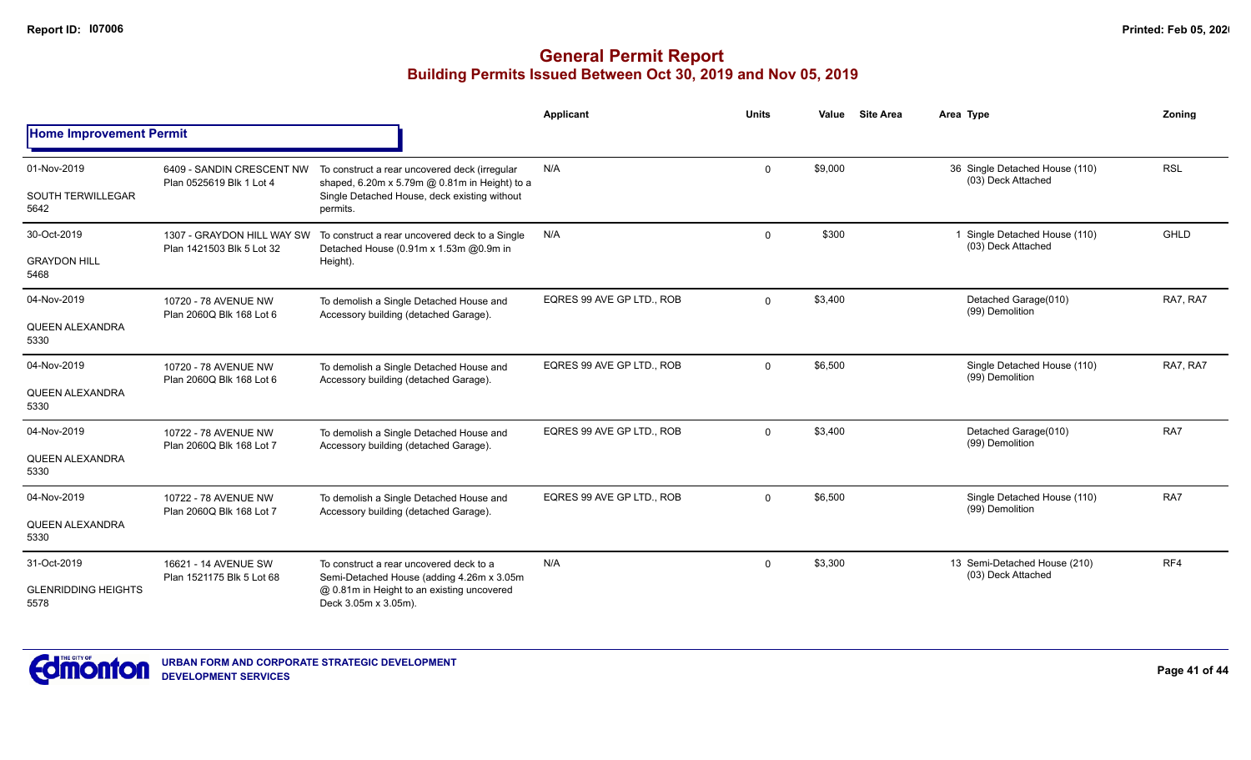|                                    |                                                         |                                                                                                | <b>Applicant</b>          | <b>Units</b> | Value   | <b>Site Area</b> | Area Type                                            | Zoning      |
|------------------------------------|---------------------------------------------------------|------------------------------------------------------------------------------------------------|---------------------------|--------------|---------|------------------|------------------------------------------------------|-------------|
| <b>Home Improvement Permit</b>     |                                                         |                                                                                                |                           |              |         |                  |                                                      |             |
| 01-Nov-2019                        | 6409 - SANDIN CRESCENT NW<br>Plan 0525619 Blk 1 Lot 4   | To construct a rear uncovered deck (irregular<br>shaped, 6.20m x 5.79m @ 0.81m in Height) to a | N/A                       | $\mathbf 0$  | \$9,000 |                  | 36 Single Detached House (110)<br>(03) Deck Attached | <b>RSL</b>  |
| <b>SOUTH TERWILLEGAR</b><br>5642   |                                                         | Single Detached House, deck existing without<br>permits.                                       |                           |              |         |                  |                                                      |             |
| 30-Oct-2019                        | 1307 - GRAYDON HILL WAY SW<br>Plan 1421503 Blk 5 Lot 32 | To construct a rear uncovered deck to a Single<br>Detached House (0.91m x 1.53m @0.9m in       | N/A                       | $\mathbf 0$  | \$300   |                  | Single Detached House (110)<br>(03) Deck Attached    | <b>GHLD</b> |
| <b>GRAYDON HILL</b><br>5468        |                                                         | Height).                                                                                       |                           |              |         |                  |                                                      |             |
| 04-Nov-2019                        | 10720 - 78 AVENUE NW<br>Plan 2060Q Blk 168 Lot 6        | To demolish a Single Detached House and<br>Accessory building (detached Garage).               | EQRES 99 AVE GP LTD., ROB | $\mathbf 0$  | \$3,400 |                  | Detached Garage(010)<br>(99) Demolition              | RA7, RA7    |
| QUEEN ALEXANDRA<br>5330            |                                                         |                                                                                                |                           |              |         |                  |                                                      |             |
| 04-Nov-2019                        | 10720 - 78 AVENUE NW<br>Plan 2060Q Blk 168 Lot 6        | To demolish a Single Detached House and<br>Accessory building (detached Garage).               | EQRES 99 AVE GP LTD., ROB | $\mathbf 0$  | \$6,500 |                  | Single Detached House (110)<br>(99) Demolition       | RA7, RA7    |
| QUEEN ALEXANDRA<br>5330            |                                                         |                                                                                                |                           |              |         |                  |                                                      |             |
| 04-Nov-2019                        | 10722 - 78 AVENUE NW<br>Plan 2060Q Blk 168 Lot 7        | To demolish a Single Detached House and<br>Accessory building (detached Garage).               | EQRES 99 AVE GP LTD., ROB | $\mathbf 0$  | \$3,400 |                  | Detached Garage(010)<br>(99) Demolition              | RA7         |
| QUEEN ALEXANDRA<br>5330            |                                                         |                                                                                                |                           |              |         |                  |                                                      |             |
| 04-Nov-2019                        | 10722 - 78 AVENUE NW<br>Plan 2060Q Blk 168 Lot 7        | To demolish a Single Detached House and<br>Accessory building (detached Garage).               | EQRES 99 AVE GP LTD., ROB | $\mathbf 0$  | \$6,500 |                  | Single Detached House (110)<br>(99) Demolition       | RA7         |
| QUEEN ALEXANDRA<br>5330            |                                                         |                                                                                                |                           |              |         |                  |                                                      |             |
| 31-Oct-2019                        | 16621 - 14 AVENUE SW<br>Plan 1521175 Blk 5 Lot 68       | To construct a rear uncovered deck to a<br>Semi-Detached House (adding 4.26m x 3.05m           | N/A                       | $\mathbf 0$  | \$3,300 |                  | 13 Semi-Detached House (210)<br>(03) Deck Attached   | RF4         |
| <b>GLENRIDDING HEIGHTS</b><br>5578 |                                                         | @ 0.81m in Height to an existing uncovered<br>Deck 3.05m x 3.05m).                             |                           |              |         |                  |                                                      |             |

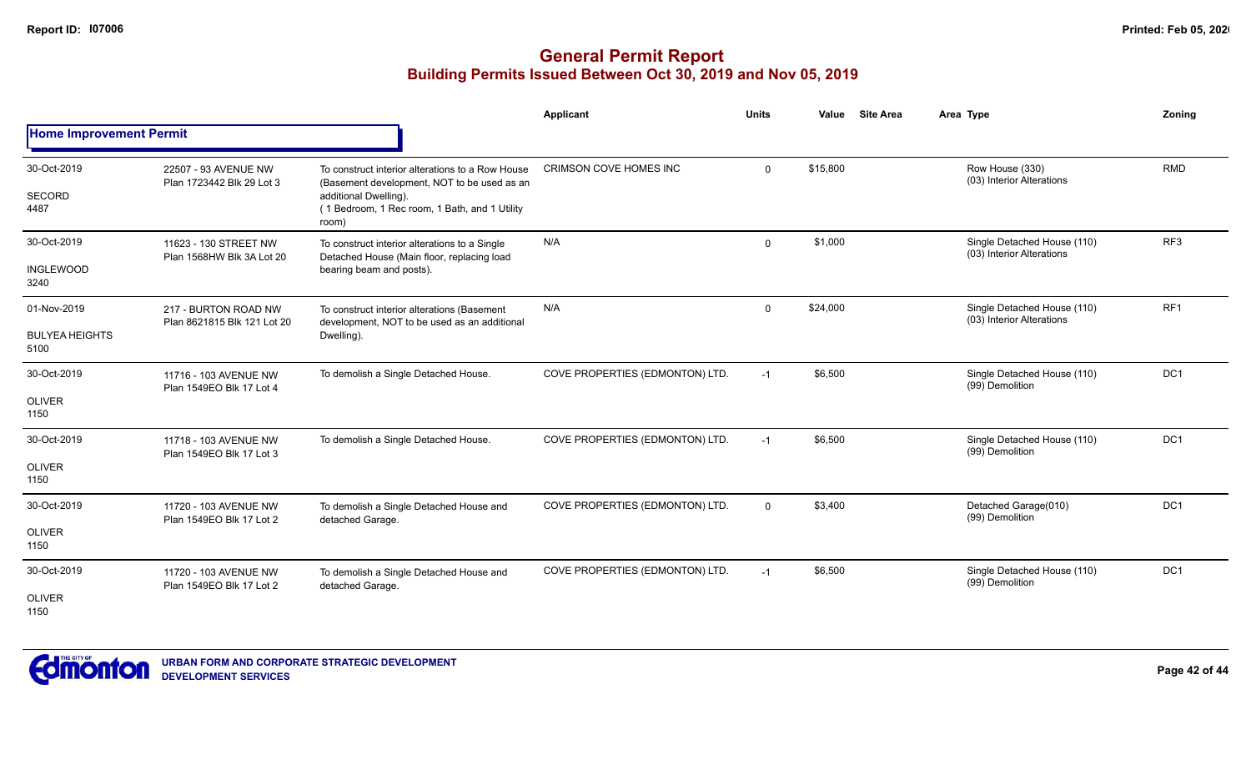|                                              |                                                     |                                                                                                                                                                                    | Applicant                       | <b>Units</b> | Value    | <b>Site Area</b> | Area Type                                                | <b>Zoning</b>   |
|----------------------------------------------|-----------------------------------------------------|------------------------------------------------------------------------------------------------------------------------------------------------------------------------------------|---------------------------------|--------------|----------|------------------|----------------------------------------------------------|-----------------|
| <b>Home Improvement Permit</b>               |                                                     |                                                                                                                                                                                    |                                 |              |          |                  |                                                          |                 |
| 30-Oct-2019<br>SECORD<br>4487                | 22507 - 93 AVENUE NW<br>Plan 1723442 Blk 29 Lot 3   | To construct interior alterations to a Row House<br>(Basement development, NOT to be used as an<br>additional Dwelling).<br>(1 Bedroom, 1 Rec room, 1 Bath, and 1 Utility<br>room) | <b>CRIMSON COVE HOMES INC</b>   | $\Omega$     | \$15,800 |                  | Row House (330)<br>(03) Interior Alterations             | <b>RMD</b>      |
| 30-Oct-2019<br><b>INGLEWOOD</b><br>3240      | 11623 - 130 STREET NW<br>Plan 1568HW Blk 3A Lot 20  | To construct interior alterations to a Single<br>Detached House (Main floor, replacing load<br>bearing beam and posts).                                                            | N/A                             | $\Omega$     | \$1,000  |                  | Single Detached House (110)<br>(03) Interior Alterations | RF <sub>3</sub> |
| 01-Nov-2019<br><b>BULYEA HEIGHTS</b><br>5100 | 217 - BURTON ROAD NW<br>Plan 8621815 Blk 121 Lot 20 | To construct interior alterations (Basement<br>development, NOT to be used as an additional<br>Dwelling).                                                                          | N/A                             | $\Omega$     | \$24,000 |                  | Single Detached House (110)<br>(03) Interior Alterations | RF <sub>1</sub> |
| 30-Oct-2019<br><b>OLIVER</b><br>1150         | 11716 - 103 AVENUE NW<br>Plan 1549EO Blk 17 Lot 4   | To demolish a Single Detached House.                                                                                                                                               | COVE PROPERTIES (EDMONTON) LTD. | $-1$         | \$6,500  |                  | Single Detached House (110)<br>(99) Demolition           | DC <sub>1</sub> |
| 30-Oct-2019<br><b>OLIVER</b><br>1150         | 11718 - 103 AVENUE NW<br>Plan 1549EO Blk 17 Lot 3   | To demolish a Single Detached House.                                                                                                                                               | COVE PROPERTIES (EDMONTON) LTD. | $-1$         | \$6,500  |                  | Single Detached House (110)<br>(99) Demolition           | DC <sub>1</sub> |
| 30-Oct-2019<br><b>OLIVER</b><br>1150         | 11720 - 103 AVENUE NW<br>Plan 1549EO Blk 17 Lot 2   | To demolish a Single Detached House and<br>detached Garage.                                                                                                                        | COVE PROPERTIES (EDMONTON) LTD. | $\Omega$     | \$3,400  |                  | Detached Garage(010)<br>(99) Demolition                  | DC1             |
| 30-Oct-2019<br><b>OLIVER</b><br>1150         | 11720 - 103 AVENUE NW<br>Plan 1549EO Blk 17 Lot 2   | To demolish a Single Detached House and<br>detached Garage.                                                                                                                        | COVE PROPERTIES (EDMONTON) LTD. | $-1$         | \$6,500  |                  | Single Detached House (110)<br>(99) Demolition           | DC <sub>1</sub> |

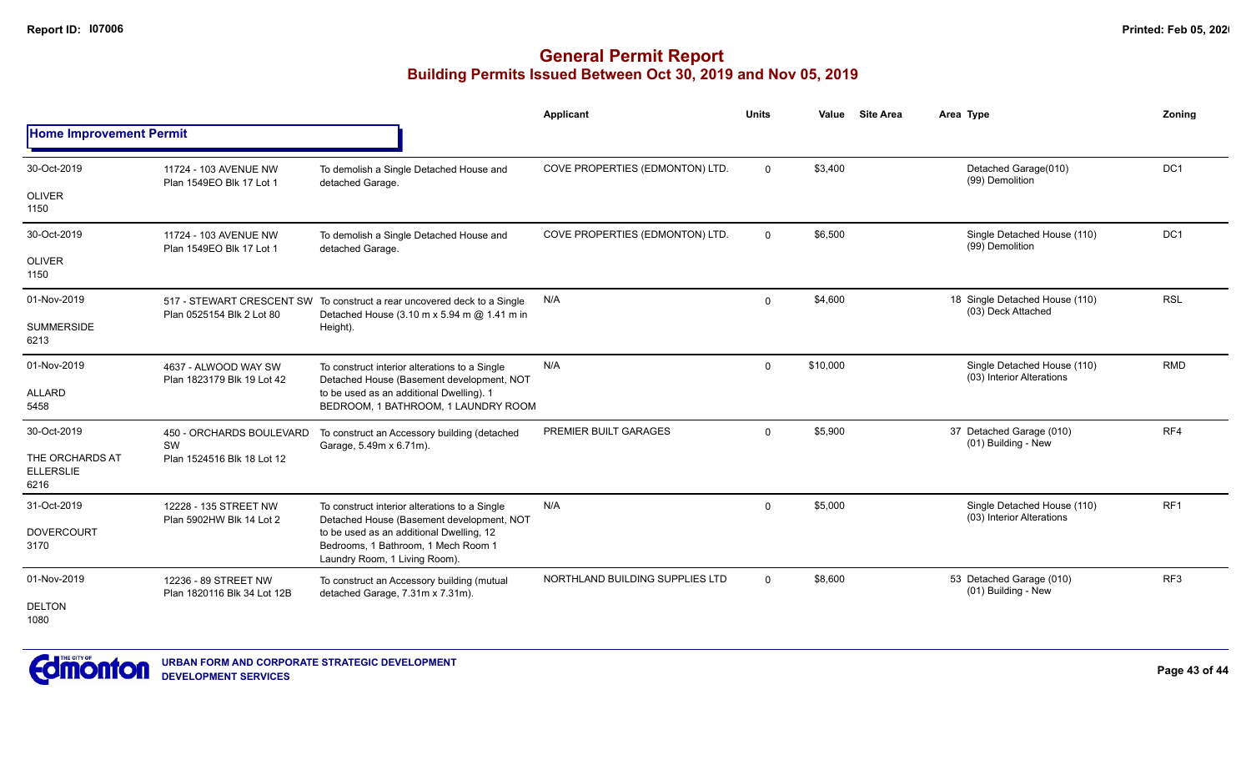|                                             |                                                     |                                                                                                                         | Applicant                       | <b>Units</b> | Value    | <b>Site Area</b> | Area Type                                                | Zoning          |
|---------------------------------------------|-----------------------------------------------------|-------------------------------------------------------------------------------------------------------------------------|---------------------------------|--------------|----------|------------------|----------------------------------------------------------|-----------------|
| <b>Home Improvement Permit</b>              |                                                     |                                                                                                                         |                                 |              |          |                  |                                                          |                 |
| 30-Oct-2019                                 | 11724 - 103 AVENUE NW<br>Plan 1549EO Blk 17 Lot 1   | To demolish a Single Detached House and<br>detached Garage.                                                             | COVE PROPERTIES (EDMONTON) LTD. | $\Omega$     | \$3,400  |                  | Detached Garage(010)<br>(99) Demolition                  | DC <sub>1</sub> |
| <b>OLIVER</b><br>1150                       |                                                     |                                                                                                                         |                                 |              |          |                  |                                                          |                 |
| 30-Oct-2019                                 | 11724 - 103 AVENUE NW<br>Plan 1549EO Blk 17 Lot 1   | To demolish a Single Detached House and<br>detached Garage.                                                             | COVE PROPERTIES (EDMONTON) LTD. | $\mathbf{0}$ | \$6,500  |                  | Single Detached House (110)<br>(99) Demolition           | DC <sub>1</sub> |
| <b>OLIVER</b><br>1150                       |                                                     |                                                                                                                         |                                 |              |          |                  |                                                          |                 |
| 01-Nov-2019                                 | Plan 0525154 Blk 2 Lot 80                           | 517 - STEWART CRESCENT SW To construct a rear uncovered deck to a Single<br>Detached House (3.10 m x 5.94 m @ 1.41 m in | N/A                             | $\mathbf 0$  | \$4,600  |                  | 18 Single Detached House (110)<br>(03) Deck Attached     | <b>RSL</b>      |
| <b>SUMMERSIDE</b><br>6213                   |                                                     | Height).                                                                                                                |                                 |              |          |                  |                                                          |                 |
| 01-Nov-2019                                 | 4637 - ALWOOD WAY SW<br>Plan 1823179 Blk 19 Lot 42  | To construct interior alterations to a Single<br>Detached House (Basement development, NOT                              | N/A                             | $\Omega$     | \$10,000 |                  | Single Detached House (110)<br>(03) Interior Alterations | <b>RMD</b>      |
| <b>ALLARD</b><br>5458                       |                                                     | to be used as an additional Dwelling). 1<br>BEDROOM, 1 BATHROOM, 1 LAUNDRY ROOM                                         |                                 |              |          |                  |                                                          |                 |
| 30-Oct-2019                                 | 450 - ORCHARDS BOULEVARD<br>SW                      | To construct an Accessory building (detached<br>Garage, 5.49m x 6.71m).                                                 | PREMIER BUILT GARAGES           | $\Omega$     | \$5,900  |                  | 37 Detached Garage (010)<br>(01) Building - New          | RF4             |
| THE ORCHARDS AT<br><b>ELLERSLIE</b><br>6216 | Plan 1524516 Blk 18 Lot 12                          |                                                                                                                         |                                 |              |          |                  |                                                          |                 |
| 31-Oct-2019                                 | 12228 - 135 STREET NW<br>Plan 5902HW Blk 14 Lot 2   | To construct interior alterations to a Single<br>Detached House (Basement development, NOT                              | N/A                             | $\Omega$     | \$5,000  |                  | Single Detached House (110)<br>(03) Interior Alterations | RF1             |
| <b>DOVERCOURT</b><br>3170                   |                                                     | to be used as an additional Dwelling, 12<br>Bedrooms, 1 Bathroom, 1 Mech Room 1<br>Laundry Room, 1 Living Room).        |                                 |              |          |                  |                                                          |                 |
| 01-Nov-2019                                 | 12236 - 89 STREET NW<br>Plan 1820116 Blk 34 Lot 12B | To construct an Accessory building (mutual<br>detached Garage, 7.31m x 7.31m).                                          | NORTHLAND BUILDING SUPPLIES LTD | $\Omega$     | \$8,600  |                  | 53 Detached Garage (010)<br>(01) Building - New          | RF3             |
| <b>DELTON</b><br>1080                       |                                                     |                                                                                                                         |                                 |              |          |                  |                                                          |                 |